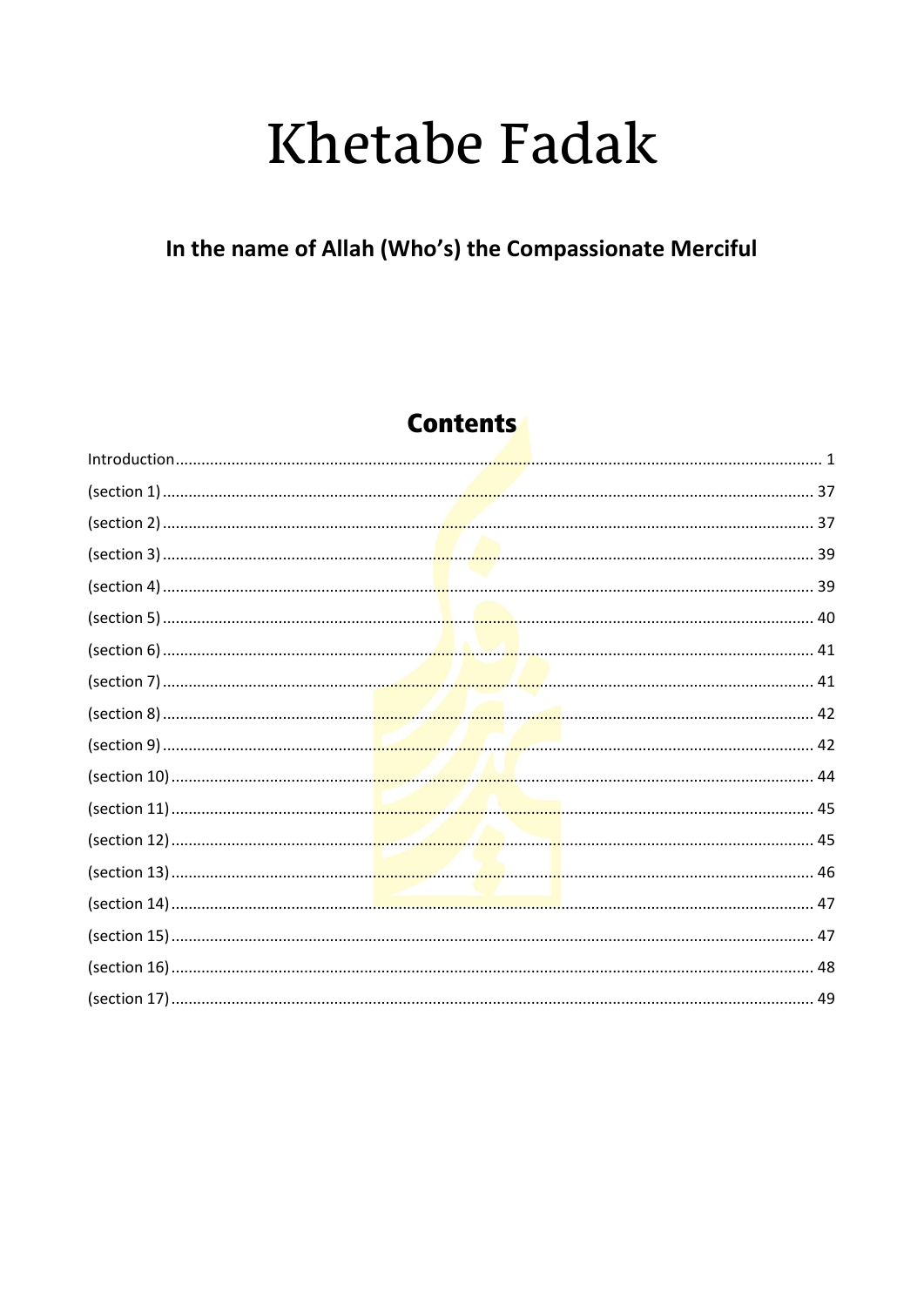# **Khetabe Fadak**

### In the name of Allah (Who's) the Compassionate Merciful

### **Contents**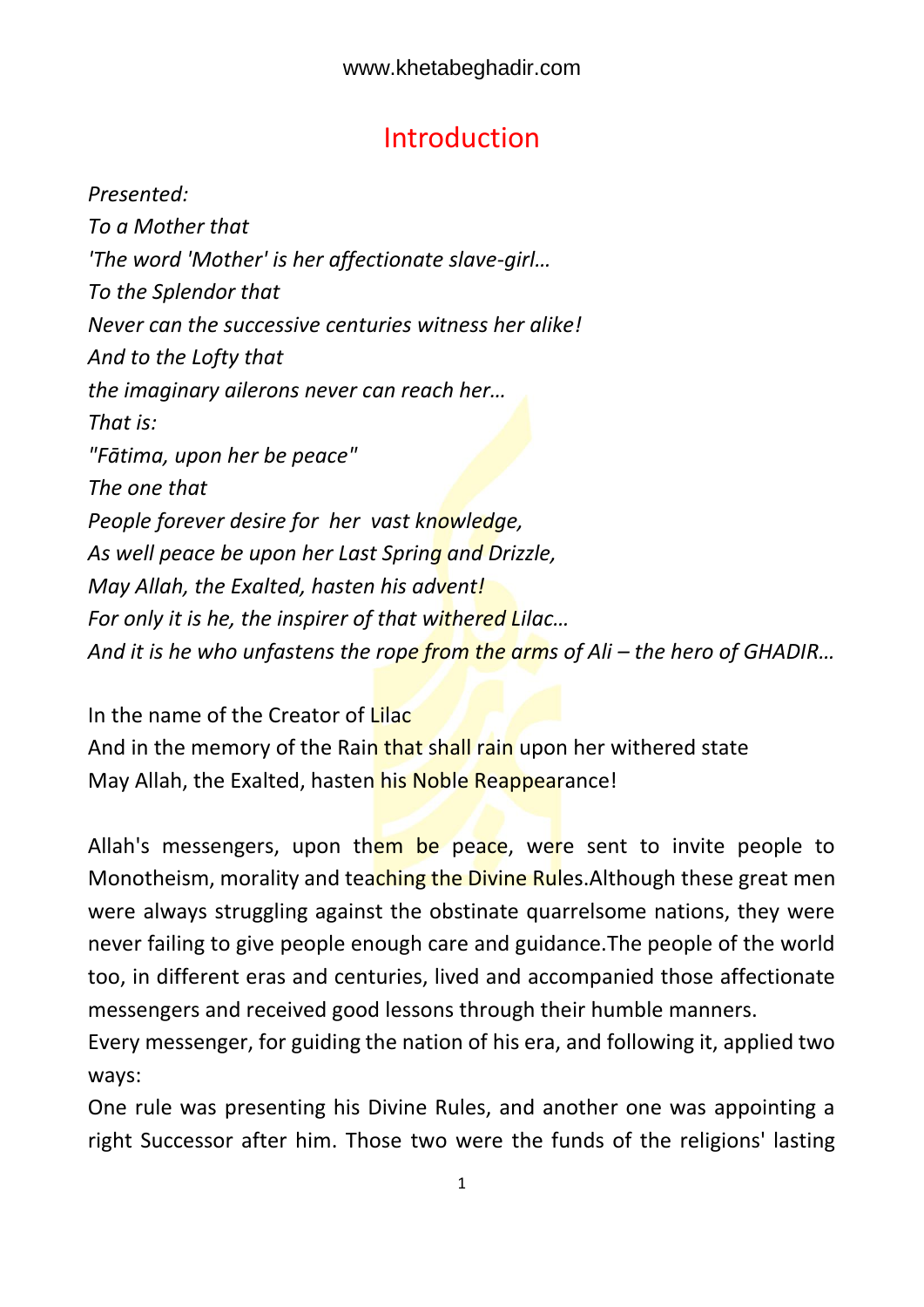### Introduction

<span id="page-1-0"></span>*Presented: To a Mother that 'The word 'Mother' is her affectionate slave-girl… To the Splendor that Never can the successive centuries witness her alike! And to the Lofty that the imaginary ailerons never can reach her… That is: "Fātima, upon her be peace" The one that People forever desire for her vast knowledge, As well peace be upon her Last Spring and Drizzle, May Allah, the Exalted, hasten his advent! For only it is he, the inspirer of that withered Lilac… And it is he who unfastens the rope from the arms of Ali – the hero of GHADIR...* 

In the name of the Creator of Lilac And in the memory of the Rain that shall rain upon her withered state May Allah, the Exalted, hasten his Noble Reappearance!

Allah's messengers, upon them be peace, were sent to invite people to Monotheism, morality and teaching the Divine Rules. Although these great men were always struggling against the obstinate quarrelsome nations, they were never failing to give people enough care and guidance.The people of the world too, in different eras and centuries, lived and accompanied those affectionate messengers and received good lessons through their humble manners.

Every messenger, for guiding the nation of his era, and following it, applied two ways:

One rule was presenting his Divine Rules, and another one was appointing a right Successor after him. Those two were the funds of the religions' lasting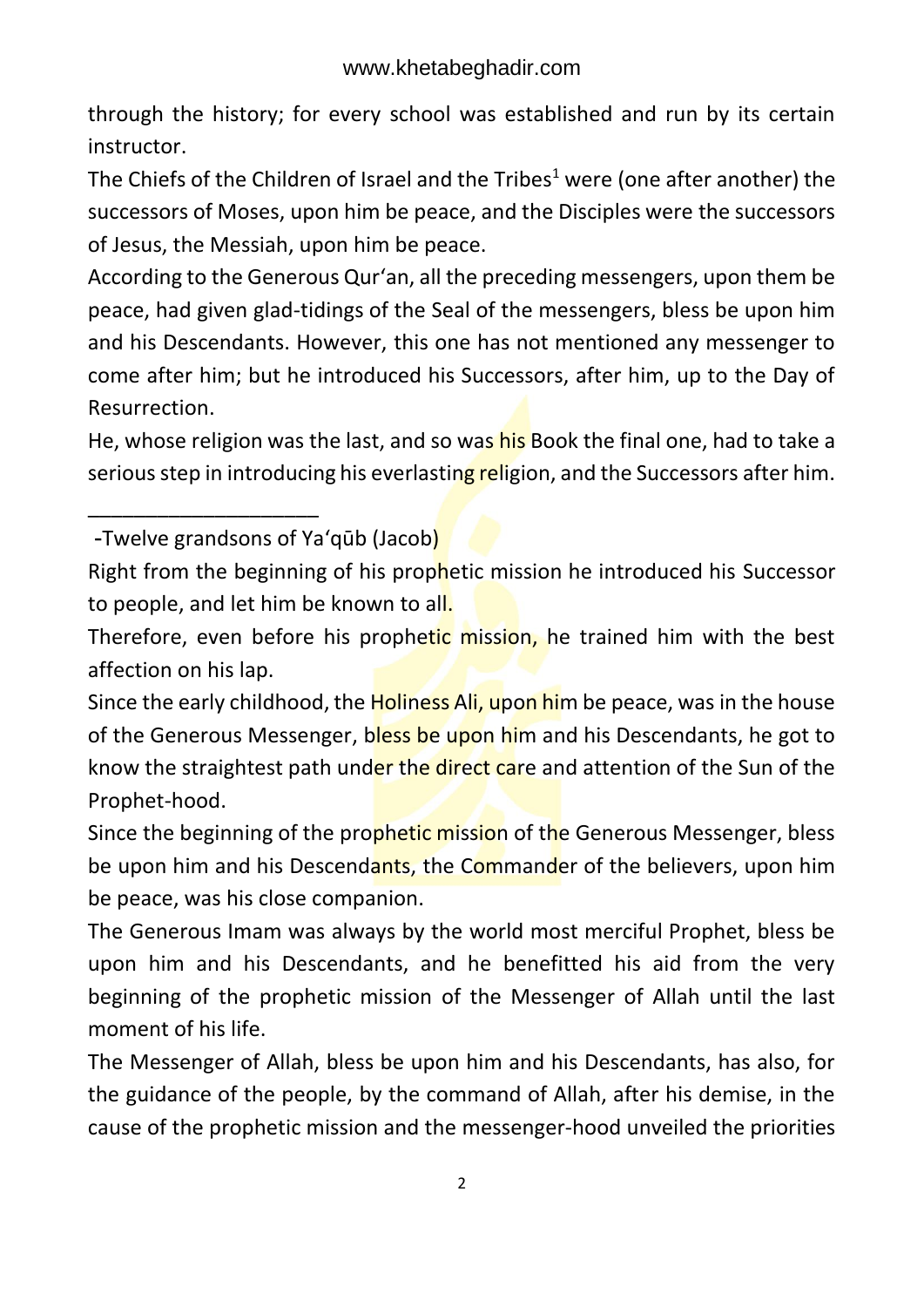through the history; for every school was established and run by its certain instructor.

The Chiefs of the Children of Israel and the Tribes<sup>1</sup> were (one after another) the successors of Moses, upon him be peace, and the Disciples were the successors of Jesus, the Messiah, upon him be peace.

According to the Generous Qur'an, all the preceding messengers, upon them be peace, had given glad-tidings of the Seal of the messengers, bless be upon him and his Descendants. However, this one has not mentioned any messenger to come after him; but he introduced his Successors, after him, up to the Day of Resurrection.

He, whose religion was the last, and so was his Book the final one, had to take a serious step in introducing his everlasting religion, and the Successors after him.

-Twelve grandsons of Ya'qūb (Jacob)

\_\_\_\_\_\_\_\_\_\_\_\_\_\_\_\_\_\_\_\_

Right from the beginning of his prophetic mission he introduced his Successor to people, and let him be known to all.

Therefore, even before his prophetic mission, he trained him with the best affection on his lap.

Since the early childhood, the Holiness Ali, upon him be peace, was in the house of the Generous Messenger, bless be upon him and his Descendants, he got to know the straightest path under the direct care and attention of the Sun of the Prophet-hood.

Since the beginning of the prophetic mission of the Generous Messenger, bless be upon him and his Descendants, the Commander of the believers, upon him be peace, was his close companion.

The Generous Imam was always by the world most merciful Prophet, bless be upon him and his Descendants, and he benefitted his aid from the very beginning of the prophetic mission of the Messenger of Allah until the last moment of his life.

The Messenger of Allah, bless be upon him and his Descendants, has also, for the guidance of the people, by the command of Allah, after his demise, in the cause of the prophetic mission and the messenger-hood unveiled the priorities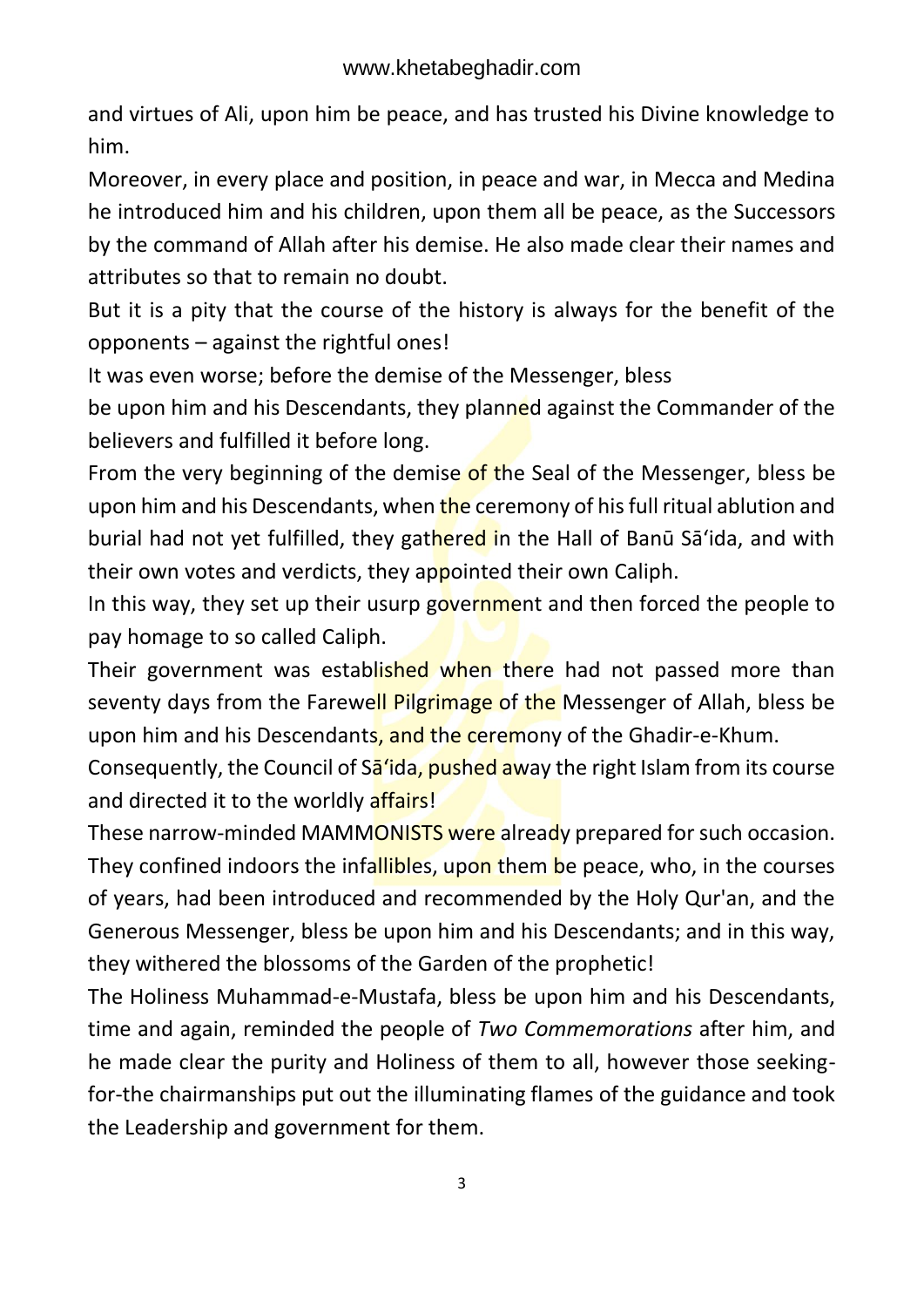and virtues of Ali, upon him be peace, and has trusted his Divine knowledge to him.

Moreover, in every place and position, in peace and war, in Mecca and Medina he introduced him and his children, upon them all be peace, as the Successors by the command of Allah after his demise. He also made clear their names and attributes so that to remain no doubt.

But it is a pity that the course of the history is always for the benefit of the opponents – against the rightful ones!

It was even worse; before the demise of the Messenger, bless

be upon him and his Descendants, they planned against the Commander of the believers and fulfilled it before long.

From the very beginning of the demise of the Seal of the Messenger, bless be upon him and his Descendants, when the ceremony of his full ritual ablution and burial had not yet fulfilled, they gathered in the Hall of Banū Sā'ida, and with their own votes and verdicts, they appointed their own Caliph.

In this way, they set up their usurp government and then forced the people to pay homage to so called Caliph.

Their government was established when there had not passed more than seventy days from the Farewell Pilgrimage of the Messenger of Allah, bless be upon him and his Descendants, and the ceremony of the Ghadir-e-Khum.

Consequently, the Council of Sa'ida, pushed away the right Islam from its course and directed it to the worldly affairs!

These narrow-minded MAMMONISTS were already prepared for such occasion. They confined indoors the infallibles, upon them be peace, who, in the courses of years, had been introduced and recommended by the Holy Qur'an, and the Generous Messenger, bless be upon him and his Descendants; and in this way, they withered the blossoms of the Garden of the prophetic!

The Holiness Muhammad-e-Mustafa, bless be upon him and his Descendants, time and again, reminded the people of *Two Commemorations* after him, and he made clear the purity and Holiness of them to all, however those seekingfor-the chairmanships put out the illuminating flames of the guidance and took the Leadership and government for them.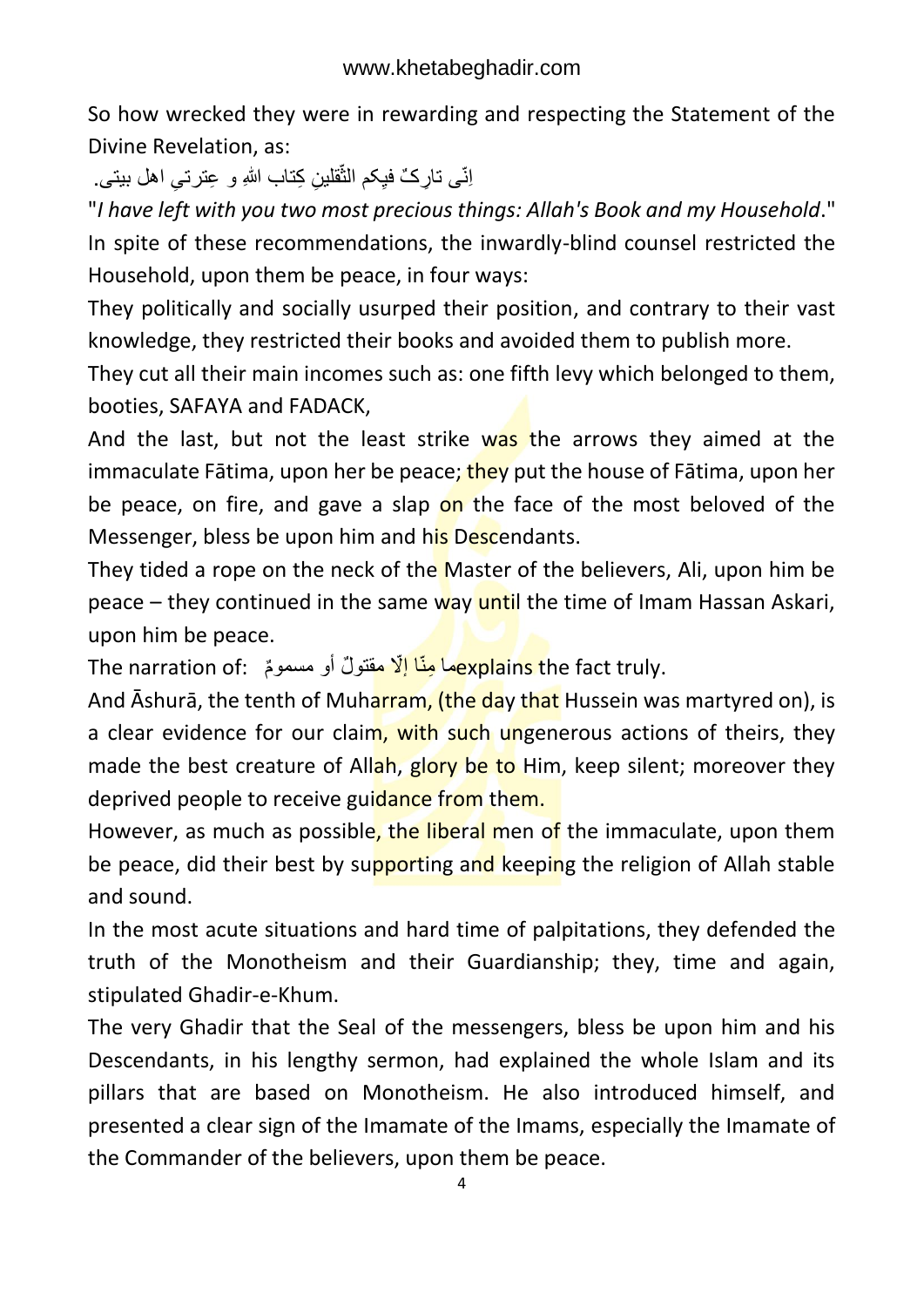So how wrecked they were in rewarding and respecting the Statement of the Divine Revelation, as:

اِنّی نـارِکٌ فَیِکم الثّقلینِ کِتـاب اللهِ و عِترتـیِ اهل بیتـی. ٙ

"*I have left with you two most precious things: Allah's Book and my Household*." In spite of these recommendations, the inwardly-blind counsel restricted the Household, upon them be peace, in four ways:

They politically and socially usurped their position, and contrary to their vast knowledge, they restricted their books and avoided them to publish more.

They cut all their main incomes such as: one fifth levy which belonged to them, booties, SAFAYA and FADACK,

And the last, but not the least strike was the arrows they aimed at the immaculate Fātima, upon her be peace; they put the house of Fātima, upon her be peace, on fire, and gave a slap on the face of the most beloved of the Messenger, bless be upon him and his Descendants.

They tided a rope on the neck of the Master of the believers, Ali, upon him be peace – they continued in the same way until the time of Imam Hassan Askari, upon him be peace.

.explains the fact truly ما مِنّا إِلّا مقتولٌ أو مسمومٌ : The narration of

And Ashura, the tenth of Muharram, (the day that Hussein was martyred on), is a clear evidence for our claim, with such ungenerous actions of theirs, they made the best creature of Allah, glory be to Him, keep silent; moreover they deprived people to receive guidance from them.

However, as much as possible, the liberal men of the immaculate, upon them be peace, did their best by supporting and keeping the religion of Allah stable and sound.

In the most acute situations and hard time of palpitations, they defended the truth of the Monotheism and their Guardianship; they, time and again, stipulated Ghadir-e-Khum.

The very Ghadir that the Seal of the messengers, bless be upon him and his Descendants, in his lengthy sermon, had explained the whole Islam and its pillars that are based on Monotheism. He also introduced himself, and presented a clear sign of the Imamate of the Imams, especially the Imamate of the Commander of the believers, upon them be peace.

4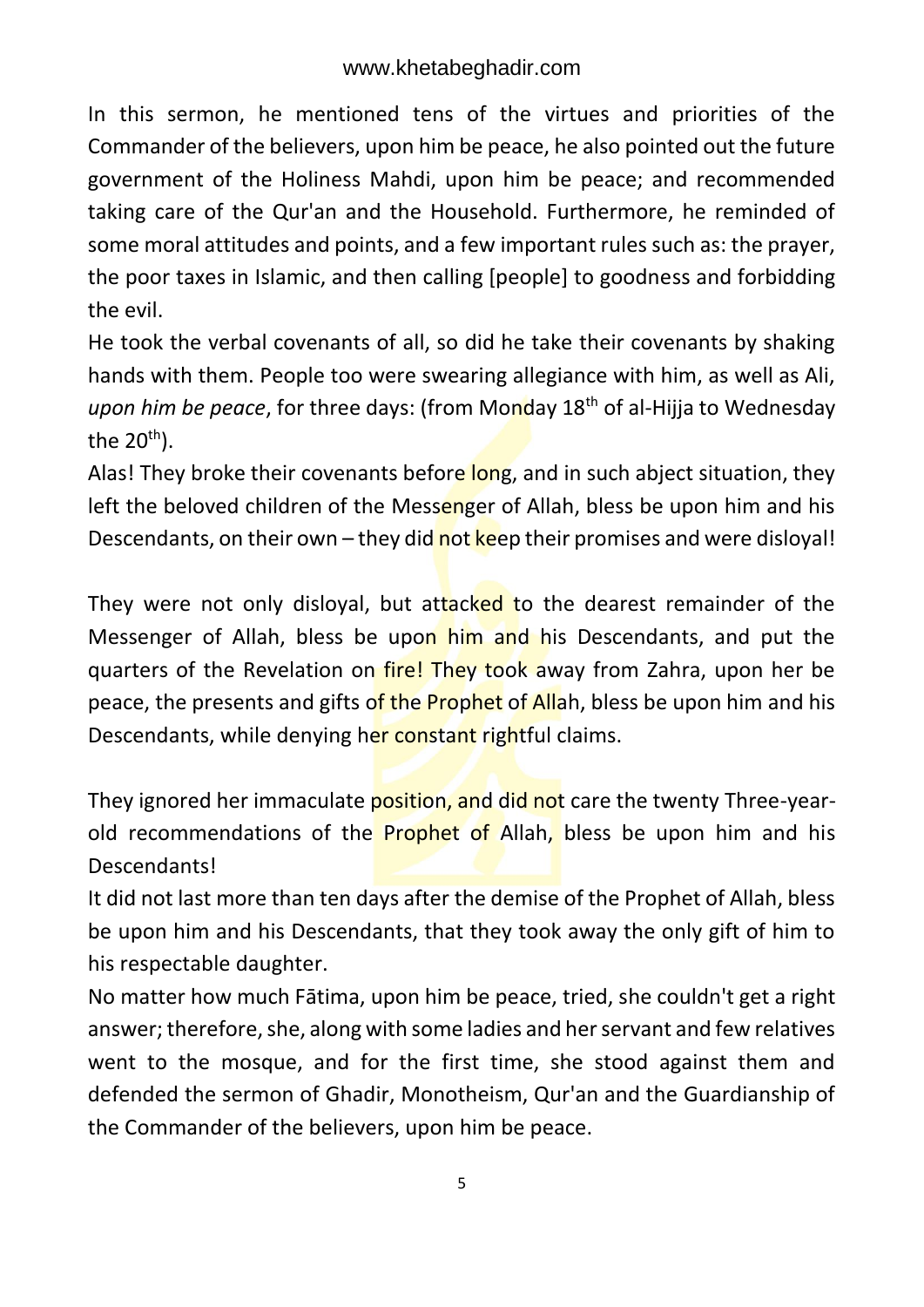In this sermon, he mentioned tens of the virtues and priorities of the Commander of the believers, upon him be peace, he also pointed out the future government of the Holiness Mahdi, upon him be peace; and recommended taking care of the Qur'an and the Household. Furthermore, he reminded of some moral attitudes and points, and a few important rules such as: the prayer, the poor taxes in Islamic, and then calling [people] to goodness and forbidding the evil.

He took the verbal covenants of all, so did he take their covenants by shaking hands with them. People too were swearing allegiance with him, as well as Ali, *upon him be peace*, for three days: (from Monday 18<sup>th</sup> of al-Hijja to Wednesday the  $20<sup>th</sup>$ ).

Alas! They broke their covenants before long, and in such abject situation, they left the beloved children of the Messenger of Allah, bless be upon him and his Descendants, on their own – they did not keep their promises and were disloyal!

They were not only disloyal, but attacked to the dearest remainder of the Messenger of Allah, bless be upon him and his Descendants, and put the quarters of the Revelation on fire! They took away from Zahra, upon her be peace, the presents and gifts of the Prophet of Allah, bless be upon him and his Descendants, while denying her constant rightful claims.

They ignored her immaculate position, and did not care the twenty Three-yearold recommendations of the Prophet of Allah, bless be upon him and his Descendants!

It did not last more than ten days after the demise of the Prophet of Allah, bless be upon him and his Descendants, that they took away the only gift of him to his respectable daughter.

No matter how much Fātima, upon him be peace, tried, she couldn't get a right answer; therefore, she, along with some ladies and her servant and few relatives went to the mosque, and for the first time, she stood against them and defended the sermon of Ghadir, Monotheism, Qur'an and the Guardianship of the Commander of the believers, upon him be peace.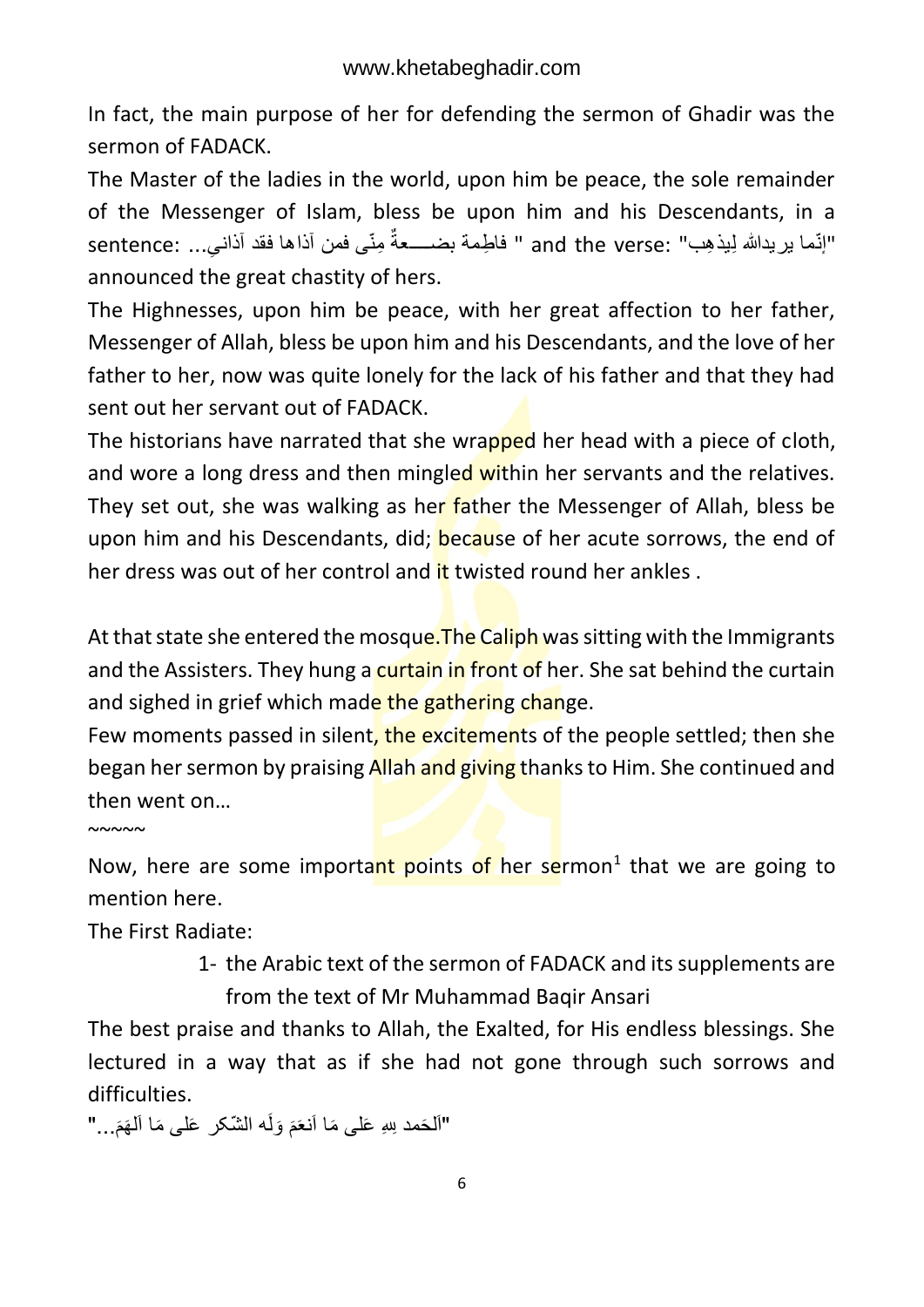In fact, the main purpose of her for defending the sermon of Ghadir was the sermon of FADACK.

The Master of the ladies in the world, upon him be peace, the sole remainder of the Messenger of Islam, bless be upon him and his Descendants, in a النّما بريدالله لِيذهِب" :and the verse " فاطِمة بضـــــعةٌ مِنّى فمن آذاها فقد آذاني... :sentence announced the great chastity of hers.

The Highnesses, upon him be peace, with her great affection to her father, Messenger of Allah, bless be upon him and his Descendants, and the love of her father to her, now was quite lonely for the lack of his father and that they had sent out her servant out of FADACK.

The historians have narrated that she wrapped her head with a piece of cloth, and wore a long dress and then mingled within her servants and the relatives. They set out, she was walking as her father the Messenger of Allah, bless be upon him and his Descendants, did; **because of her acute sorrows**, the end of her dress was out of her control and it twisted round her ankles.

At that state she entered the mosque. The Caliph was sitting with the Immigrants and the Assisters. They hung a curtain in front of her. She sat behind the curtain and sighed in grief which made the gathering change.

Few moments passed in silent, the excitements of the people settled; then she began her sermon by praising Allah and giving thanks to Him. She continued and then went on…

 $~\sim$  ~~~

Now, here are some important points of her sermon<sup>1</sup> that we are going to mention here.

The First Radiate:

1- the Arabic text of the sermon of FADACK and its supplements are from the text of Mr Muhammad Baqir Ansari

The best praise and thanks to Allah, the Exalted, for His endless blessings. She lectured in a way that as if she had not gone through such sorrows and difficulties.

"اَلْحَمد لِلهِ عَلٰى مَا اَنْعَمَ وَلَه الشَّكر عَلٰى مَا اَلْهَمَ..." َ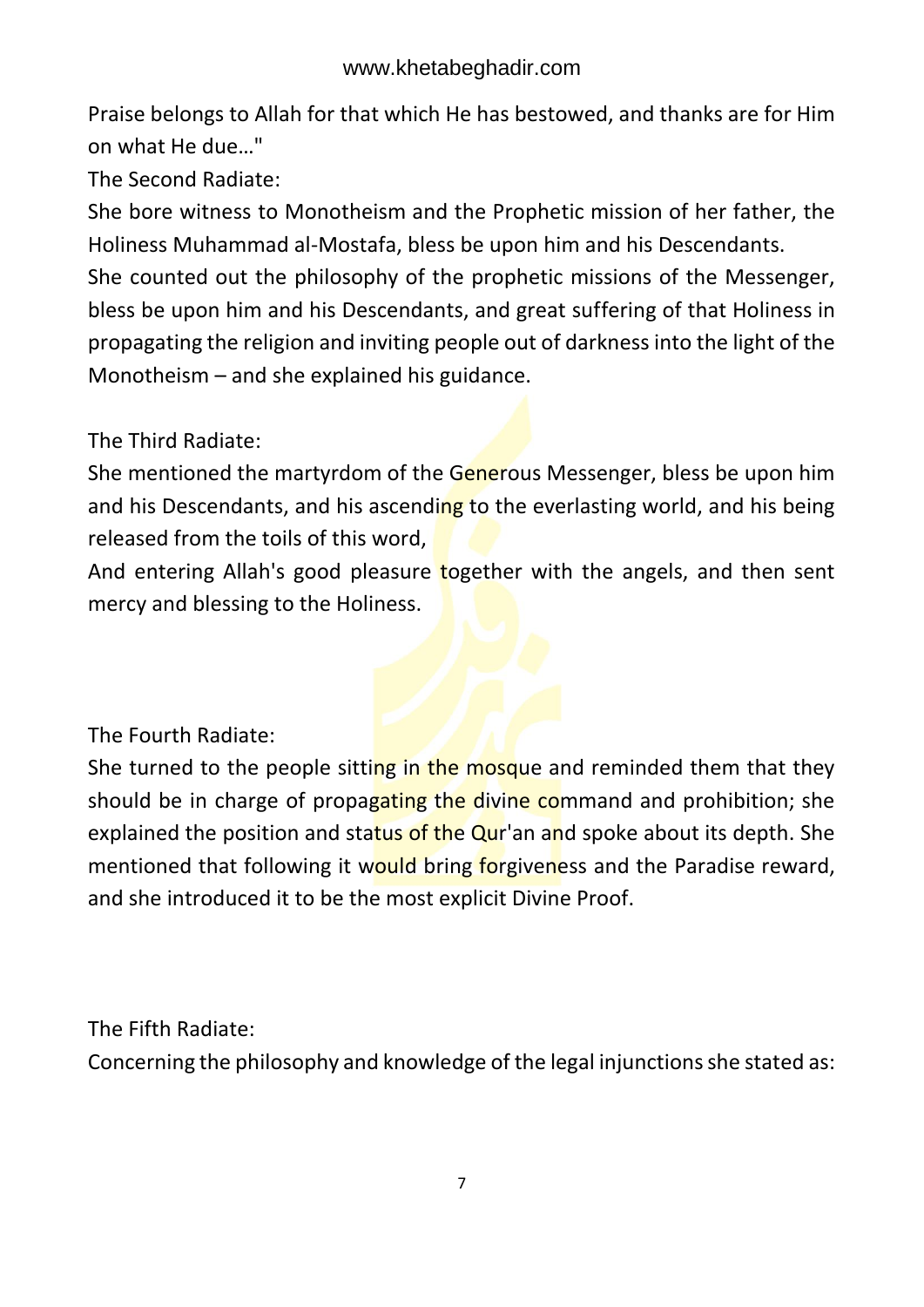Praise belongs to Allah for that which He has bestowed, and thanks are for Him on what He due…"

The Second Radiate:

She bore witness to Monotheism and the Prophetic mission of her father, the Holiness Muhammad al-Mostafa, bless be upon him and his Descendants.

She counted out the philosophy of the prophetic missions of the Messenger, bless be upon him and his Descendants, and great suffering of that Holiness in propagating the religion and inviting people out of darkness into the light of the Monotheism – and she explained his guidance.

The Third Radiate:

She mentioned the martyrdom of the Generous Messenger, bless be upon him and his Descendants, and his ascending to the everlasting world, and his being released from the toils of this word,

And entering Allah's good pleasure together with the angels, and then sent mercy and blessing to the Holiness.

The Fourth Radiate:

She turned to the people sitting in the mosque and reminded them that they should be in charge of propagating the divine command and prohibition; she explained the position and status of the Qur'an and spoke about its depth. She mentioned that following it would bring forgiveness and the Paradise reward, and she introduced it to be the most explicit Divine Proof.

The Fifth Radiate:

Concerning the philosophy and knowledge of the legal injunctions she stated as: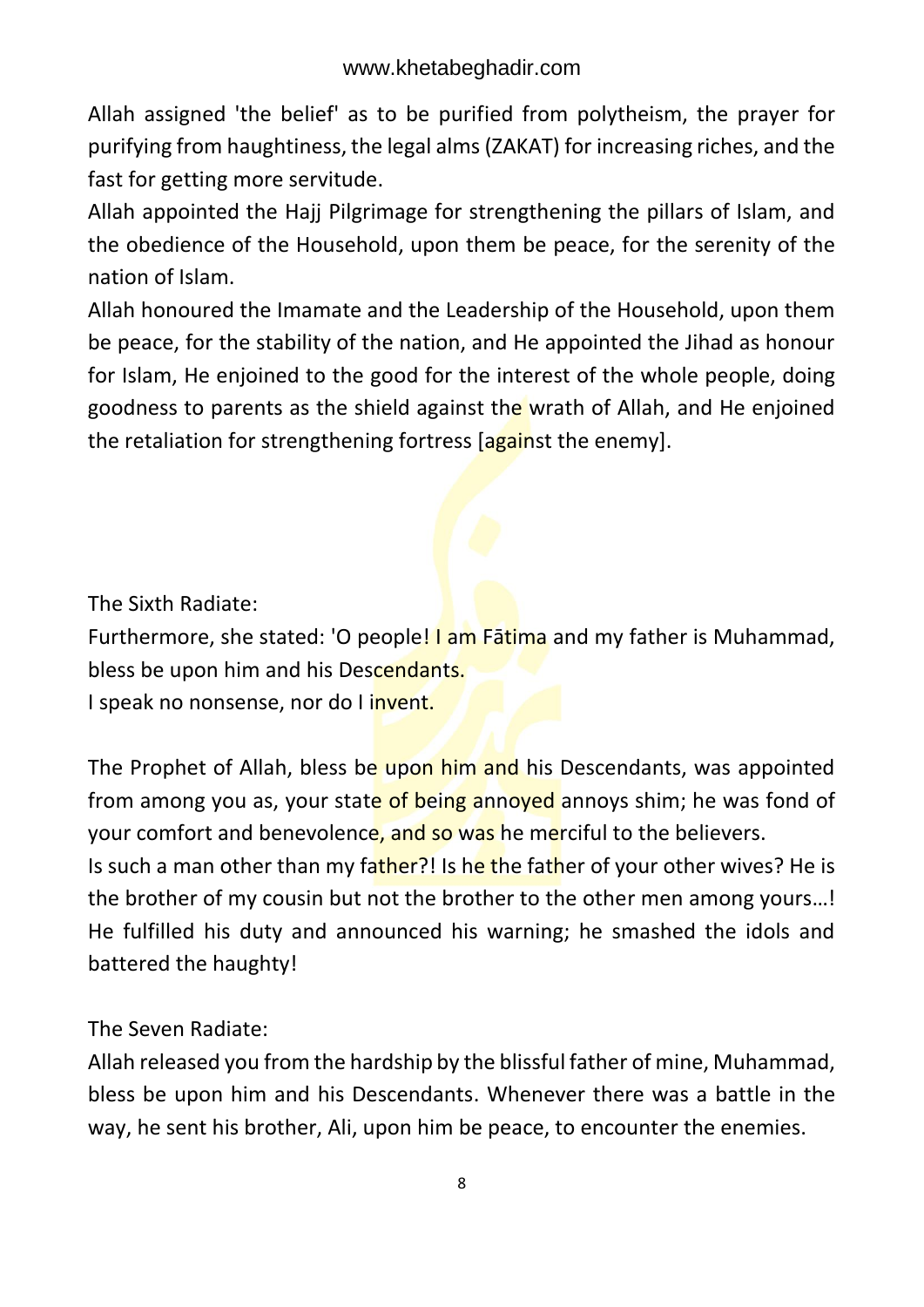Allah assigned 'the belief' as to be purified from polytheism, the prayer for purifying from haughtiness, the legal alms (ZAKAT) for increasing riches, and the fast for getting more servitude.

Allah appointed the Hajj Pilgrimage for strengthening the pillars of Islam, and the obedience of the Household, upon them be peace, for the serenity of the nation of Islam.

Allah honoured the Imamate and the Leadership of the Household, upon them be peace, for the stability of the nation, and He appointed the Jihad as honour for Islam, He enjoined to the good for the interest of the whole people, doing goodness to parents as the shield against the wrath of Allah, and He enjoined the retaliation for strengthening fortress [against the enemy].

The Sixth Radiate:

Furthermore, she stated: 'O people! I am Fatima and my father is Muhammad, bless be upon him and his Descendants.

I speak no nonsense, nor do I invent.

The Prophet of Allah, bless be upon him and his Descendants, was appointed from among you as, your state of being annoyed annoys shim; he was fond of your comfort and benevolence, and so was he merciful to the believers. Is such a man other than my father?! Is he the father of your other wives? He is the brother of my cousin but not the brother to the other men among yours…! He fulfilled his duty and announced his warning; he smashed the idols and

battered the haughty!

The Seven Radiate:

Allah released you from the hardship by the blissful father of mine, Muhammad, bless be upon him and his Descendants. Whenever there was a battle in the way, he sent his brother, Ali, upon him be peace, to encounter the enemies.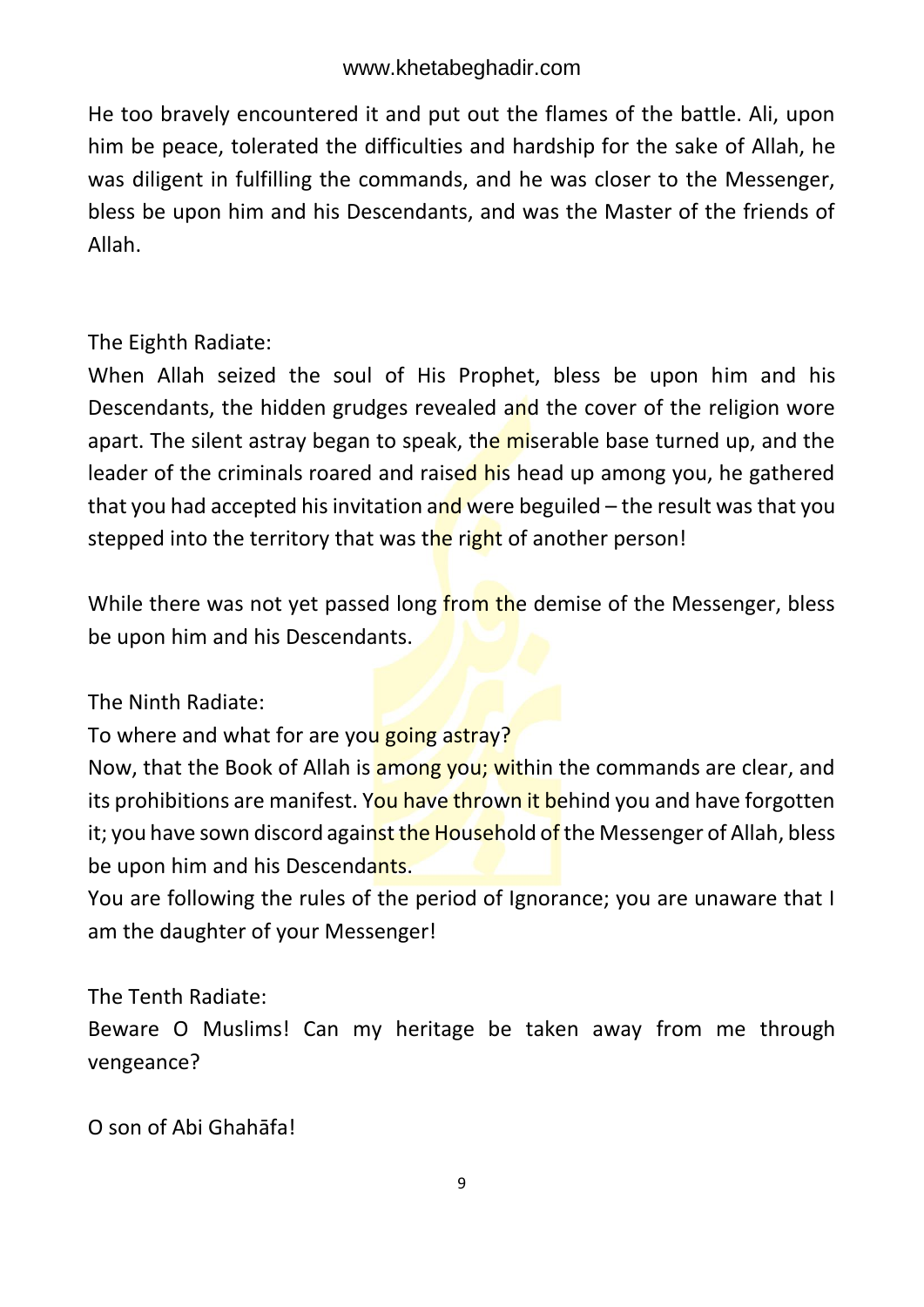He too bravely encountered it and put out the flames of the battle. Ali, upon him be peace, tolerated the difficulties and hardship for the sake of Allah, he was diligent in fulfilling the commands, and he was closer to the Messenger, bless be upon him and his Descendants, and was the Master of the friends of Allah.

The Eighth Radiate:

When Allah seized the soul of His Prophet, bless be upon him and his Descendants, the hidden grudges revealed and the cover of the religion wore apart. The silent astray began to speak, the miserable base turned up, and the leader of the criminals roared and raised his head up among you, he gathered that you had accepted his invitation and were beguiled  $-$  the result was that you stepped into the territory that was the right of another person!

While there was not yet passed long from the demise of the Messenger, bless be upon him and his Descendants.

The Ninth Radiate:

To where and what for are you going astray?

Now, that the Book of Allah is among you; within the commands are clear, and its prohibitions are manifest. You have thrown it behind you and have forgotten it; you have sown discord against the Household of the Messenger of Allah, bless be upon him and his Descendants.

You are following the rules of the period of Ignorance; you are unaware that I am the daughter of your Messenger!

The Tenth Radiate:

Beware O Muslims! Can my heritage be taken away from me through vengeance?

O son of Abi Ghahāfa!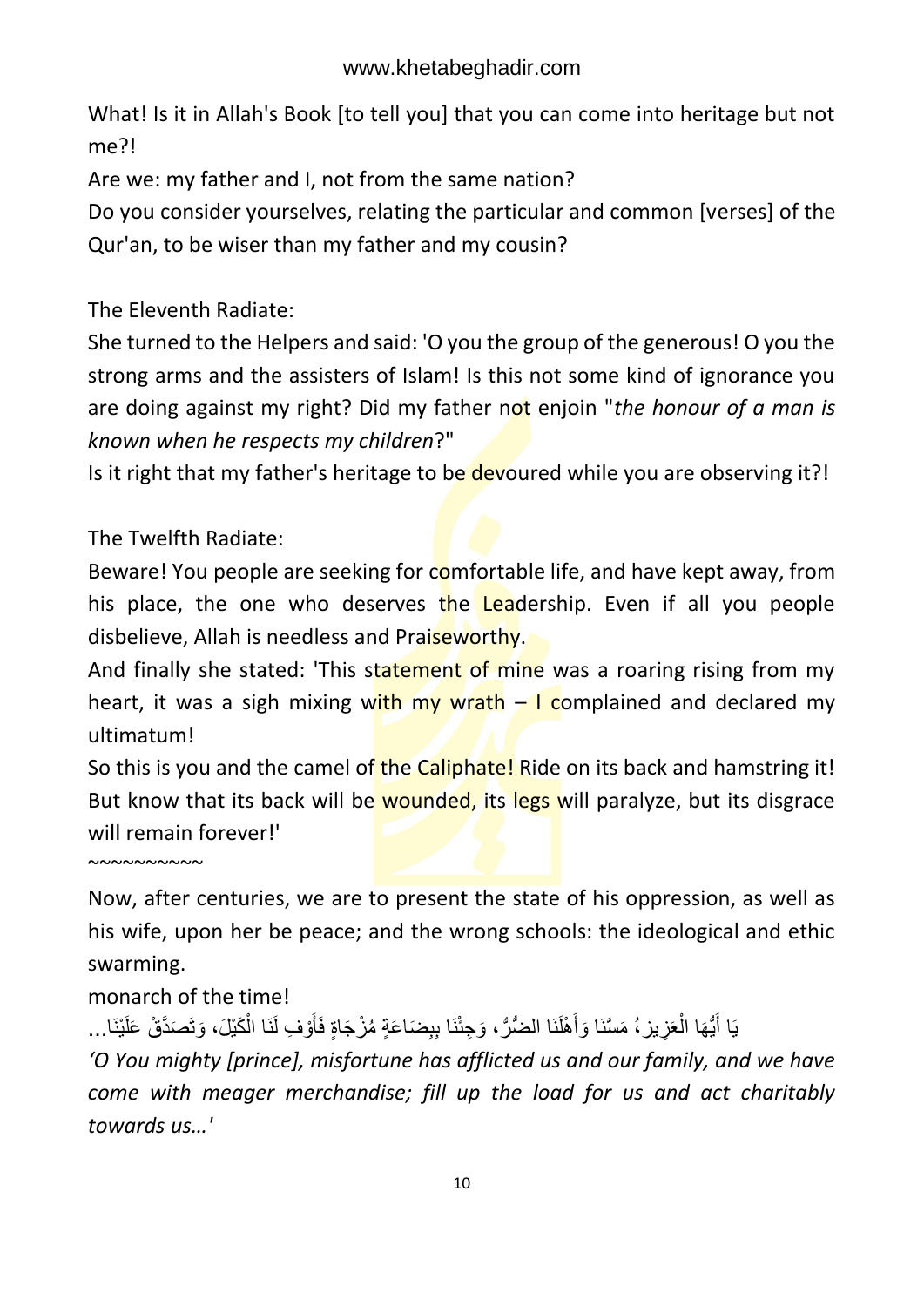What! Is it in Allah's Book [to tell you] that you can come into heritage but not me?!

Are we: my father and I, not from the same nation?

Do you consider yourselves, relating the particular and common [verses] of the Qur'an, to be wiser than my father and my cousin?

The Eleventh Radiate:

She turned to the Helpers and said: 'O you the group of the generous! O you the strong arms and the assisters of Islam! Is this not some kind of ignorance you are doing against my right? Did my father not enjoin "*the honour of a man is known when he respects my children*?"

Is it right that my father's heritage to be devoured while you are observing it?!

The Twelfth Radiate:

Beware! You people are seeking for comfortable life, and have kept away, from his place, the one who deserves the Leadership. Even if all you people disbelieve, Allah is needless and Praiseworthy.

And finally she stated: 'This statement of mine was a roaring rising from my heart, it was a sigh mixing with my wrath  $-1$  complained and declared my ultimatum!

So this is you and the camel of the Caliphate! Ride on its back and hamstring it! But know that its back will be wounded, its legs will paralyze, but its disgrace will remain forever!'

 $~\sim$   $\sim$   $\sim$   $\sim$   $\sim$   $\sim$   $\sim$ 

Now, after centuries, we are to present the state of his oppression, as well as his wife, upon her be peace; and the wrong schools: the ideological and ethic swarming.

monarch of the time!

يَا أَيُّهَا الْعَزِيزِ ، مَسَّنَا وَأَهْلَنَا الضُّرُّ ، وَجِئْنَا بِبِضَاعَةٍ مُزْجَاةٍ فَأَوْفِ لَنَا الْكَيْلَ، وَتَصَدَّقْ عَلَيْنَا… َ ْ **ٔ** ْ ِ<br>اُ

*'O You mighty [prince], misfortune has afflicted us and our family, and we have come with meager merchandise; fill up the load for us and act charitably towards us…'*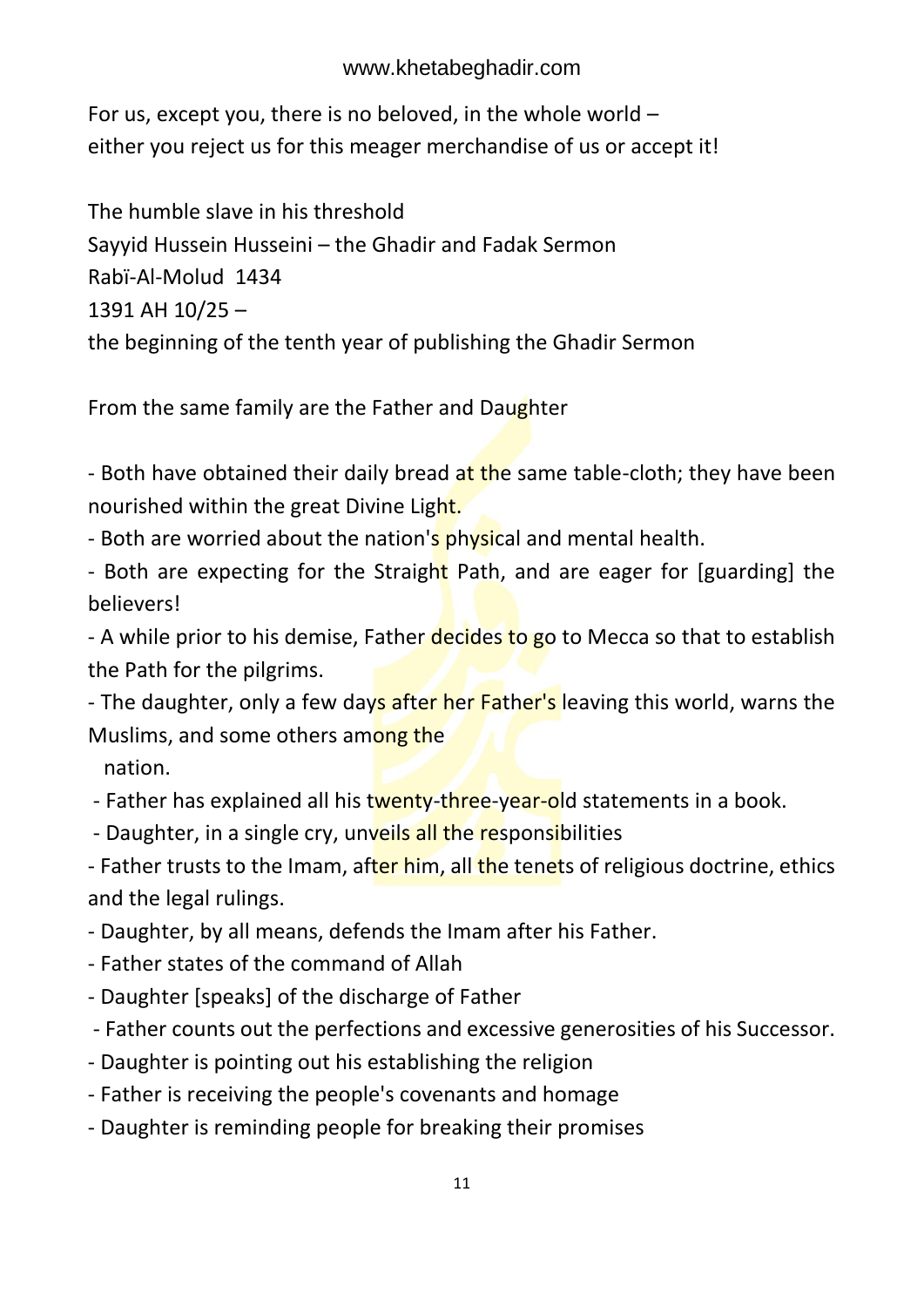For us, except you, there is no beloved, in the whole world – either you reject us for this meager merchandise of us or accept it!

The humble slave in his threshold Sayyid Hussein Husseini – the Ghadir and Fadak Sermon Rabï-Al-Molud 1434 1391 AH 10/25 – the beginning of the tenth year of publishing the Ghadir Sermon

From the same family are the Father and Daughter

- Both have obtained their daily bread at the same table-cloth; they have been nourished within the great Divine Light.

- Both are worried about the nation's physical and mental health.

- Both are expecting for the Straight Path, and are eager for [guarding] the believers!

- A while prior to his demise, Father decides to go to Mecca so that to establish the Path for the pilgrims.

- The daughter, only a few days after her Father's leaving this world, warns the Muslims, and some others among the

nation.

- Father has explained all his twenty-three-year-old statements in a book.

- Daughter, in a single cry, unveils all the responsibilities

- Father trusts to the Imam, after him, all the tenets of religious doctrine, ethics and the legal rulings.

- Daughter, by all means, defends the Imam after his Father.

- Father states of the command of Allah
- Daughter [speaks] of the discharge of Father
- Father counts out the perfections and excessive generosities of his Successor.
- Daughter is pointing out his establishing the religion
- Father is receiving the people's covenants and homage
- Daughter is reminding people for breaking their promises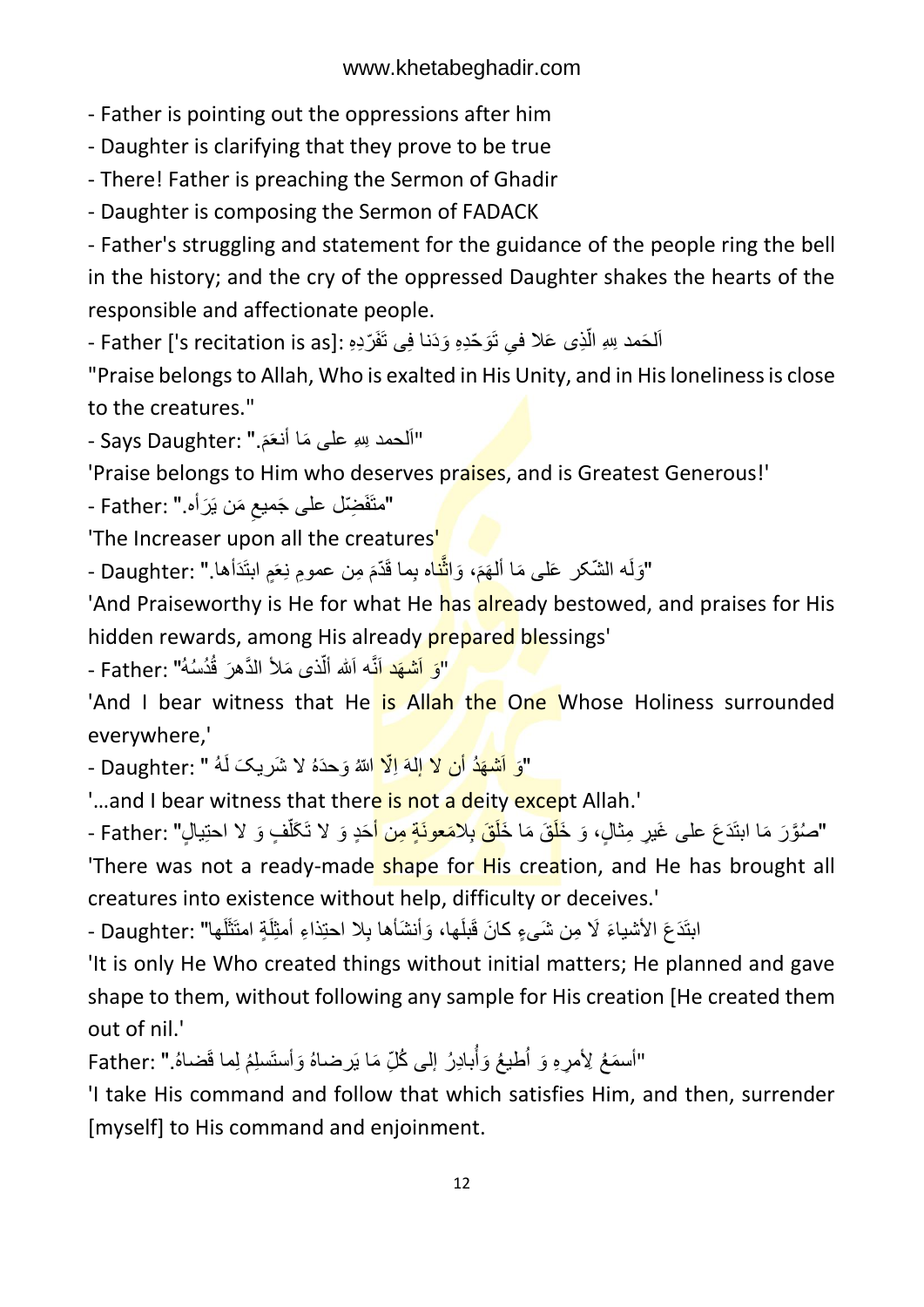- Father is pointing out the oppressions after him

- Daughter is clarifying that they prove to be true

- There! Father is preaching the Sermon of Ghadir

- Daughter is composing the Sermon of FADACK

- Father's struggling and statement for the guidance of the people ring the bell in the history; and the cry of the oppressed Daughter shakes the hearts of the responsible and affectionate people.

- Father ['s recitation is as]: فِي تَوَحَّدِهِ وَدَنا فِي تَفَرَّدِهِ . اً

"Praise belongs to Allah, Who is exalted in His Unity, and in His loneliness is close to the creatures."

- Says Daughter: "أَلْحَمَد لِللهِ عَلَى مَا أَنْعَمَ. مَ<br>م

'Praise belongs to Him who deserves praises, and is Greatest Generous!'

- Father: "متَفَضِّل علی جَميعِ مَن يَرَأه. ِ

'The Increaser upon all the creatures'

"وَلَم الشّكر عَلى مَا أَلْهَمَ، وَا<mark>ثْن</mark>َاه بِما قَدّمَ مِن عمومِ نِعَمٍ ابنَذَأها." :Daughter -َ َّ

'And Praiseworthy is He for what He has already bestowed, and praises for His hidden rewards, among His already prepared blessings'

"<mark>وَ اَشْهَد اَنَ</mark>ّه اَسْ أَلَّذ*ى* مَلأ الدَّهرَ قُدُسُهُ" :Father -ٳٚ

'And I bear witness that He is Allah the One Whose Holiness surrounded everywhere,'

- Daughter: "وَ اَ<mark>شْهَدُ أَن لاَ إِلَهَ اِلّا ا</mark>للهُ وَحدَهُ لاَ شَريكَ لَهُ " :Daughter -

'...and I bear witness that there is not a deity except Allah.'

"صُوَّرَ مَا ابتَدَعَ على غَيرِ مِثالٍ، وَ خَ<mark>لَ</mark>قَ مَا خَلَ<mark>قَ بِلاَمَعونَةٍ مِن أ</mark>خَدٍ وَ لا تَكَلَّفٍ وَ لا احتِيالٍ" :Father -ٳٚ 'There was not a ready-made shape for His creation, and He has brought all creatures into existence without help, difficulty or deceives.'

ابنَدَعَ الأشياءَ لَا مِن شَيءٍ كانَ قَبلَها، وَأنشَأها بِلا احتِذاءِ أمثِلَةٍ امتَثَلَها" :Daughter -لَ لَ

'It is only He Who created things without initial matters; He planned and gave shape to them, without following any sample for His creation [He created them out of nil.'

"أسمَعُ لِأمرِهِ وَ أُطيعُ وَأَبادِرُ إلى كُلِّ مَا يَرضناهُ وَأَستَسلِمُ لِما قَضناهُ." :Father ُ

'I take His command and follow that which satisfies Him, and then, surrender [myself] to His command and enjoinment.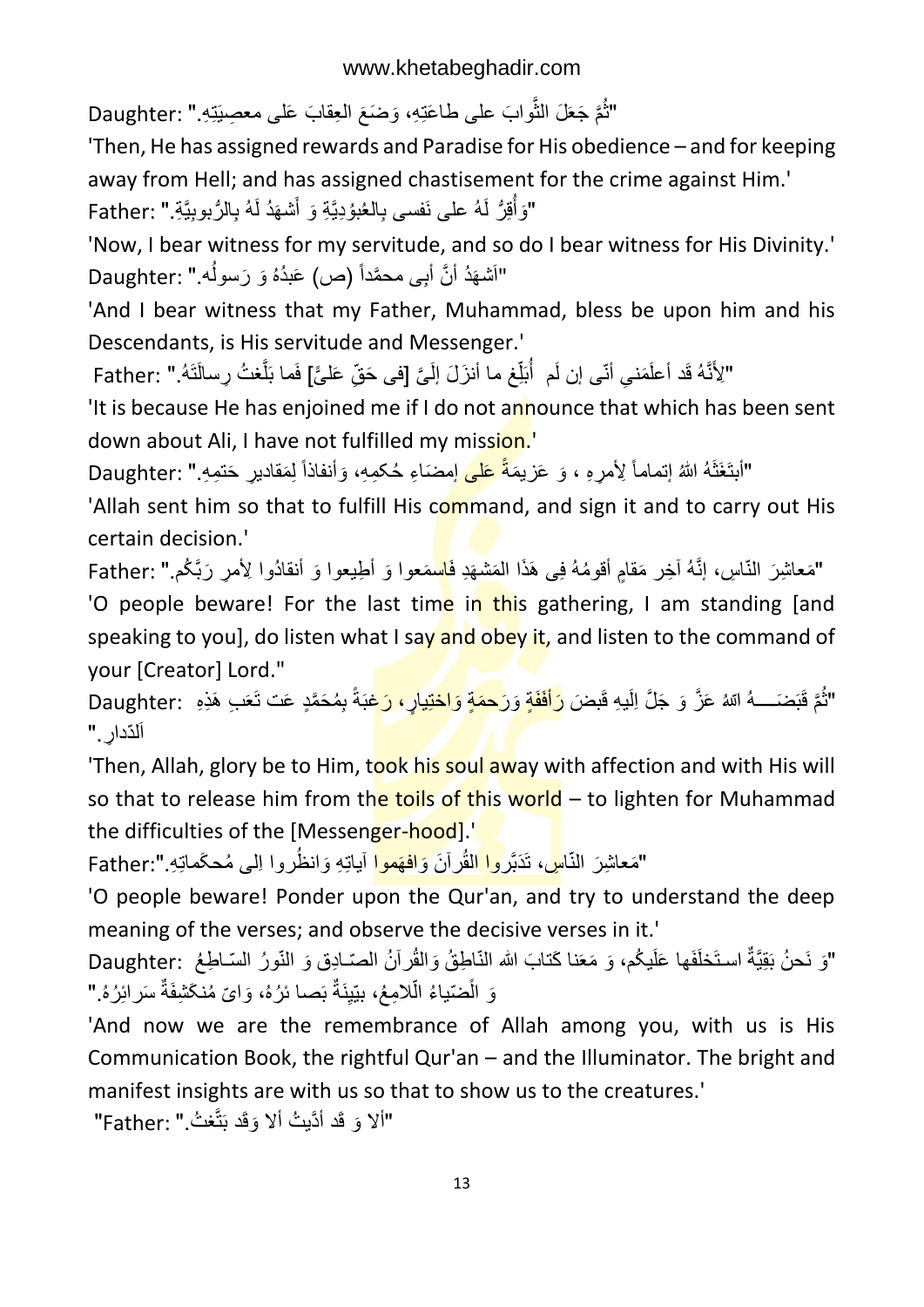"ثُمَّ جَعَلَ الثُّوابَ على طاعَتِهِ، وَضَعَ الْعِقابَ عَلَى معصِيَتِهِ." :Daughter ُ

'Then, He has assigned rewards and Paradise for His obedience – and for keeping away from Hell; and has assigned chastisement for the crime against Him.' "وَأُقِرُّ لَهُ على نَفسى بِالْعُبُوْدِيَّةِ وَ أَشْهَدُ لَهُ بِالرُّبُوبِيَّةِ." :Father ُ

'Now, I bear witness for my servitude, and so do I bear witness for His Divinity.' "اَشْهَدُ أَنَّ أَبِی محمَّداً (ص) عَبدُهُ وَ رَسولُه." :Daughter

'And I bear witness that my Father, Muhammad, bless be upon him and his Descendants, is His servitude and Messenger.'

"لِأَنَّهُ قَد أعلَمَنـِي أنّـى إن لَم ۚ أُبَلِّغ ما أنزَلَ إلَىَّ [فى حَقِّ عَلـىًّ] فَما بَلَّغتُ رِسالَتَهُ." :Father اً ُ َّ ًّ

'It is because He has enjoined me if I do not announce that which has been sent down about Ali, I have not fulfilled my mission.

"أبتَغَثَهُ اللهُ إنماماً لِأمرِهِ ، وَ عَزيمَةً <mark>عَلَى</mark> إمضَاءِ حُكمِهِ، وَأنفاذاً لِمَقاديرِ حَتمِهِ." :Daughter ِل

'Allah sent him so that to fulfill His command, and sign it and to carry out His certain decision.'

"مَعاشِرَ النّاسِ، إنَّهُ أخِر مَقامٍ أقومُهُ فِی هَذَا الْمَشْهَدِ فَ<mark>اس</mark>مَعوا وَ أطِيعوا وَ أنقادُوا لِأمرٍ رَبَّكُم." :Father 'O people beware! For the last time in this gathering, I am standing [and speaking to you], do listen what I say and obey it, and listen to the command of your [Creator] Lord."

َوا :Daughter َو َرح َمٍة ََ َرأفَ َف ٍة َ هُ ّّللاُ َع َّز َو َج َّل اِلَی ِه قَب َّم قَبَضعععععع َّ ِب َهِدِه ُ "ث بِ ُم َح َّمٍِ َعت تَ ٍر، َرغَبةً ختِیا اَلدّدارِ ـ"

'Then, Allah, glory be to Him, took his soul away with affection and with His will so that to release him from the toils of this world  $-$  to lighten for Muhammad the difficulties of the [Messenger-hood].'

"مَعاشِرَ النّا<mark>سِ</mark>، تَدَبَّر<mark>وا الْقُرآنَ وَافْهَموا</mark> أياتِهِ وَانظُروا اِل<sub>ّ</sub>ى مُحكَماتِهِ.":Father

'O people beware! Ponder upon the Qur'an, and try to understand the deep meaning of the verses; and observe the decisive verses in it.'

"وَ نَحنُ بَقِيَّةٌ استَخَلَفَها عَلَيكُم، وَ مَعَنا كَتابَ الله النّاطِقُ وَالْقُرآنُ الصّـادِق وَ النّورُ السّـاطِعُ :Daughter وَ الَّضّياءُ الَّلامِعُ، بيّيِنَةٌ بَصـا ئرُهُ، وَايّ مُنكَشِفَةٌ سَرائِرُهُ." ً

'And now we are the remembrance of Allah among you, with us is His Communication Book, the rightful Qur'an – and the Illuminator. The bright and manifest insights are with us so that to show us to the creatures.'

"ألا وَ قَد أدَّيتُ ألا وَقَد بَتَّغتُ." :Father"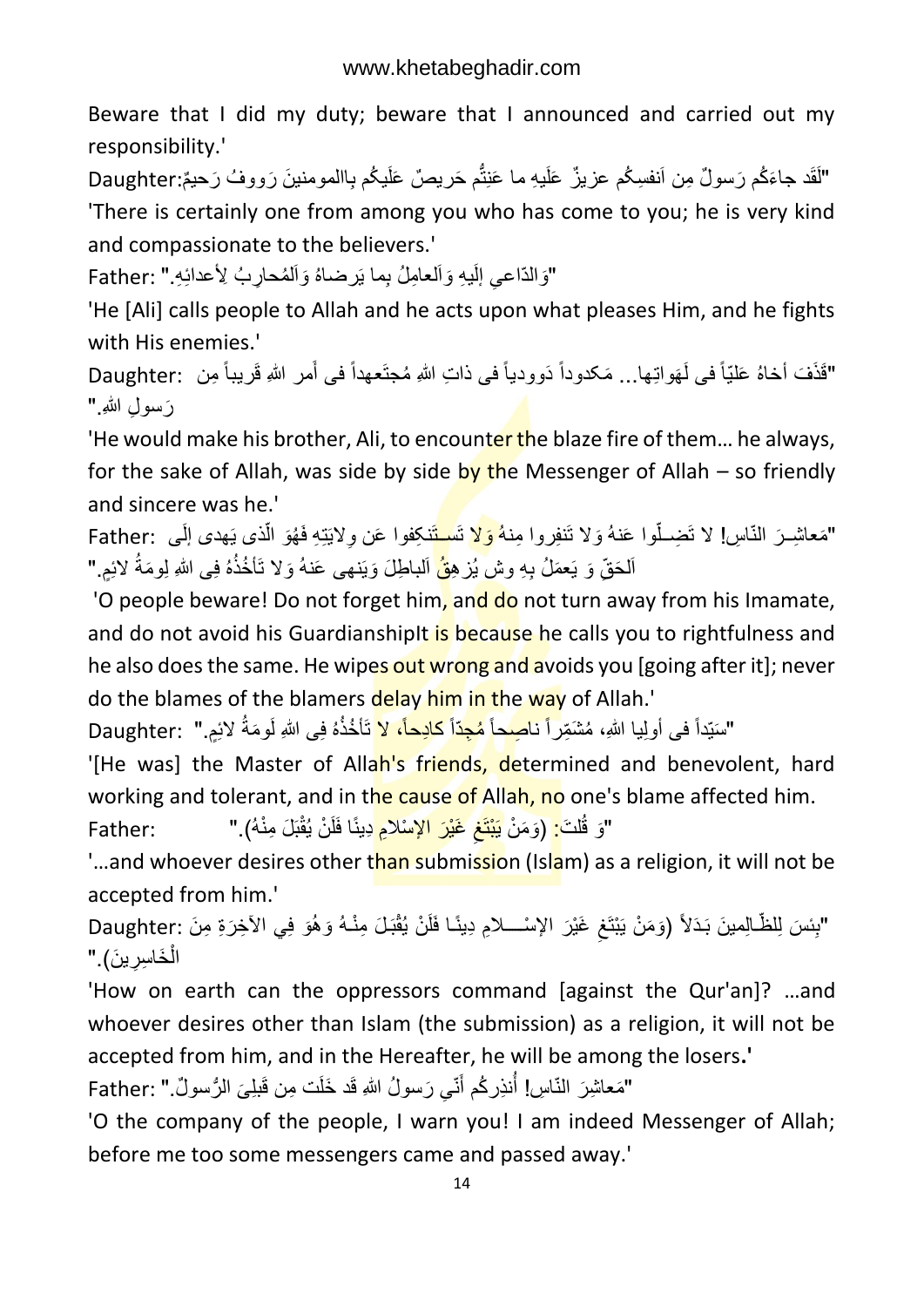Beware that I did my duty; beware that I announced and carried out my responsibility.'

"لَقَد جاءَكُم رَسولٌ مِن اَنفسِكُم عزيزٌ عَلَيهِ ما عَنِتُّم حَريصٌ عَلَيكُم بِاالمومنينَ رَووفُ رَحيمٌ:Daughter ُّ 'There is certainly one from among you who has come to you; he is very kind and compassionate to the believers.'

"وَالدّاعيِ إلَيهِ وَالعامِلُ بِما يَرضاهُ وَالْمُحارِبُ لِأَعدائِهِ." :Father

'He [Ali] calls people to Allah and he acts upon what pleases Him, and he fights with His enemies.'

"قَذَفَ أَخاهُ عَلَيّاً في لَهَواتِها... مَكدوداً دَوودياً في ذاتِ اللهِ مُجتَعهداً في أَمر اللهِ قَريباً مِن َ رَ سو ل اللهِ."

'He would make his brother, Ali, to encounter the blaze fire of them... he always, for the sake of Allah, was side by side by the Messenger of Allah – so friendly and sincere was he.'

"مَعاشِـرَ النّاسِ! لا تَضِــلّوا عَنهُ وَلا تَنفِروا مِنه<mark>ُ وَلا</mark> تَس<mark>ـتَ</mark>نكِفوا عَن وِلايَتِهِ فَهُوَ الّذ*ى* يَهد*ى* إلَـى :Father أ اَلحَقِّ وَ يَعمَلُ بِهِ وشْ يُزْهِ<mark>قُ</mark> اَلباطِلَ وَيَنهى عَنهُ وَلا تَأخُذُهُ فِى اللهِ لِومَةُ لائِمٍ."

'O people beware! Do not forget him, and do not turn away from his Imamate, and do not avoid his GuardianshipIt is because he calls you to rightfulness and he also does the same. He wipes out wrong and avoids you [going after it]; never do the blames of the blamers delay him in the way of Allah.'

"سَيِّداً فی أولِيا اللهِ، مُشْمِّراً نا<mark>صِحاً مُجِدّاً كادِحاً، لا</mark> تَأخُذُهُ فِی اللهِ لَومَةُ لائِمٍ." :Daughter

'[He was] the Master of Allah's friends, determined and benevolent, hard working and tolerant, and in the cause of Allah, no one's blame affected him.

َغْی :Father َو َم ْن یَ ْبتَغ ل َت: ) َو قُ قبَ َل ِمْنهُ(." " َر اإل ْسالِم ِِینًا فَلَ ْن یُ ِ ْ

'...and whoever desires other than submission (Islam) as a religion, it will not be accepted from him.'

"بِئسَ لِلظَّـالِمينَ بَدَلاً (وَمَنْ يَبْتَغِ غَيْرَ الإِسْــــلامِ دِينًـا فَلَنْ يُقْبَـلَ مِنْـهُ وَهُوَ فِي الآخِرَةِ مِنَ :Daughter ِ ، ا الْخَاسِرِينَ)." ْ

'How on earth can the oppressors command [against the Qur'an]? …and whoever desires other than Islam (the submission) as a religion, it will not be accepted from him, and in the Hereafter, he will be among the losers**.'**

"مَعاشِرَ النّاسِ! أَنذِركُم أُنّي رَسولُ اللهِ قَد خَلَت مِن قَبلِيَ الرُّسولُ." :Father َ ا<br>ان

'O the company of the people, I warn you! I am indeed Messenger of Allah; before me too some messengers came and passed away.'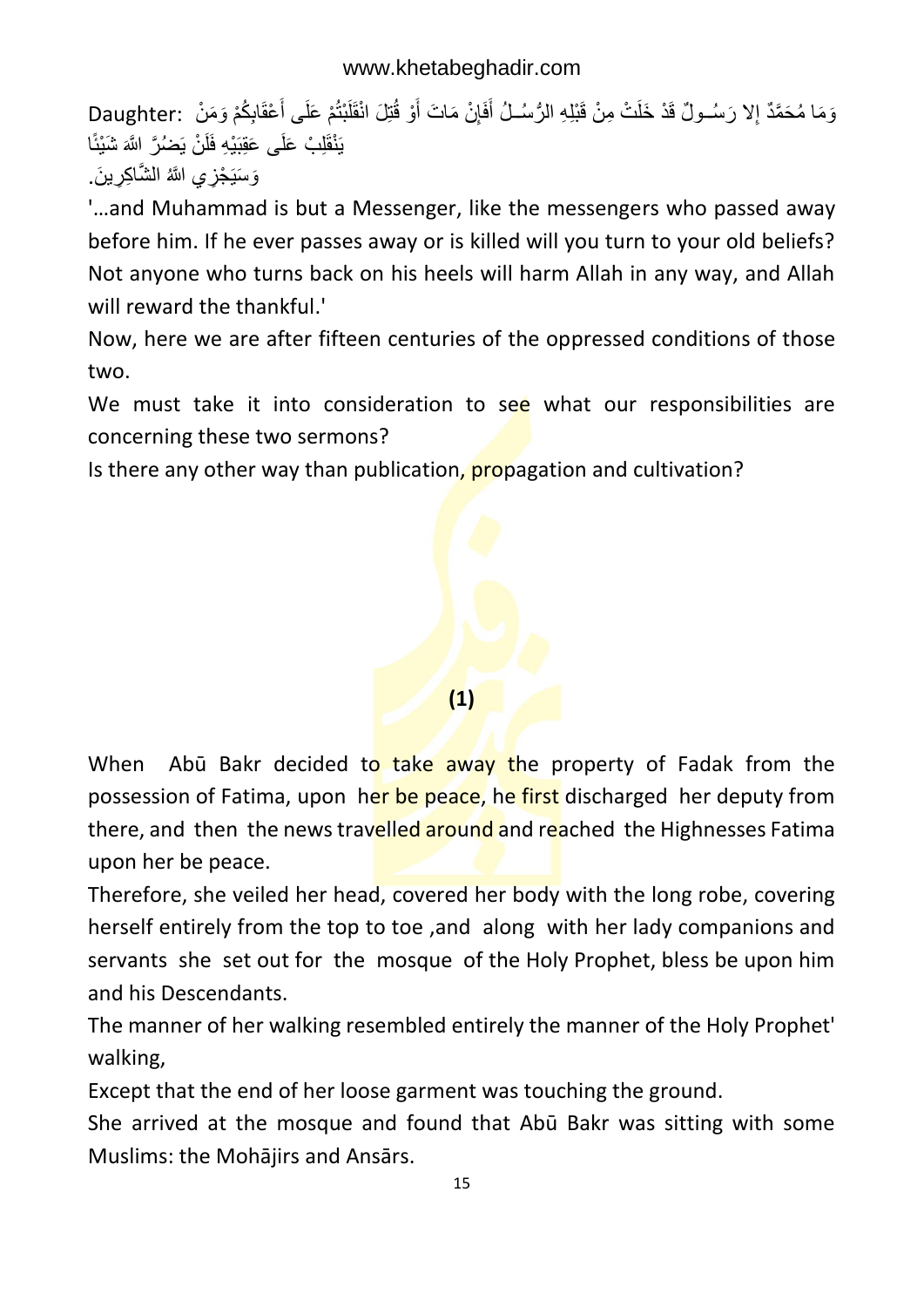وَمَا مُحَمَّدٌ إِلا رَسُــولٌ قَدْ خَلَتْ مِنْ قَبْلِهِ الرُّسُــلُ أَفَإِنْ مَاتَ أَوْ قُتِلَ انْقَلَبْتُمْ عَلَى أَعْقَابِكُمْ وَمَنْ Daughter: ) ِ َ َ َ یَنْقَلِبْ عَلَٰی عَقِبَیْهِ فَلَنْ یَصْرُ ۚ اللّهَ شَیْئًا وَسَيَجْزِي اللَّهُ الشَّاكِرِينَ.

'…and Muhammad is but a Messenger, like the messengers who passed away before him. If he ever passes away or is killed will you turn to your old beliefs? Not anyone who turns back on his heels will harm Allah in any way, and Allah will reward the thankful.'

Now, here we are after fifteen centuries of the oppressed conditions of those two.

We must take it into consideration to see what our responsibilities are concerning these two sermons?

Is there any other way than publication, **propagation** and cultivation?



When Abū Bakr decided to take away the property of Fadak from the possession of Fatima, upon her be peace, he first discharged her deputy from there, and then the news travelled around and reached the Highnesses Fatima upon her be peace.

Therefore, she veiled her head, covered her body with the long robe, covering herself entirely from the top to toe ,and along with her lady companions and servants she set out for the mosque of the Holy Prophet, bless be upon him and his Descendants.

The manner of her walking resembled entirely the manner of the Holy Prophet' walking,

Except that the end of her loose garment was touching the ground.

She arrived at the mosque and found that Abū Bakr was sitting with some Muslims: the Mohājirs and Ansārs.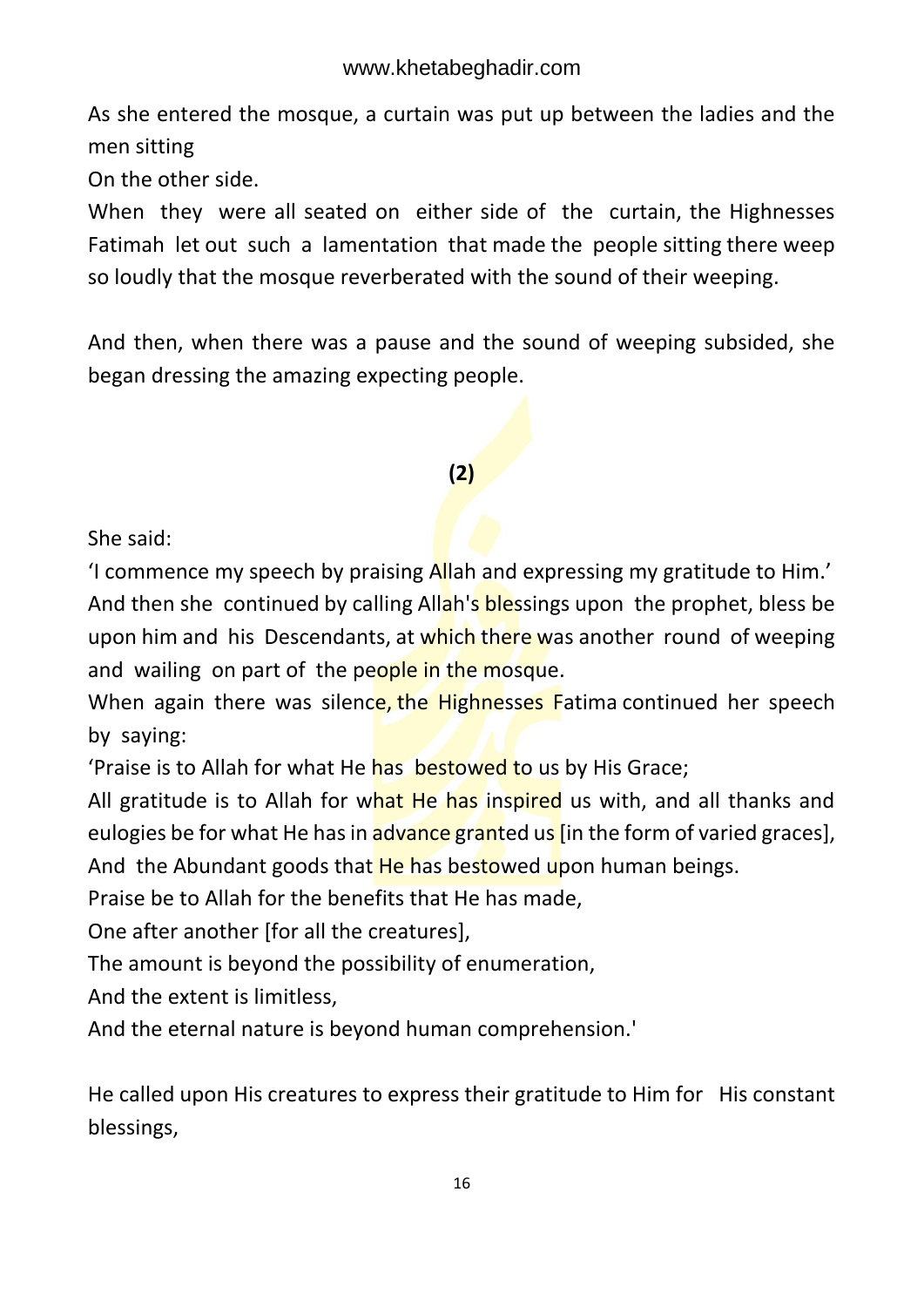As she entered the mosque, a curtain was put up between the ladies and the men sitting

On the other side.

When they were all seated on either side of the curtain, the Highnesses Fatimah let out such a lamentation that made the people sitting there weep so loudly that the mosque reverberated with the sound of their weeping.

And then, when there was a pause and the sound of weeping subsided, she began dressing the amazing expecting people.

#### **(2)**

She said:

'I commence my speech by praising Allah and expressing my gratitude to Him.' And then she continued by calling Allah's blessings upon the prophet, bless be upon him and his Descendants, at which there was another round of weeping and wailing on part of the people in the mosque.

When again there was silence, the Highnesses Fatima continued her speech by saying:

'Praise is to Allah for what He has bestowed to us by His Grace;

All gratitude is to Allah for what He has inspired us with, and all thanks and eulogies be for what He has in advance granted us [in the form of varied graces], And the Abundant goods that He has bestowed upon human beings.

Praise be to Allah for the benefits that He has made,

One after another [for all the creatures],

The amount is beyond the possibility of enumeration,

And the extent is limitless,

And the eternal nature is beyond human comprehension.'

He called upon His creatures to express their gratitude to Him for His constant blessings,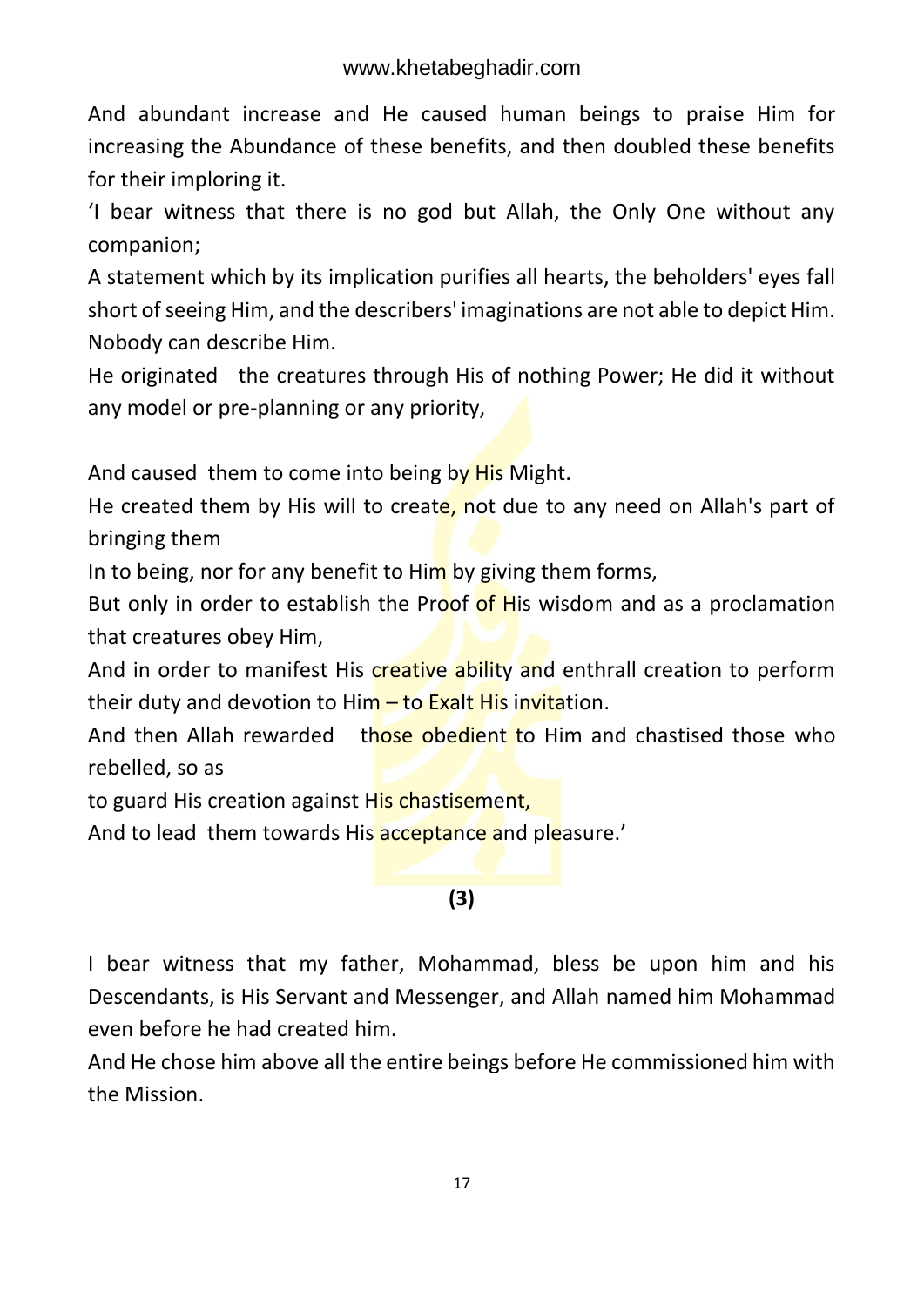And abundant increase and He caused human beings to praise Him for increasing the Abundance of these benefits, and then doubled these benefits for their imploring it.

'I bear witness that there is no god but Allah, the Only One without any companion;

A statement which by its implication purifies all hearts, the beholders' eyes fall short of seeing Him, and the describers' imaginations are not able to depict Him. Nobody can describe Him.

He originated the creatures through His of nothing Power; He did it without any model or pre-planning or any priority,

And caused them to come into being by His Might.

He created them by His will to create, not due to any need on Allah's part of bringing them

In to being, nor for any benefit to Him by giving them forms,

But only in order to establish the Proof of His wisdom and as a proclamation that creatures obey Him,

And in order to manifest His creative ability and enthrall creation to perform their duty and devotion to Him  $-$  to Exalt His invitation.

And then Allah rewarded those obedient to Him and chastised those who rebelled, so as

to guard His creation against His chastisement,

And to lead them towards His acceptance and pleasure.'

#### **(3)**

I bear witness that my father, Mohammad, bless be upon him and his Descendants, is His Servant and Messenger, and Allah named him Mohammad even before he had created him.

And He chose him above all the entire beings before He commissioned him with the Mission.

17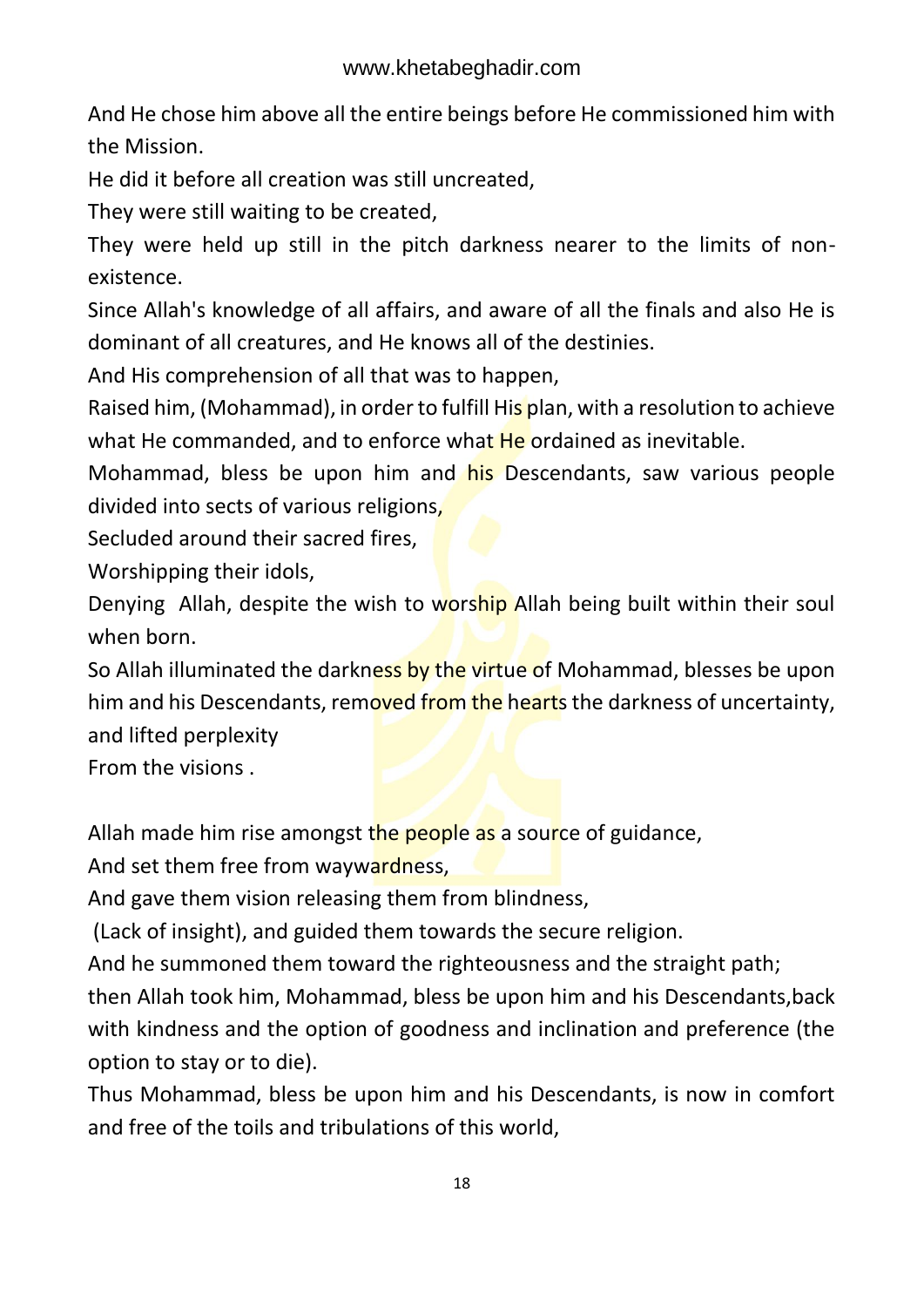And He chose him above all the entire beings before He commissioned him with the Mission.

He did it before all creation was still uncreated,

They were still waiting to be created,

They were held up still in the pitch darkness nearer to the limits of nonexistence.

Since Allah's knowledge of all affairs, and aware of all the finals and also He is dominant of all creatures, and He knows all of the destinies.

And His comprehension of all that was to happen,

Raised him, (Mohammad), in order to fulfill His plan, with a resolution to achieve what He commanded, and to enforce what He ordained as inevitable.

Mohammad, bless be upon him and his Descendants, saw various people divided into sects of various religions,

Secluded around their sacred fires,

Worshipping their idols,

Denying Allah, despite the wish to worship Allah being built within their soul when born.

So Allah illuminated the darkness by the virtue of Mohammad, blesses be upon him and his Descendants, removed from the hearts the darkness of uncertainty, and lifted perplexity

From the visions .

Allah made him rise amongst the people as a source of guidance,

And set them free from waywardness,

And gave them vision releasing them from blindness,

(Lack of insight), and guided them towards the secure religion.

And he summoned them toward the righteousness and the straight path;

then Allah took him, Mohammad, bless be upon him and his Descendants,back with kindness and the option of goodness and inclination and preference (the option to stay or to die).

Thus Mohammad, bless be upon him and his Descendants, is now in comfort and free of the toils and tribulations of this world,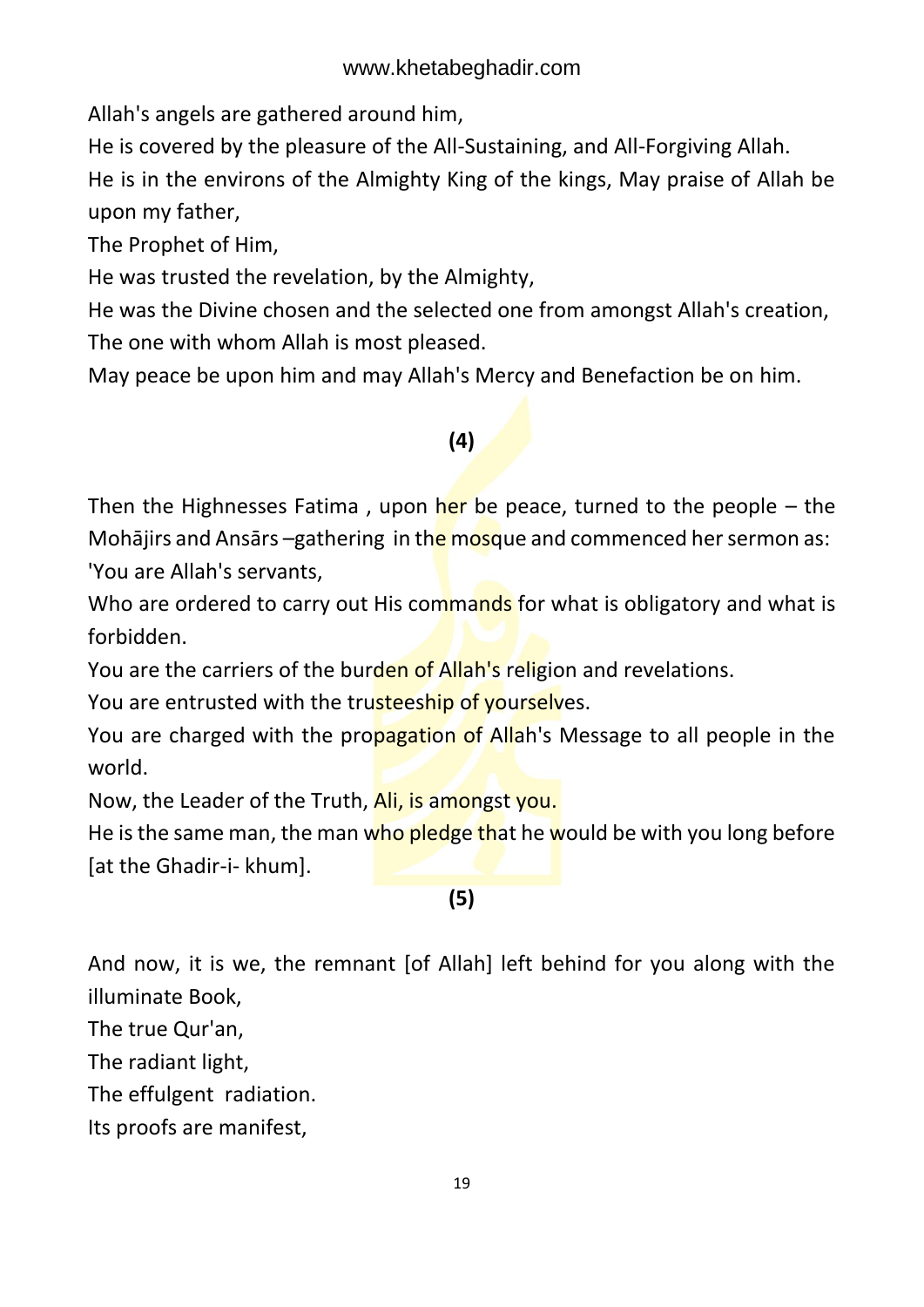Allah's angels are gathered around him,

He is covered by the pleasure of the All-Sustaining, and All-Forgiving Allah.

He is in the environs of the Almighty King of the kings, May praise of Allah be upon my father,

The Prophet of Him,

He was trusted the revelation, by the Almighty,

He was the Divine chosen and the selected one from amongst Allah's creation, The one with whom Allah is most pleased.

May peace be upon him and may Allah's Mercy and Benefaction be on him.

### **(4)**

Then the Highnesses Fatima, upon her be peace, turned to the people – the Mohājirs and Ansārs –gathering in the mosque and commenced her sermon as: 'You are Allah's servants,

Who are ordered to carry out His commands for what is obligatory and what is forbidden.

You are the carriers of the burden of Allah's religion and revelations.

You are entrusted with the trusteeship of yourselves.

You are charged with the propagation of Allah's Message to all people in the world.

Now, the Leader of the Truth, Ali, is amongst you.

He is the same man, the man who pledge that he would be with you long before [at the Ghadir-i- khum].

#### **(5)**

And now, it is we, the remnant [of Allah] left behind for you along with the illuminate Book,

The true Qur'an,

The radiant light,

The effulgent radiation.

Its proofs are manifest,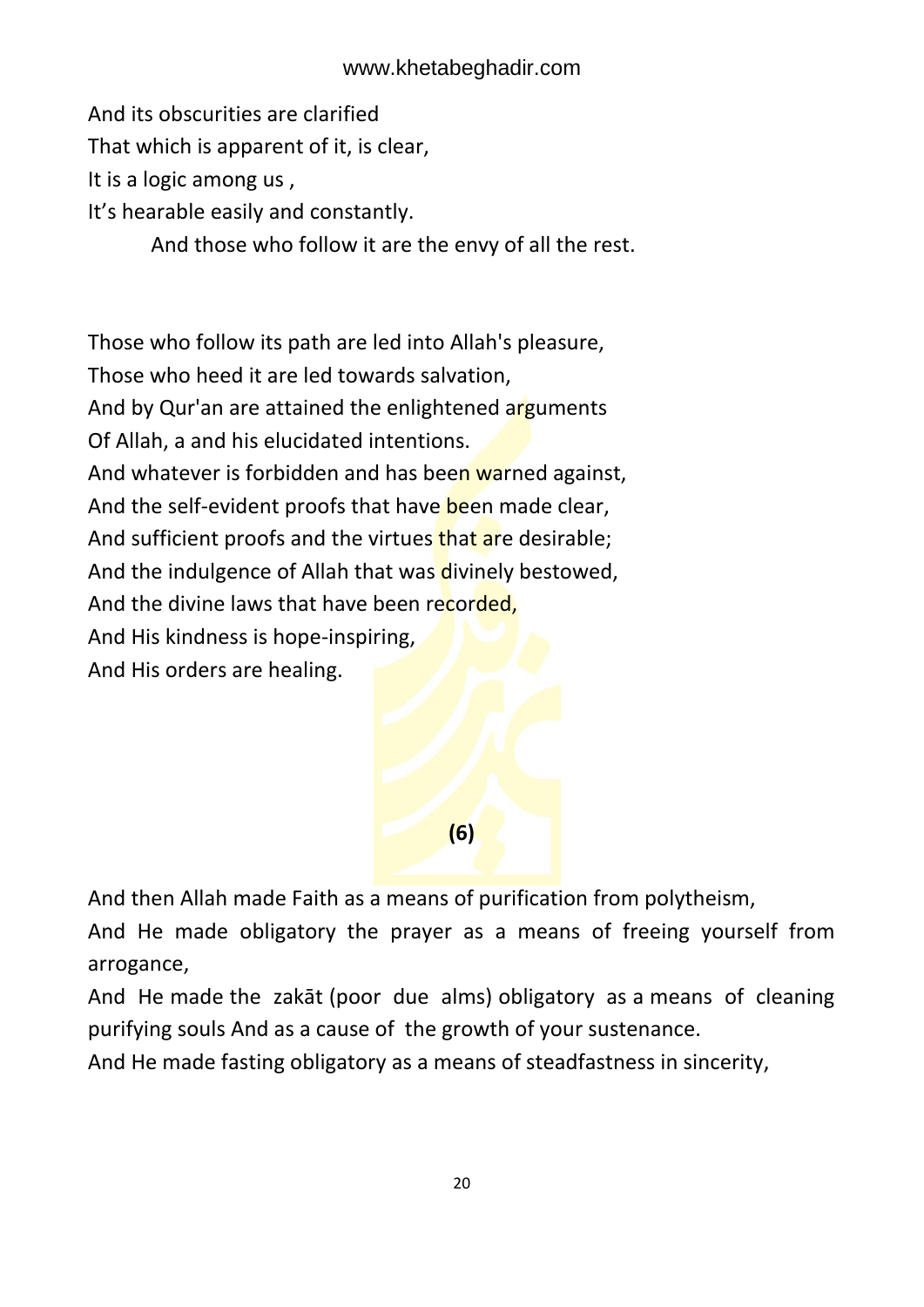And its obscurities are clarified

That which is apparent of it, is clear,

It is a logic among us ,

It's hearable easily and constantly.

And those who follow it are the envy of all the rest.

Those who follow its path are led into Allah's pleasure, Those who heed it are led towards salvation, And by Qur'an are attained the enlightened arguments Of Allah, a and his elucidated intentions. And whatever is forbidden and has been warned against, And the self-evident proofs that have been made clear, And sufficient proofs and the virtues that are desirable; And the indulgence of Allah that was divinely bestowed, And the divine laws that have been recorded, And His kindness is hope-inspiring, And His orders are healing.



And then Allah made Faith as a means of purification from polytheism,

And He made obligatory the prayer as a means of freeing yourself from arrogance,

And He made the zakāt (poor due alms) obligatory as a means of cleaning purifying souls And as a cause of the growth of your sustenance.

And He made fasting obligatory as a means of steadfastness in sincerity,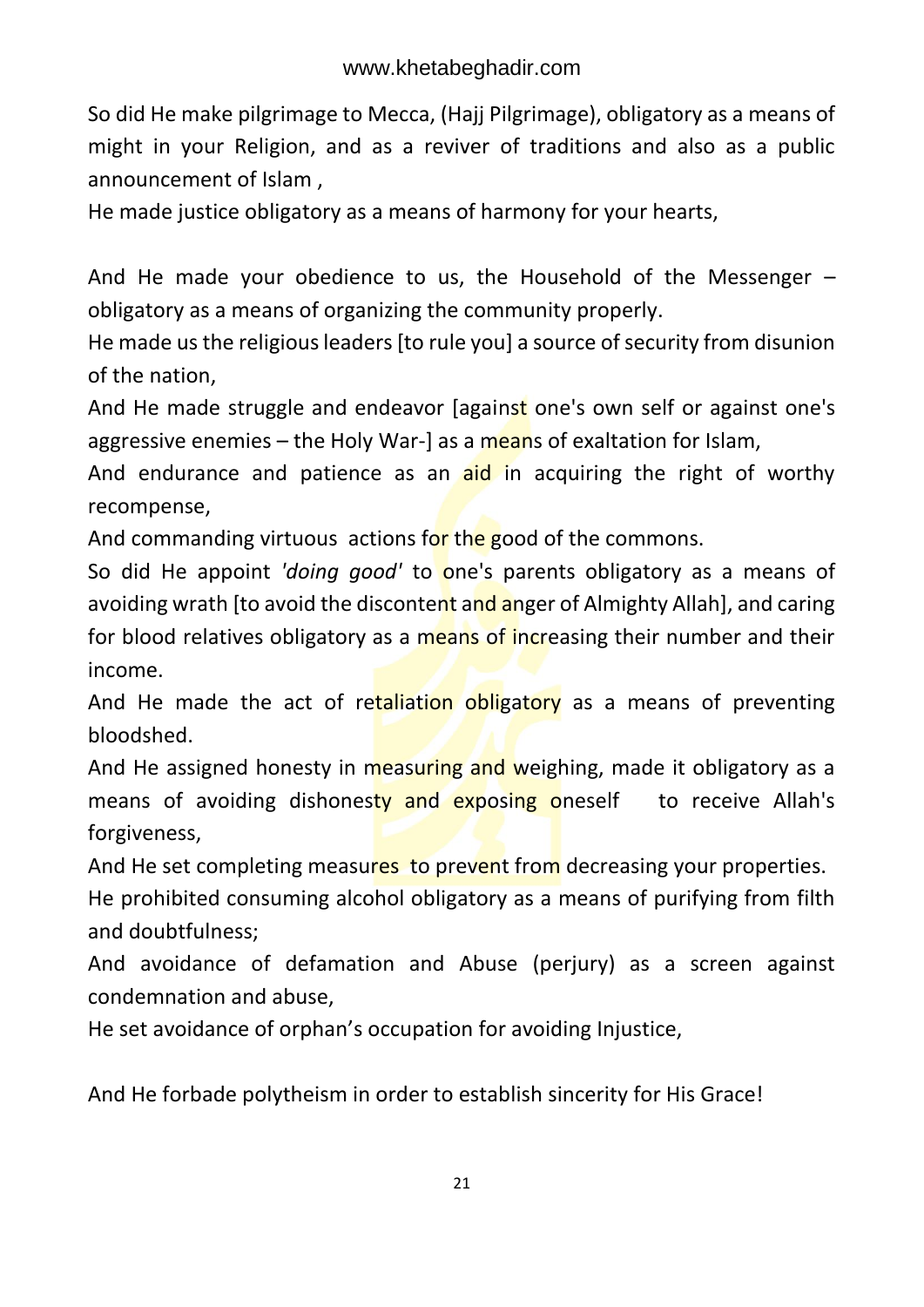So did He make pilgrimage to Mecca, (Hajj Pilgrimage), obligatory as a means of might in your Religion, and as a reviver of traditions and also as a public announcement of Islam ,

He made justice obligatory as a means of harmony for your hearts,

And He made your obedience to us, the Household of the Messenger – obligatory as a means of organizing the community properly.

He made us the religious leaders [to rule you] a source of security from disunion of the nation,

And He made struggle and endeavor [against one's own self or against one's aggressive enemies  $-$  the Holy War-] as a means of exaltation for Islam,

And endurance and patience as an aid in acquiring the right of worthy recompense,

And commanding virtuous actions for the good of the commons.

So did He appoint *'doing good'* to one's parents obligatory as a means of avoiding wrath [to avoid the discontent and anger of Almighty Allah], and caring for blood relatives obligatory as a means of increasing their number and their income.

And He made the act of retaliation obligatory as a means of preventing bloodshed.

And He assigned honesty in measuring and weighing, made it obligatory as a means of avoiding dishonesty and exposing oneself to receive Allah's forgiveness,

And He set completing measures to prevent from decreasing your properties.

He prohibited consuming alcohol obligatory as a means of purifying from filth and doubtfulness;

And avoidance of defamation and Abuse (perjury) as a screen against condemnation and abuse,

He set avoidance of orphan's occupation for avoiding Injustice,

And He forbade polytheism in order to establish sincerity for His Grace!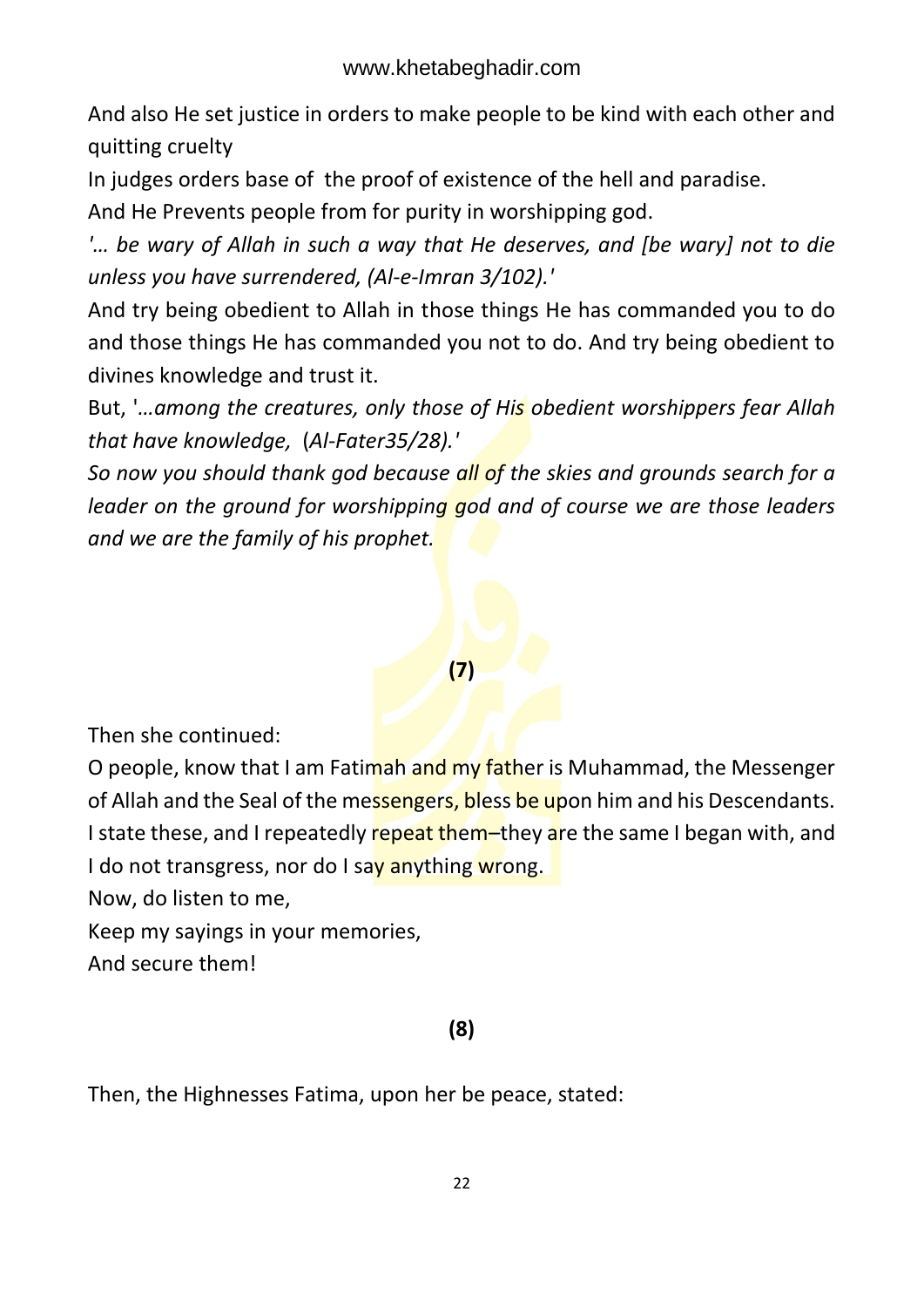And also He set justice in orders to make people to be kind with each other and quitting cruelty

In judges orders base of the proof of existence of the hell and paradise.

And He Prevents people from for purity in worshipping god.

*'… be wary of Allah in such a way that He deserves, and [be wary] not to die unless you have surrendered, (Al-e-Imran 3/102).'*

And try being obedient to Allah in those things He has commanded you to do and those things He has commanded you not to do. And try being obedient to divines knowledge and trust it.

But, '*…among the creatures, only those of His obedient worshippers fear Allah that have knowledge,* (*Al-Fater35/28).'*

*So now you should thank god because all of the skies and grounds search for a leader on the ground for worshipping god and of course we are those leaders and we are the family of his prophet.*

#### **(7)**

Then she continued:

O people, know that I am Fatimah and my father is Muhammad, the Messenger of Allah and the Seal of the messengers, bless be upon him and his Descendants. I state these, and I repeatedly repeat them–they are the same I began with, and I do not transgress, nor do I say anything wrong.

Now, do listen to me,

Keep my sayings in your memories,

And secure them!

#### **(8)**

Then, the Highnesses Fatima, upon her be peace, stated: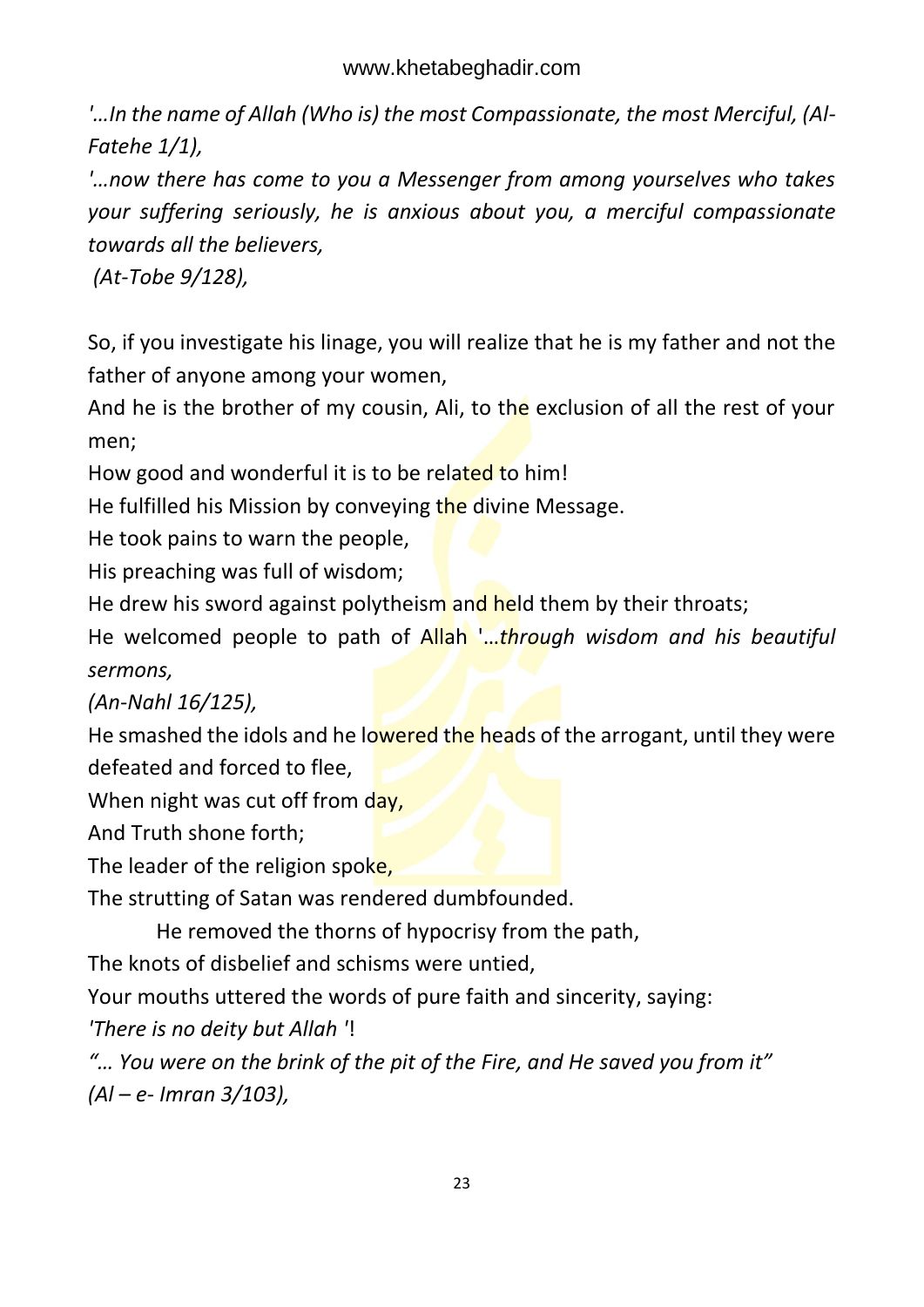*'…In the name of Allah (Who is) the most Compassionate, the most Merciful, (Al-Fatehe 1/1),*

*'…now there has come to you a Messenger from among yourselves who takes your suffering seriously, he is anxious about you, a merciful compassionate towards all the believers,*

*(At-Tobe 9/128),*

So, if you investigate his linage, you will realize that he is my father and not the father of anyone among your women,

And he is the brother of my cousin, Ali, to the exclusion of all the rest of your men;

How good and wonderful it is to be related to him!

He fulfilled his Mission by conveying the divine Message.

He took pains to warn the people,

His preaching was full of wisdom;

He drew his sword against polytheism and held them by their throats;

He welcomed people to path of Allah '…*through wisdom and his beautiful sermons,* 

*(An-Nahl 16/125),*

He smashed the idols and he lowered the heads of the arrogant, until they were defeated and forced to flee,

When night was cut off from day,

And Truth shone forth;

The leader of the religion spoke,

The strutting of Satan was rendered dumbfounded.

He removed the thorns of hypocrisy from the path,

The knots of disbelief and schisms were untied,

Your mouths uttered the words of pure faith and sincerity, saying:

*'There is no deity but Allah '*!

*"… You were on the brink of the pit of the Fire, and He saved you from it" (Al – e- Imran 3/103),*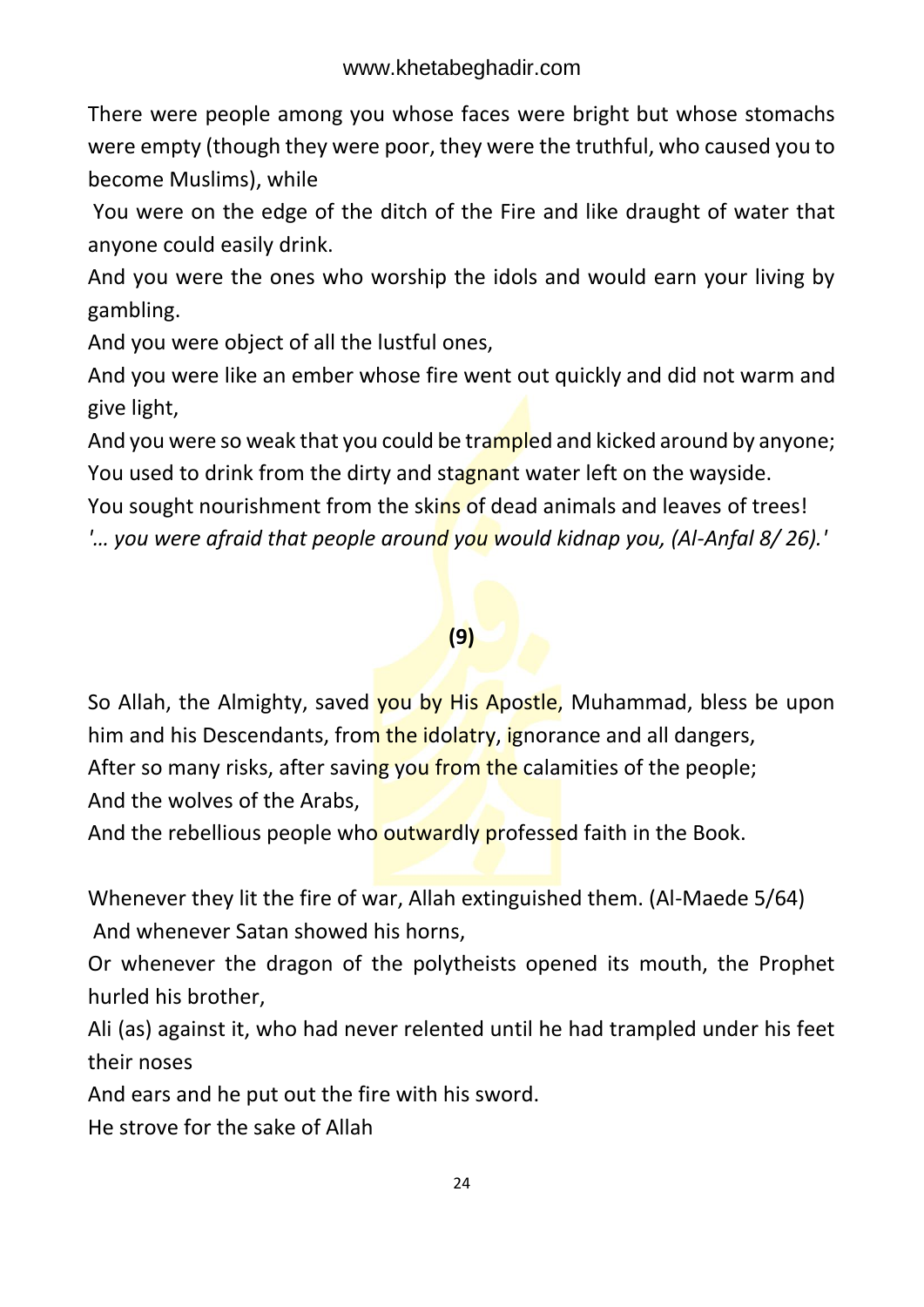There were people among you whose faces were bright but whose stomachs were empty (though they were poor, they were the truthful, who caused you to become Muslims), while

You were on the edge of the ditch of the Fire and like draught of water that anyone could easily drink.

And you were the ones who worship the idols and would earn your living by gambling.

And you were object of all the lustful ones,

And you were like an ember whose fire went out quickly and did not warm and give light,

And you were so weak that you could be trampled and kicked around by anyone; You used to drink from the dirty and stagnant water left on the wayside.

You sought nourishment from the skins of dead animals and leaves of trees!

*'… you were afraid that people around you would kidnap you, (Al-Anfal 8/ 26).'* 

#### **(9)**

So Allah, the Almighty, saved you by His Apostle, Muhammad, bless be upon him and his Descendants, from the idolatry, ignorance and all dangers, After so many risks, after saving you from the calamities of the people; And the wolves of the Arabs,

And the rebellious people who outwardly professed faith in the Book.

Whenever they lit the fire of war, Allah extinguished them. (Al-Maede 5/64) And whenever Satan showed his horns,

Or whenever the dragon of the polytheists opened its mouth, the Prophet hurled his brother,

Ali (as) against it, who had never relented until he had trampled under his feet their noses

And ears and he put out the fire with his sword.

He strove for the sake of Allah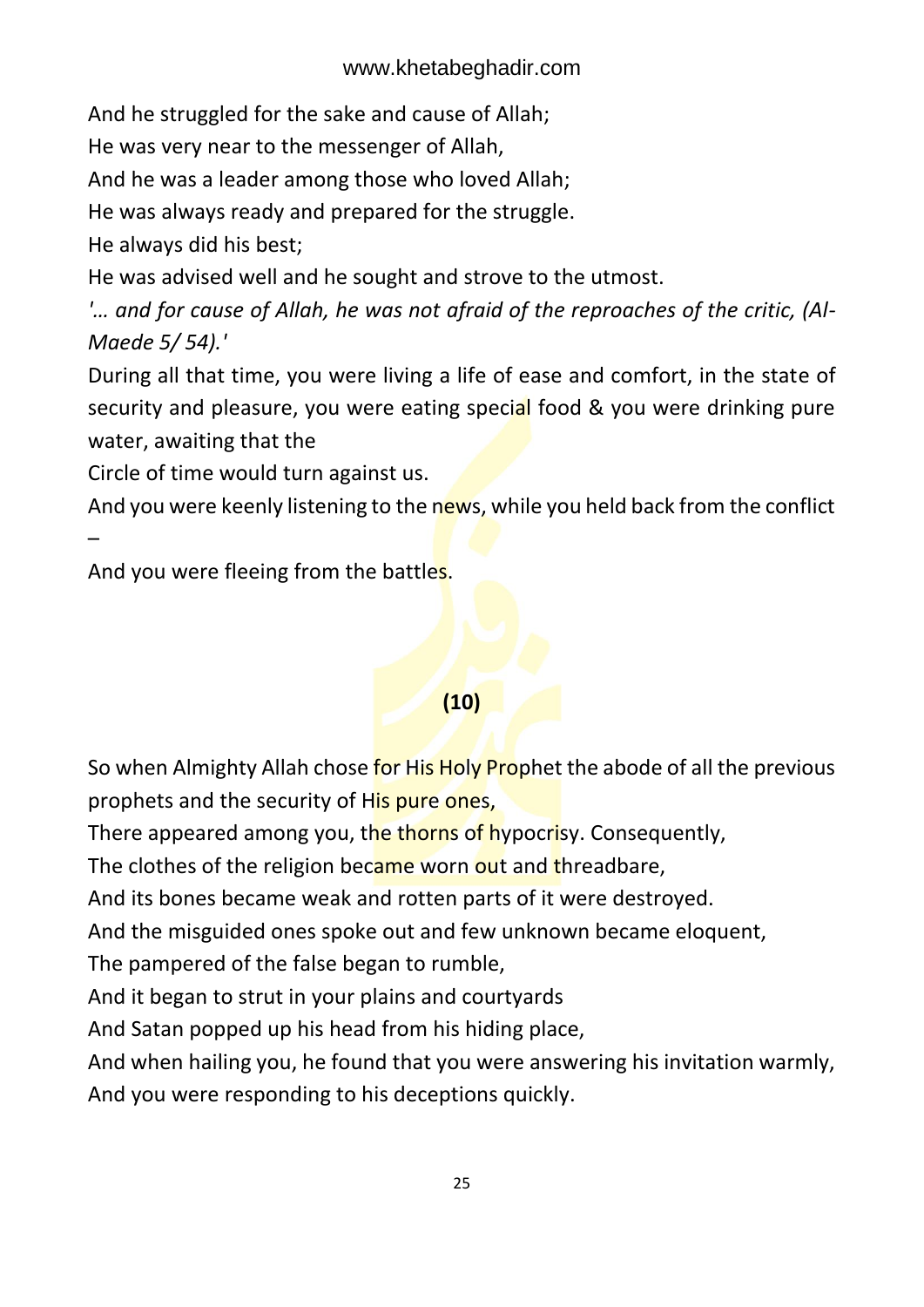And he struggled for the sake and cause of Allah;

He was very near to the messenger of Allah,

And he was a leader among those who loved Allah;

He was always ready and prepared for the struggle.

He always did his best;

He was advised well and he sought and strove to the utmost.

*'… and for cause of Allah, he was not afraid of the reproaches of the critic, (Al-Maede 5/ 54).'* 

During all that time, you were living a life of ease and comfort, in the state of security and pleasure, you were eating special food & you were drinking pure water, awaiting that the

Circle of time would turn against us.

And you were keenly listening to the news, while you held back from the conflict –

And you were fleeing from the battles.

### **(10)**

So when Almighty Allah chose for His Holy Prophet the abode of all the previous prophets and the security of His pure ones,

There appeared among you, the thorns of hypocrisy. Consequently,

The clothes of the religion became worn out and threadbare,

And its bones became weak and rotten parts of it were destroyed.

And the misguided ones spoke out and few unknown became eloquent,

The pampered of the false began to rumble,

And it began to strut in your plains and courtyards

And Satan popped up his head from his hiding place,

And when hailing you, he found that you were answering his invitation warmly,

And you were responding to his deceptions quickly.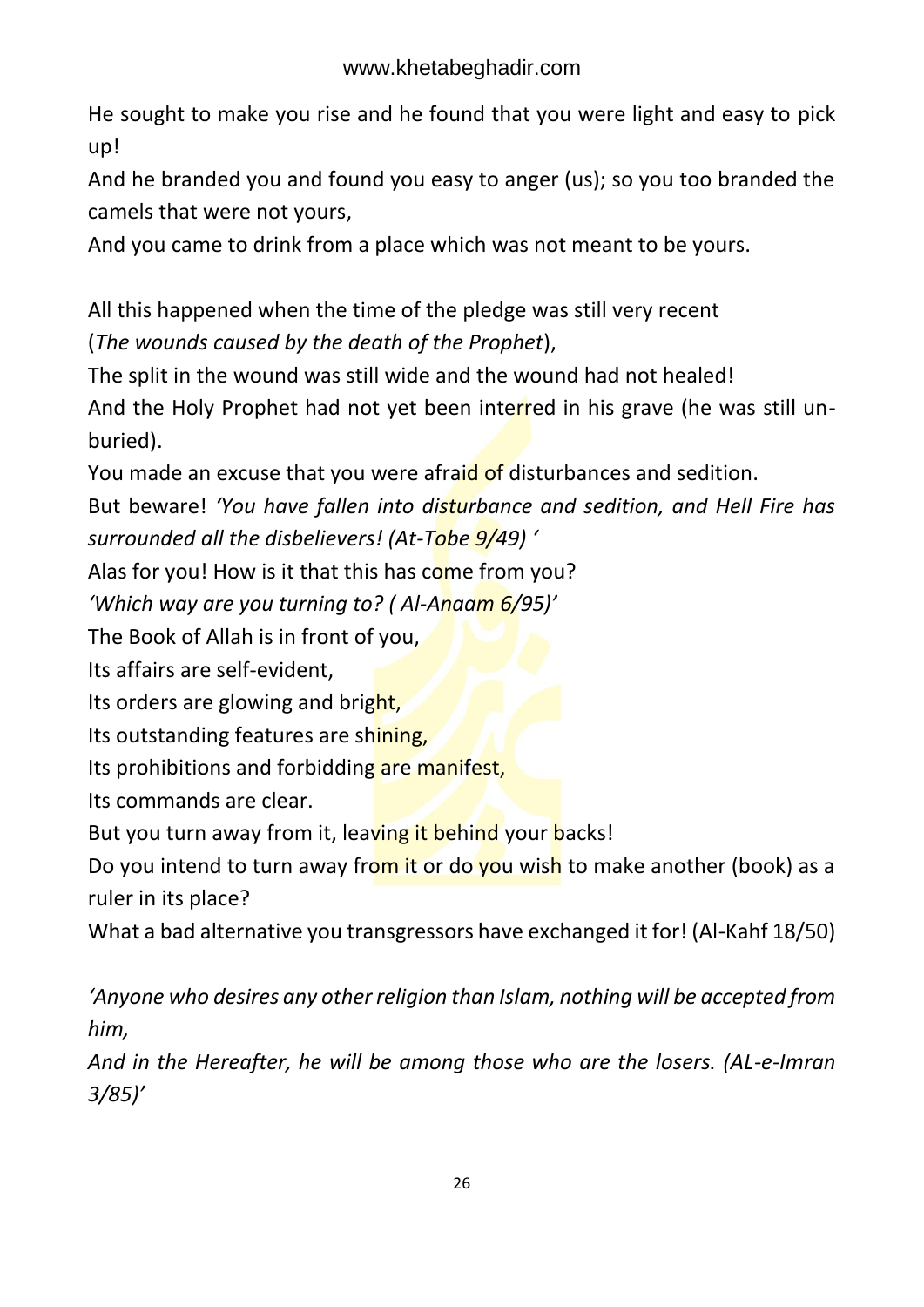He sought to make you rise and he found that you were light and easy to pick up!

And he branded you and found you easy to anger (us); so you too branded the camels that were not yours,

And you came to drink from a place which was not meant to be yours.

All this happened when the time of the pledge was still very recent (*The wounds caused by the death of the Prophet*),

The split in the wound was still wide and the wound had not healed! And the Holy Prophet had not yet been interred in his grave (he was still unburied).

You made an excuse that you were afraid of disturbances and sedition.

But beware! *'You have fallen into disturbance and sedition, and Hell Fire has surrounded all the disbelievers! (At-Tobe 9/49) '*

Alas for you! How is it that this has come from you?

*'Which way are you turning to? ( Al-Anaam 6/95)'* 

The Book of Allah is in front of you,

Its affairs are self-evident,

Its orders are glowing and bright,

Its outstanding features are shining,

Its prohibitions and forbidding are manifest,

Its commands are clear.

But you turn away from it, leaving it behind your backs!

Do you intend to turn away from it or do you wish to make another (book) as a ruler in its place?

What a bad alternative you transgressors have exchanged it for! (Al-Kahf 18/50)

*'Anyone who desires any other religion than Islam, nothing will be accepted from him,* 

*And in the Hereafter, he will be among those who are the losers. (AL-e-Imran 3/85)'*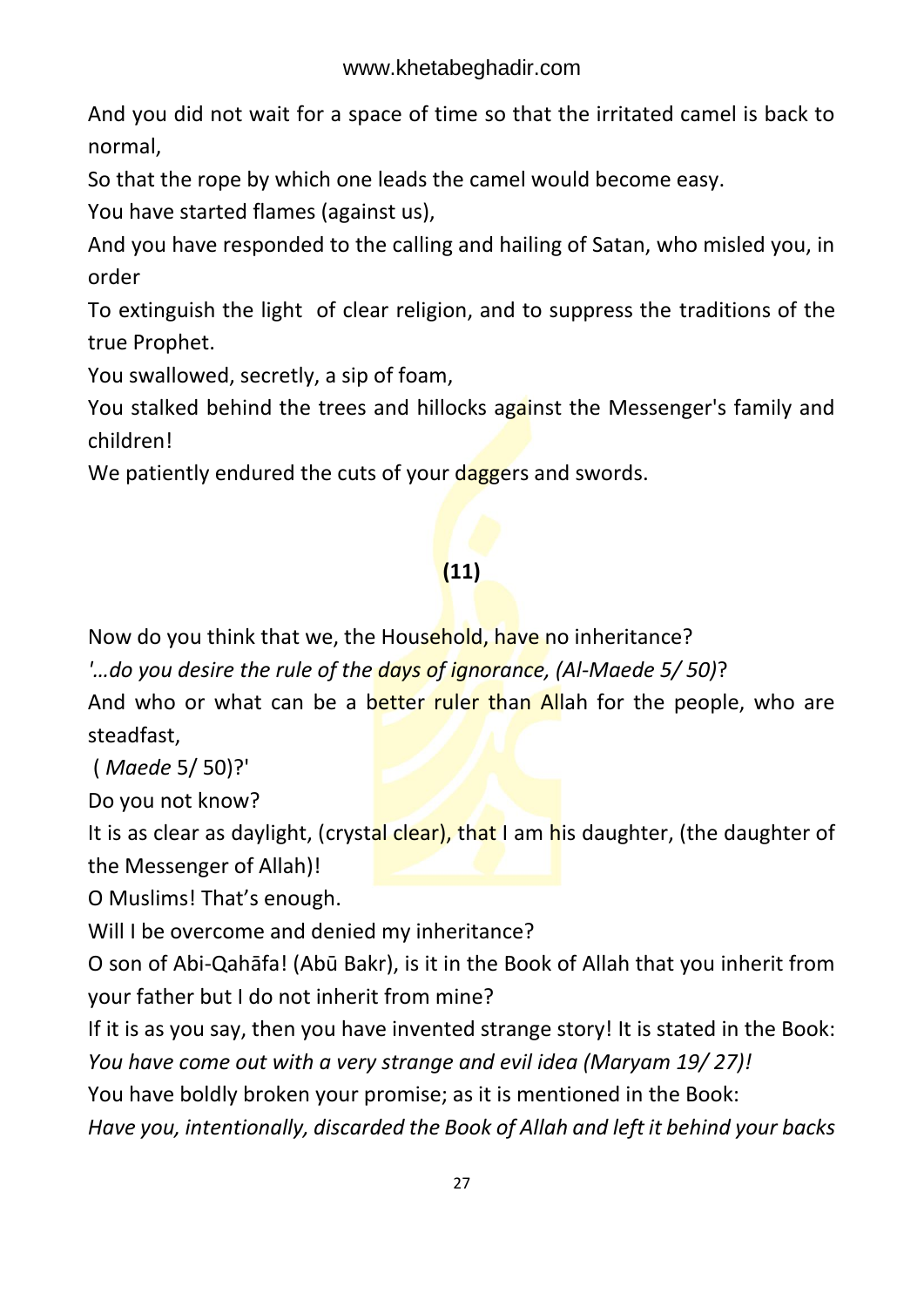And you did not wait for a space of time so that the irritated camel is back to normal,

So that the rope by which one leads the camel would become easy.

You have started flames (against us),

And you have responded to the calling and hailing of Satan, who misled you, in order

To extinguish the light of clear religion, and to suppress the traditions of the true Prophet.

You swallowed, secretly, a sip of foam,

You stalked behind the trees and hillocks against the Messenger's family and children!

We patiently endured the cuts of your daggers and swords.

### **(11)**

Now do you think that we, the Household, have no inheritance?

*'…do you desire the rule of the days of ignorance, (Al-Maede 5/ 50)*?

And who or what can be a better ruler than Allah for the people, who are steadfast,

( *Maede* 5/ 50)?'

Do you not know?

It is as clear as daylight, (crystal clear), that I am his daughter, (the daughter of the Messenger of Allah)!

O Muslims! That's enough.

Will I be overcome and denied my inheritance?

O son of Abi-Qahāfa! (Abū Bakr), is it in the Book of Allah that you inherit from your father but I do not inherit from mine?

If it is as you say, then you have invented strange story! It is stated in the Book: *You have come out with a very strange and evil idea (Maryam 19/ 27)!* 

You have boldly broken your promise; as it is mentioned in the Book:

*Have you, intentionally, discarded the Book of Allah and left it behind your backs*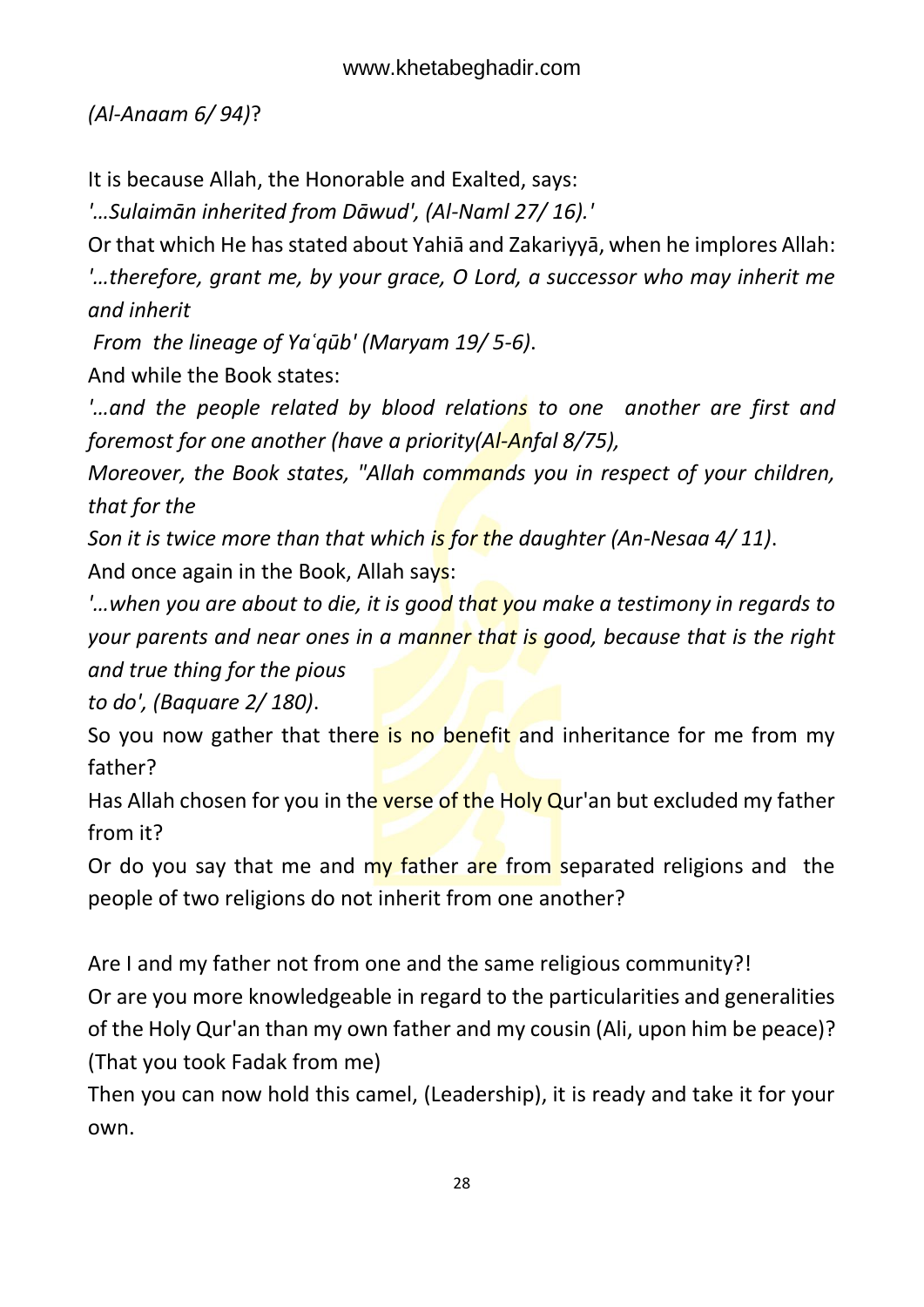*(Al-Anaam 6/ 94)*?

It is because Allah, the Honorable and Exalted, says:

*'…Sulaimān inherited from Dāwud', (Al-Naml 27/ 16).'* 

Or that which He has stated about Yahiā and Zakariyyā, when he implores Allah: *'…therefore, grant me, by your grace, O Lord, a successor who may inherit me and inherit*

*From the lineage of Yaʿqūb' (Maryam 19/ 5-6)*.

And while the Book states:

*'…and the people related by blood relations to one another are first and foremost for one another (have a priority(Al-Anfal 8/75),* 

*Moreover, the Book states, "Allah commands you in respect of your children, that for the* 

*Son it is twice more than that which is for the daughter (An-Nesaa 4/ 11)*.

And once again in the Book, Allah says:

*'…when you are about to die, it is good that you make a testimony in regards to your parents and near ones in a manner that is good, because that is the right and true thing for the pious*

*to do', (Baquare 2/ 180)*.

So you now gather that there is no benefit and inheritance for me from my father?

Has Allah chosen for you in the verse of the Holy Qur'an but excluded my father from it?

Or do you say that me and  $my$  father are from separated religions and the people of two religions do not inherit from one another?

Are I and my father not from one and the same religious community?!

Or are you more knowledgeable in regard to the particularities and generalities of the Holy Qur'an than my own father and my cousin (Ali, upon him be peace)? (That you took Fadak from me)

Then you can now hold this camel, (Leadership), it is ready and take it for your own.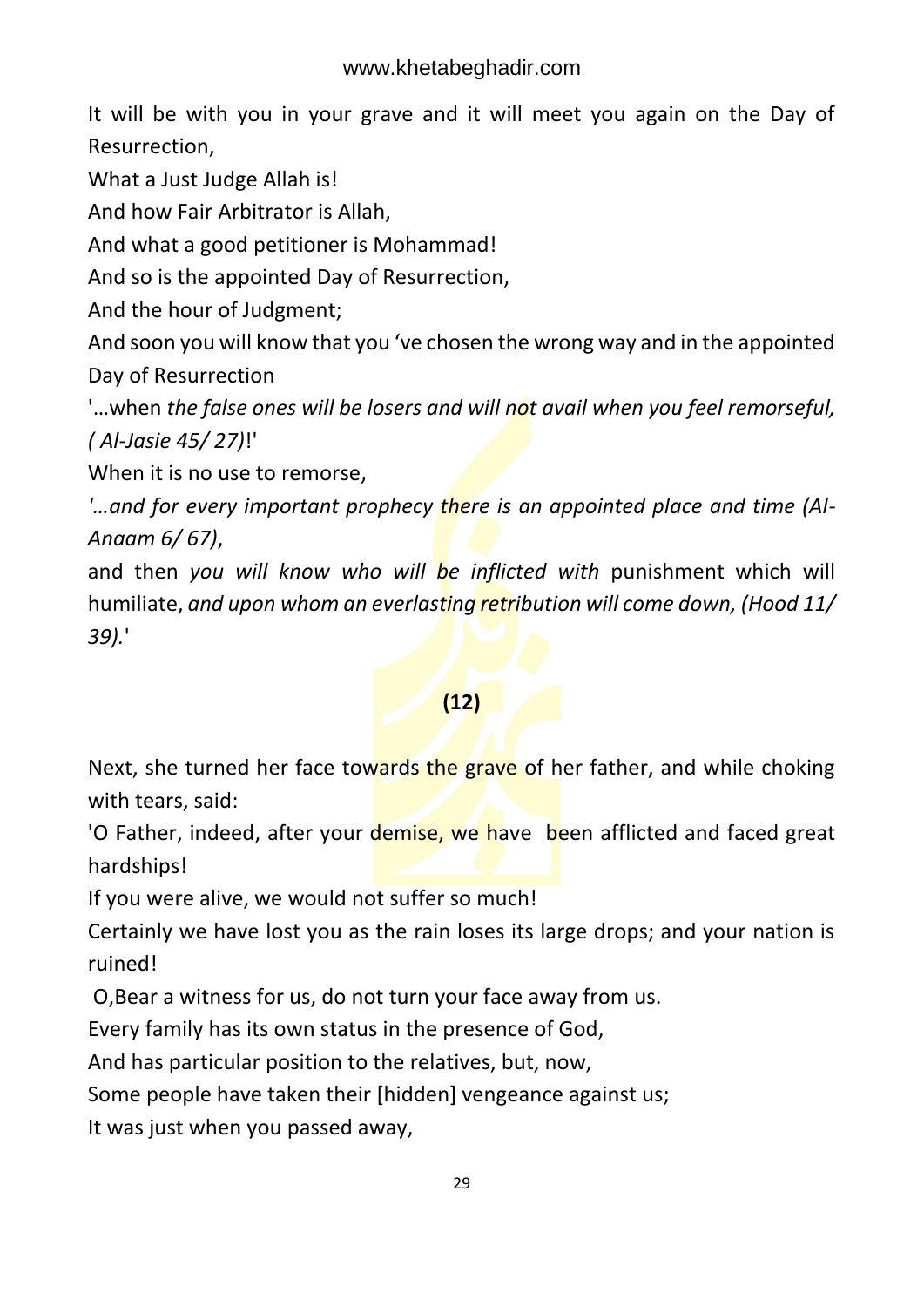It will be with you in your grave and it will meet you again on the Day of Resurrection,

What a Just Judge Allah is!

And how Fair Arbitrator is Allah,

And what a good petitioner is Mohammad!

And so is the appointed Day of Resurrection,

And the hour of Judgment;

And soon you will know that you 've chosen the wrong way and in the appointed Day of Resurrection

'…when *the false ones will be losers and will not avail when you feel remorseful, ( Al-Jasie 45/ 27)*!'

When it is no use to remorse,

*'…and for every important prophecy there is an appointed place and time (Al-Anaam 6/ 67)*,

and then *you will know who will be inflicted with* punishment which will humiliate, *and upon whom an everlasting retribution will come down, (Hood 11/ 39).*'

### **(12)**

Next, she turned her face towards the grave of her father, and while choking with tears, said:

'O Father, indeed, after your demise, we have been afflicted and faced great hardships!

If you were alive, we would not suffer so much!

Certainly we have lost you as the rain loses its large drops; and your nation is ruined!

O,Bear a witness for us, do not turn your face away from us.

Every family has its own status in the presence of God,

And has particular position to the relatives, but, now,

Some people have taken their [hidden] vengeance against us;

It was just when you passed away,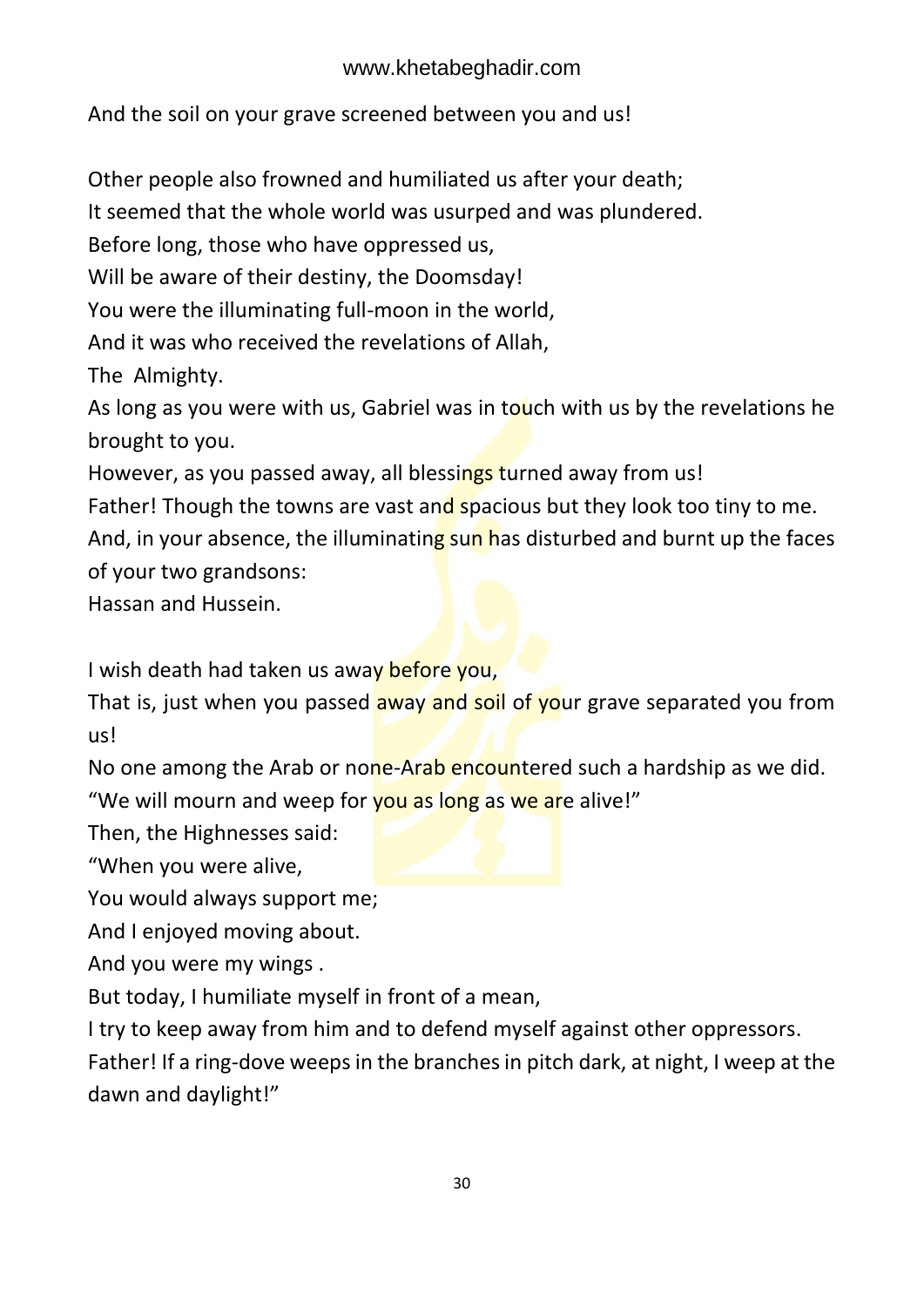And the soil on your grave screened between you and us!

Other people also frowned and humiliated us after your death;

It seemed that the whole world was usurped and was plundered.

Before long, those who have oppressed us,

Will be aware of their destiny, the Doomsday!

You were the illuminating full-moon in the world,

And it was who received the revelations of Allah,

The Almighty.

As long as you were with us, Gabriel was in touch with us by the revelations he brought to you.

However, as you passed away, all blessings turned away from us!

Father! Though the towns are vast and spacious but they look too tiny to me.

And, in your absence, the illuminating sun has disturbed and burnt up the faces of your two grandsons:

Hassan and Hussein.

I wish death had taken us away before you,

That is, just when you passed away and soil of your grave separated you from us!

No one among the Arab or none-Arab encountered such a hardship as we did.

"We will mourn and weep for you as long as we are alive!"

Then, the Highnesses said:

"When you were alive,

You would always support me;

And I enjoyed moving about.

And you were my wings .

But today, I humiliate myself in front of a mean,

I try to keep away from him and to defend myself against other oppressors.

Father! If a ring-dove weeps in the branches in pitch dark, at night, I weep at the dawn and daylight!"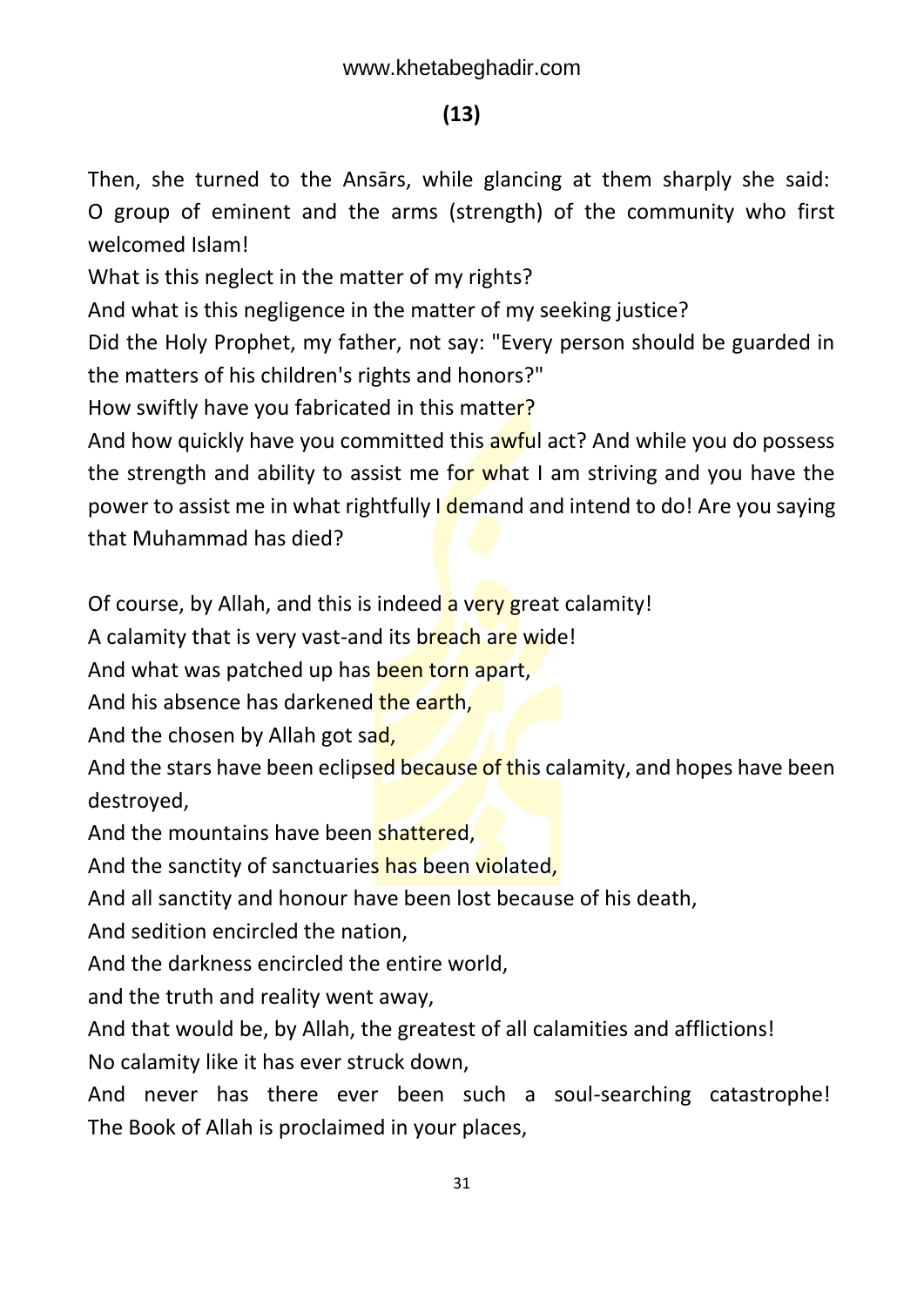### **(13)**

Then, she turned to the Ansārs, while glancing at them sharply she said: O group of eminent and the arms (strength) of the community who first welcomed Islam!

What is this neglect in the matter of my rights?

And what is this negligence in the matter of my seeking justice?

Did the Holy Prophet, my father, not say: "Every person should be guarded in the matters of his children's rights and honors?"

How swiftly have you fabricated in this matter?

And how quickly have you committed this awful act? And while you do possess the strength and ability to assist me for what I am striving and you have the power to assist me in what rightfully I demand and intend to do! Are you saying that Muhammad has died?

Of course, by Allah, and this is indeed a very great calamity!

A calamity that is very vast-and its breach are wide!

And what was patched up has been torn apart,

And his absence has darkened the earth,

And the chosen by Allah got sad,

And the stars have been eclipsed because of this calamity, and hopes have been destroyed,

And the mountains have been shattered.

And the sanctity of sanctuaries has been violated,

And all sanctity and honour have been lost because of his death,

And sedition encircled the nation,

And the darkness encircled the entire world,

and the truth and reality went away,

And that would be, by Allah, the greatest of all calamities and afflictions! No calamity like it has ever struck down,

And never has there ever been such a soul-searching catastrophe! The Book of Allah is proclaimed in your places,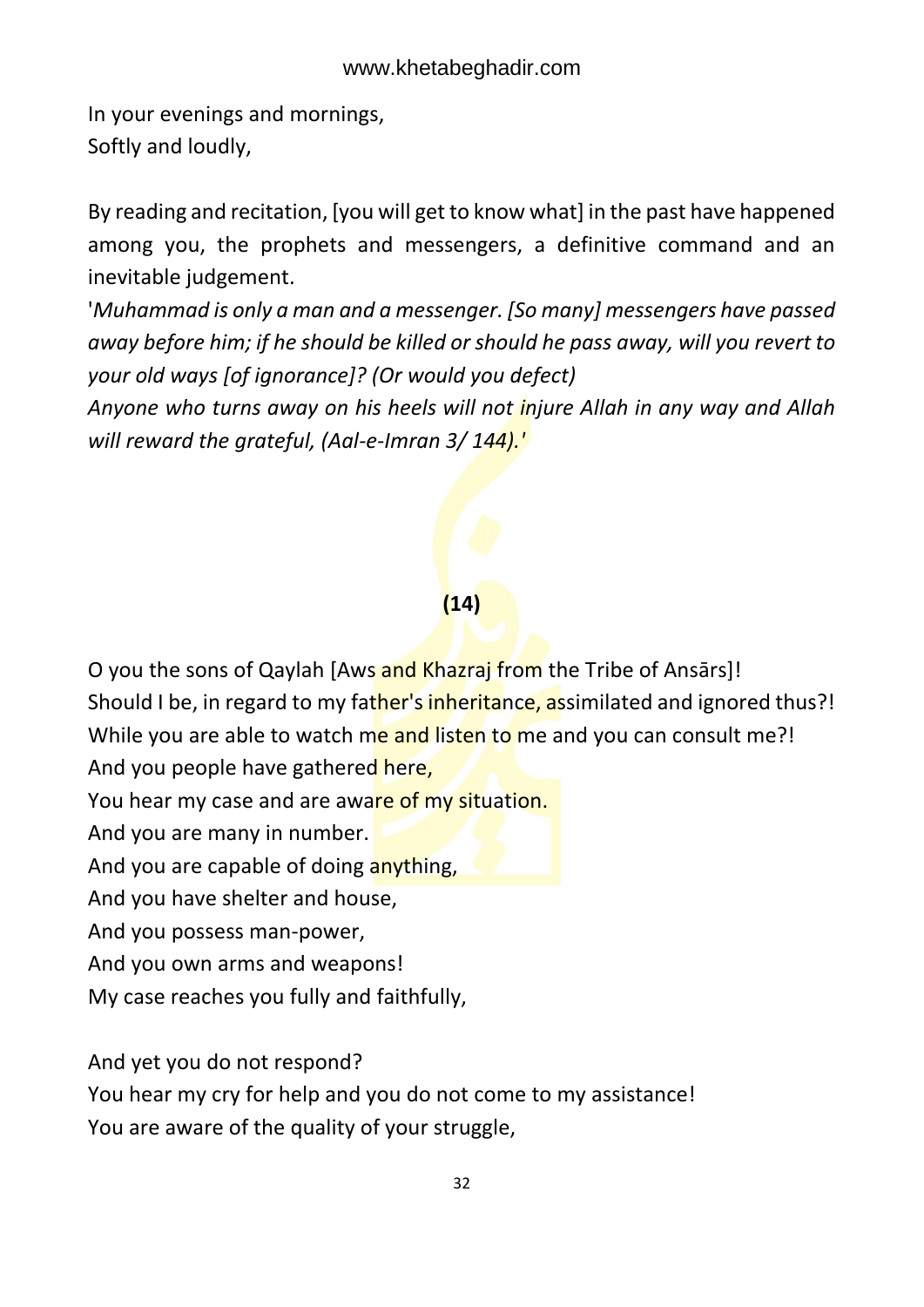In your evenings and mornings, Softly and loudly,

By reading and recitation, [you will get to know what] in the past have happened among you, the prophets and messengers, a definitive command and an inevitable judgement.

'*Muhammad is only a man and a messenger. [So many] messengers have passed away before him; if he should be killed or should he pass away, will you revert to your old ways [of ignorance]? (Or would you defect)*

*Anyone who turns away on his heels will not injure Allah in any way and Allah will reward the grateful, (Aal-e-Imran 3/ 144).'* 

### **(14)**

O you the sons of Qaylah [Aws and Khazraj from the Tribe of Ansārs]! Should I be, in regard to my father's inheritance, assimilated and ignored thus?! While you are able to watch me and listen to me and you can consult me?! And you people have gathered here,

You hear my case and are aware of my situation.

And you are many in number.

And you are capable of doing anything,

And you have shelter and house,

And you possess man-power,

And you own arms and weapons!

My case reaches you fully and faithfully,

And yet you do not respond?

You hear my cry for help and you do not come to my assistance! You are aware of the quality of your struggle,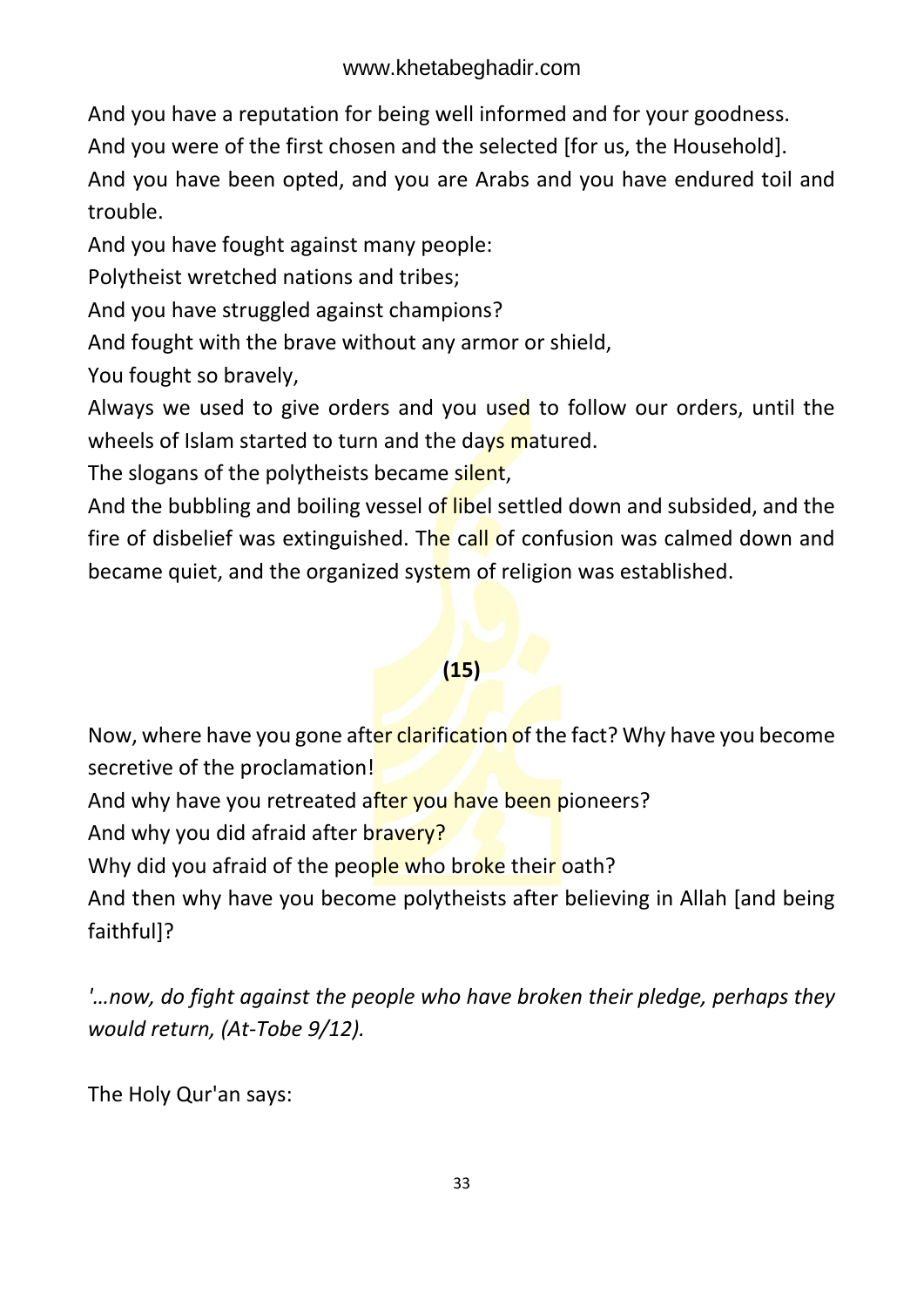And you have a reputation for being well informed and for your goodness.

And you were of the first chosen and the selected [for us, the Household].

And you have been opted, and you are Arabs and you have endured toil and trouble.

And you have fought against many people:

Polytheist wretched nations and tribes;

And you have struggled against champions?

And fought with the brave without any armor or shield,

You fought so bravely,

Always we used to give orders and you used to follow our orders, until the wheels of Islam started to turn and the days matured.

The slogans of the polytheists became silent,

And the bubbling and boiling vessel of libel settled down and subsided, and the fire of disbelief was extinguished. The call of confusion was calmed down and became quiet, and the organized system of religion was established.

### **(15)**

Now, where have you gone after clarification of the fact? Why have you become secretive of the proclamation!

And why have you retreated after you have been pioneers?

And why you did afraid after bravery?

Why did you afraid of the people who broke their oath?

And then why have you become polytheists after believing in Allah [and being faithful]?

*'…now, do fight against the people who have broken their pledge, perhaps they would return, (At-Tobe 9/12).* 

The Holy Qur'an says: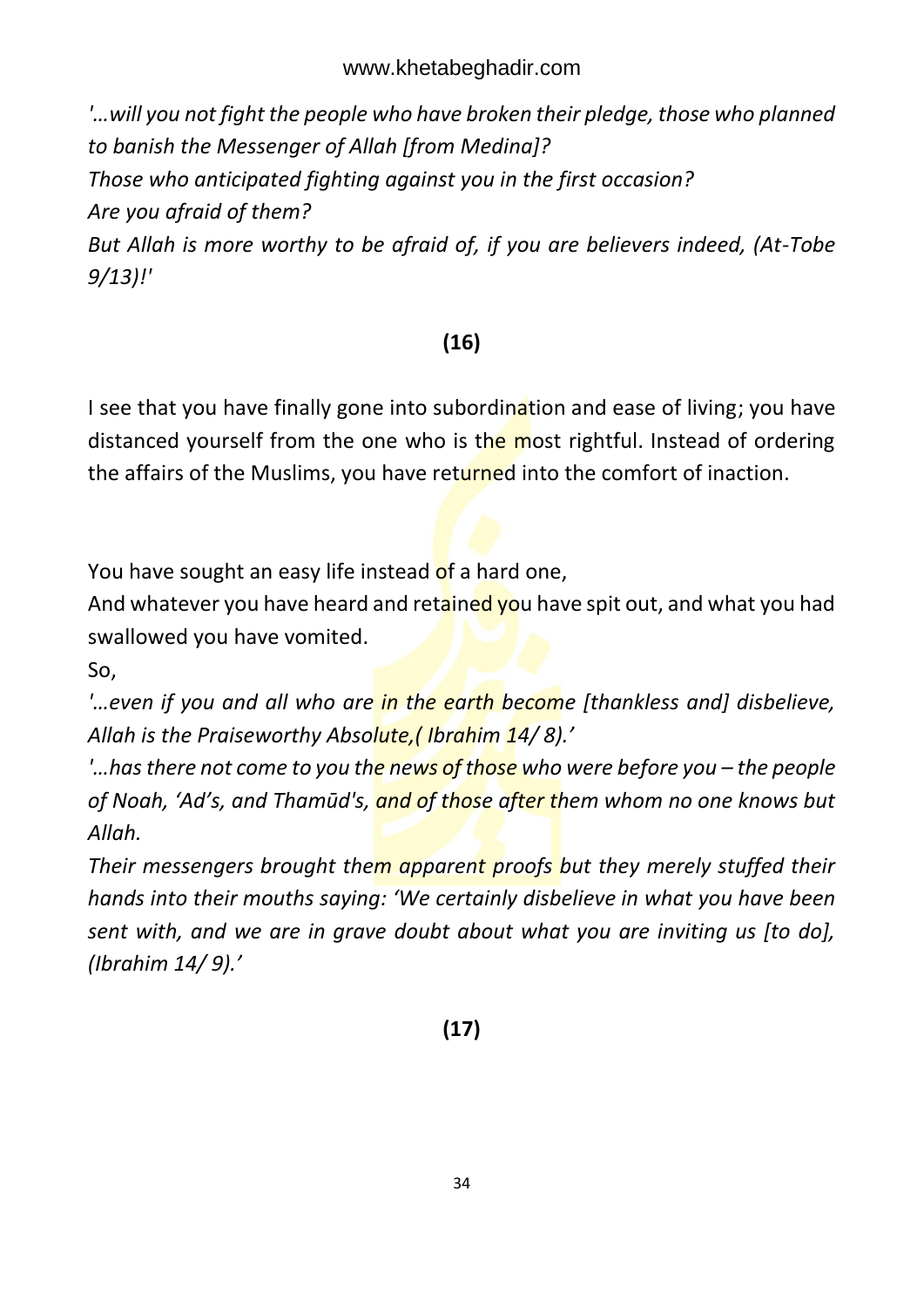*'…will you not fight the people who have broken their pledge, those who planned to banish the Messenger of Allah [from Medina]? Those who anticipated fighting against you in the first occasion? Are you afraid of them? But Allah is more worthy to be afraid of, if you are believers indeed, (At-Tobe* 

*9/13)!'* 

### **(16)**

I see that you have finally gone into subordination and ease of living; you have distanced yourself from the one who is the most rightful. Instead of ordering the affairs of the Muslims, you have returned into the comfort of inaction.

You have sought an easy life instead of a hard one,

And whatever you have heard and retained you have spit out, and what you had swallowed you have vomited.

So,

*'…even if you and all who are in the earth become [thankless and] disbelieve, Allah is the Praiseworthy Absolute,( Ibrahim 14/ 8).'*

*'…has there not come to you the news of those who were before you – the people of Noah, 'Ad's, and Thamūd's, and of those after them whom no one knows but Allah.* 

*Their messengers brought them apparent proofs but they merely stuffed their hands into their mouths saying: 'We certainly disbelieve in what you have been sent with, and we are in grave doubt about what you are inviting us [to do], (Ibrahim 14/ 9).'*

**(17)**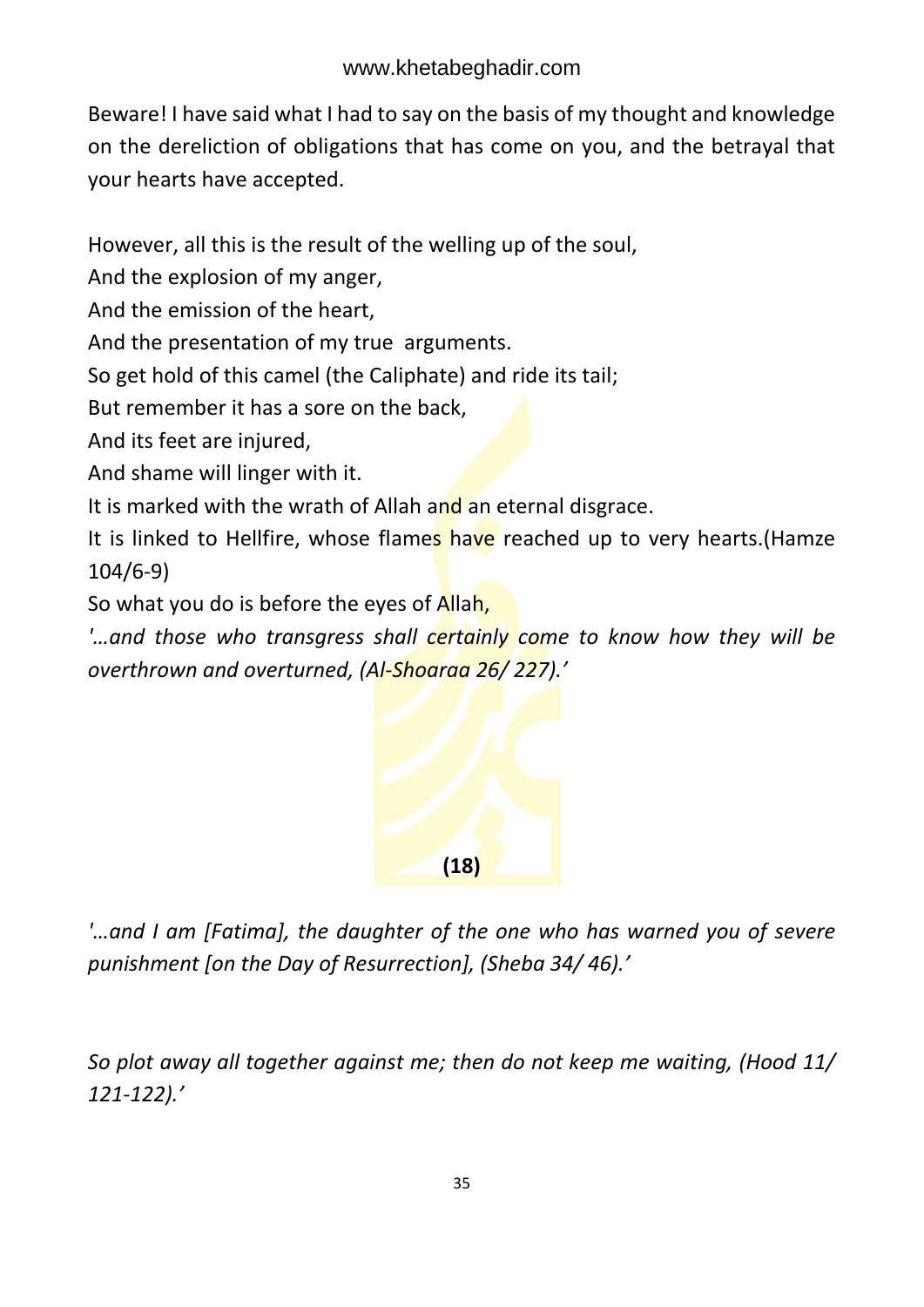Beware! I have said what I had to say on the basis of my thought and knowledge on the dereliction of obligations that has come on you, and the betrayal that your hearts have accepted.

However, all this is the result of the welling up of the soul,

And the explosion of my anger,

And the emission of the heart,

And the presentation of my true arguments.

So get hold of this camel (the Caliphate) and ride its tail;

But remember it has a sore on the back,

And its feet are injured,

And shame will linger with it.

It is marked with the wrath of Allah and an eternal disgrace.

It is linked to Hellfire, whose flames have reached up to very hearts. (Hamze 104/6-9)

So what you do is before the eyes of Allah,

*'…and those who transgress shall certainly come to know how they will be overthrown and overturned, (Al-Shoaraa 26/ 227).'*



*'…and I am [Fatima], the daughter of the one who has warned you of severe punishment [on the Day of Resurrection], (Sheba 34/ 46).'*

*So plot away all together against me; then do not keep me waiting, (Hood 11/ 121-122).'*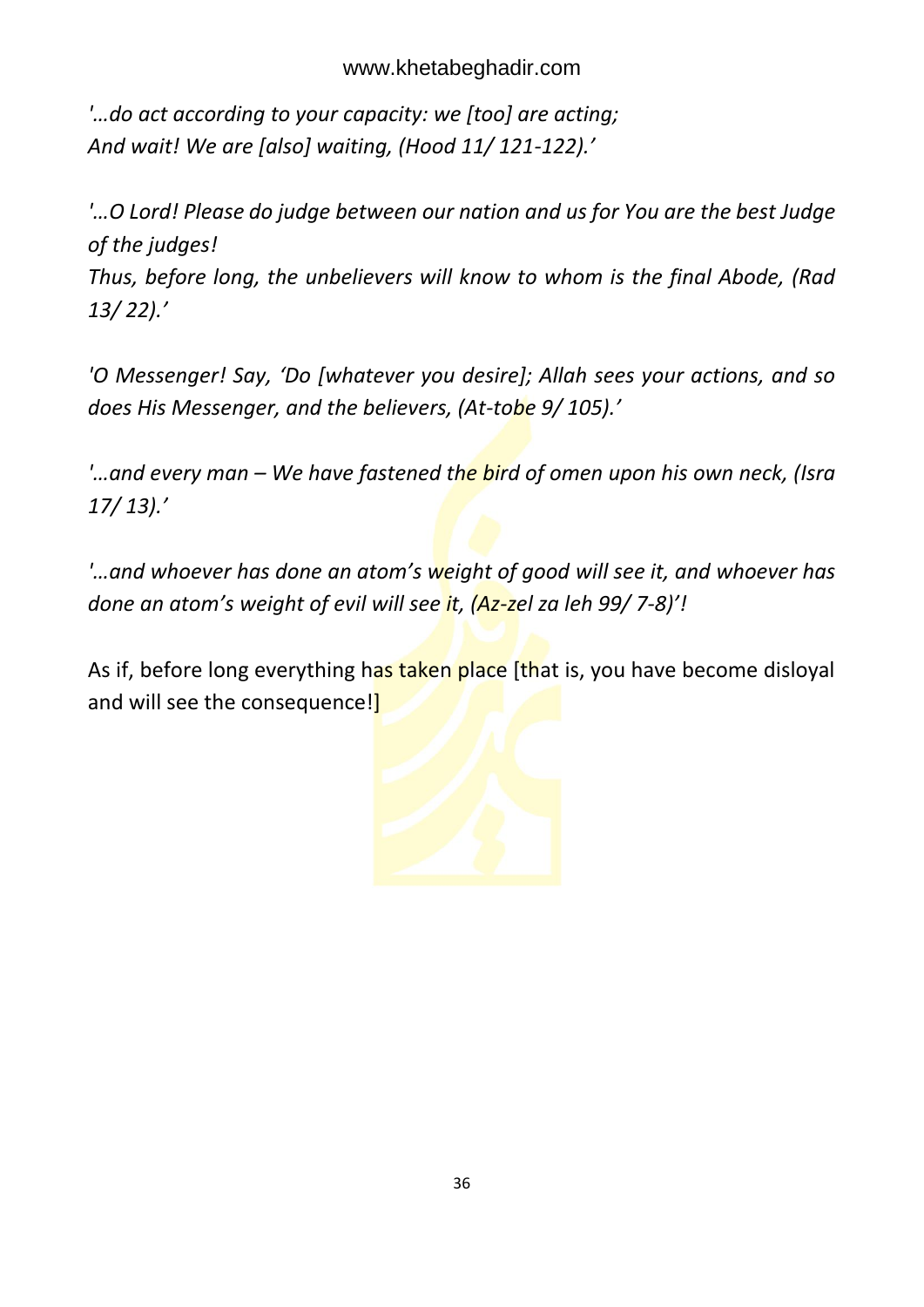*'…do act according to your capacity: we [too] are acting; And wait! We are [also] waiting, (Hood 11/ 121-122).'*

*'…O Lord! Please do judge between our nation and us for You are the best Judge of the judges!*

*Thus, before long, the unbelievers will know to whom is the final Abode, (Rad 13/ 22).'*

*'O Messenger! Say, 'Do [whatever you desire]; Allah sees your actions, and so does His Messenger, and the believers, (At-tobe 9/ 105).'*

*'…and every man – We have fastened the bird of omen upon his own neck, (Isra 17/ 13).'*

*'…and whoever has done an atom's weight of good will see it, and whoever has done an atom's weight of evil will see it, (Az-zel za leh 99/ 7-8)'!*

As if, before long everything has taken place [that is, you have become disloyal and will see the consequence!

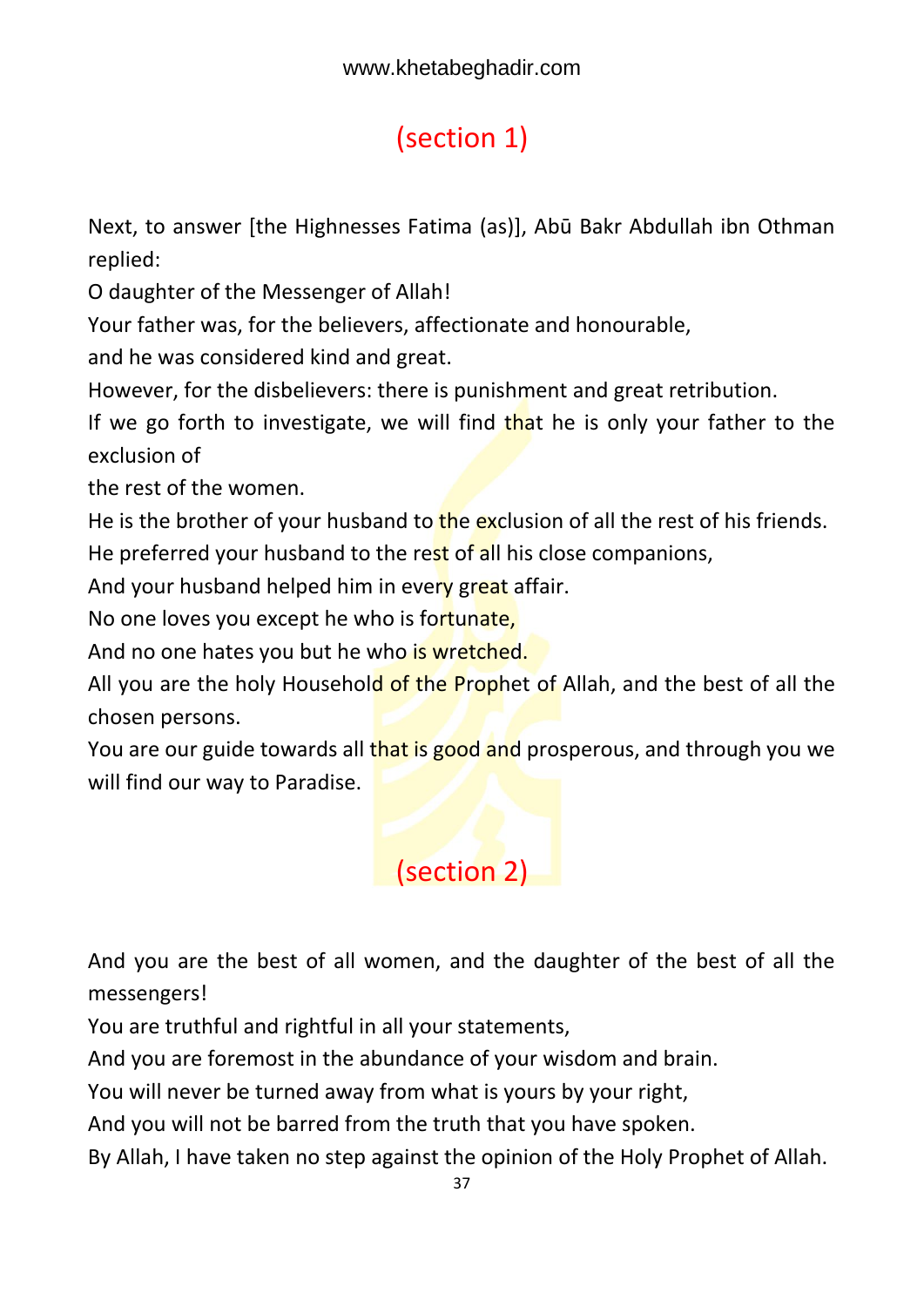# <span id="page-37-0"></span>(section 1)

Next, to answer [the Highnesses Fatima (as)], Abū Bakr Abdullah ibn Othman replied:

O daughter of the Messenger of Allah!

Your father was, for the believers, affectionate and honourable,

and he was considered kind and great.

However, for the disbelievers: there is punishment and great retribution.

If we go forth to investigate, we will find that he is only your father to the exclusion of

the rest of the women.

He is the brother of your husband to the exclusion of all the rest of his friends.

He preferred your husband to the rest of all his close companions,

And your husband helped him in every great affair.

No one loves you except he who is fortunate,

And no one hates you but he who is wretched.

All you are the holy Household of the Prophet of Allah, and the best of all the chosen persons.

You are our guide towards all that is good and prosperous, and through you we will find our way to Paradise.

## <span id="page-37-1"></span>(section 2)

And you are the best of all women, and the daughter of the best of all the messengers!

You are truthful and rightful in all your statements,

And you are foremost in the abundance of your wisdom and brain.

You will never be turned away from what is yours by your right,

And you will not be barred from the truth that you have spoken.

By Allah, I have taken no step against the opinion of the Holy Prophet of Allah.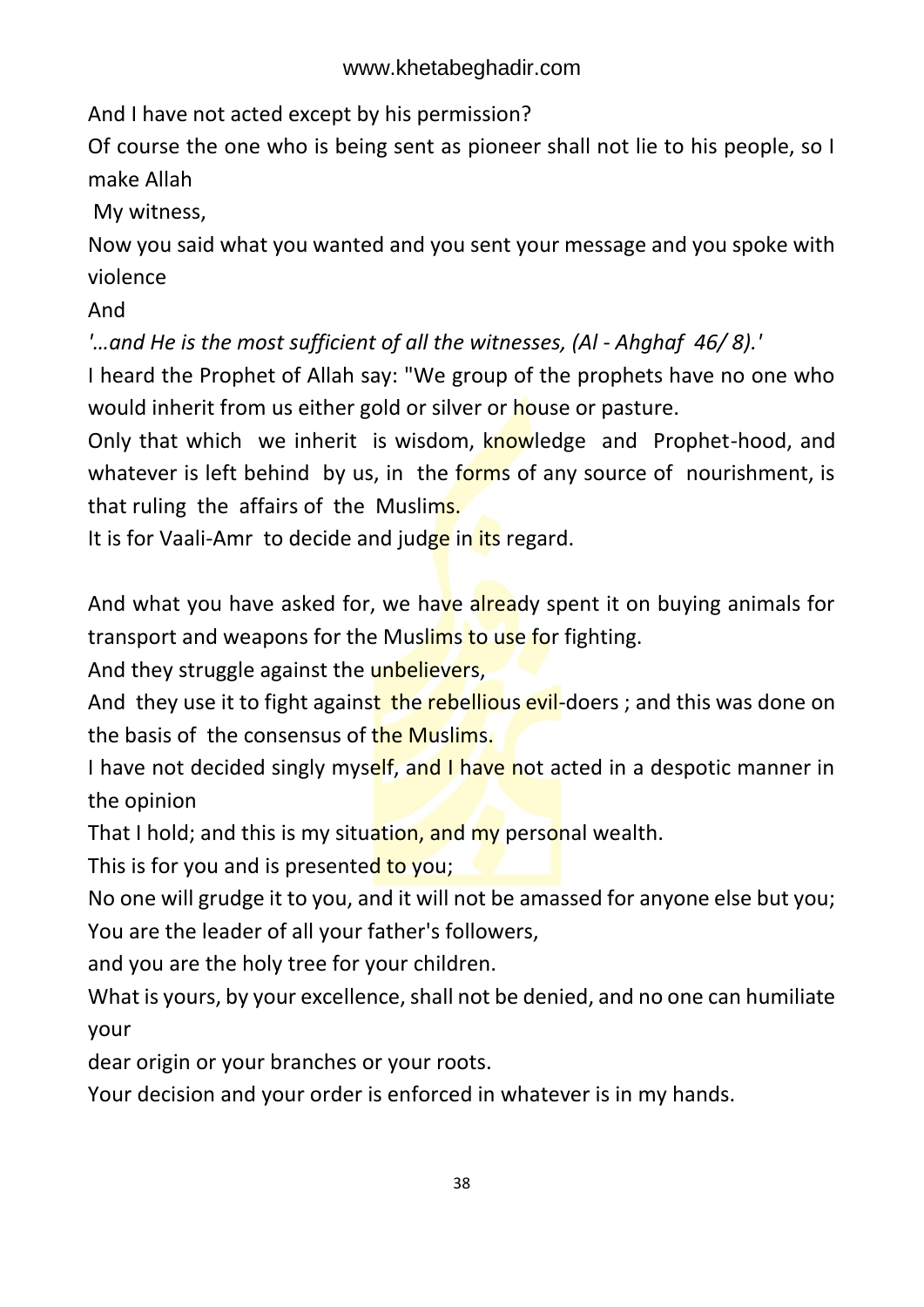And I have not acted except by his permission?

Of course the one who is being sent as pioneer shall not lie to his people, so I make Allah

My witness,

Now you said what you wanted and you sent your message and you spoke with violence

And

*'...and He is the most sufficient of all the witnesses, (AI - Ahghaf 46/8).'* 

I heard the Prophet of Allah say: "We group of the prophets have no one who would inherit from us either gold or silver or house or pasture.

Only that which we inherit is wisdom, knowledge and Prophet-hood, and whatever is left behind by us, in the forms of any source of nourishment, is that ruling the affairs of the Muslims.

It is for Vaali-Amr to decide and judge in its regard.

And what you have asked for, we have already spent it on buying animals for transport and weapons for the Muslims to use for fighting.

And they struggle against the unbelievers,

And they use it to fight against the rebellious evil-doers; and this was done on the basis of the consensus of the Muslims.

I have not decided singly myself, and I have not acted in a despotic manner in the opinion

That I hold; and this is my situation, and my personal wealth.

This is for you and is presented to you;

No one will grudge it to you, and it will not be amassed for anyone else but you; You are the leader of all your father's followers,

and you are the holy tree for your children.

What is yours, by your excellence, shall not be denied, and no one can humiliate your

dear origin or your branches or your roots.

Your decision and your order is enforced in whatever is in my hands.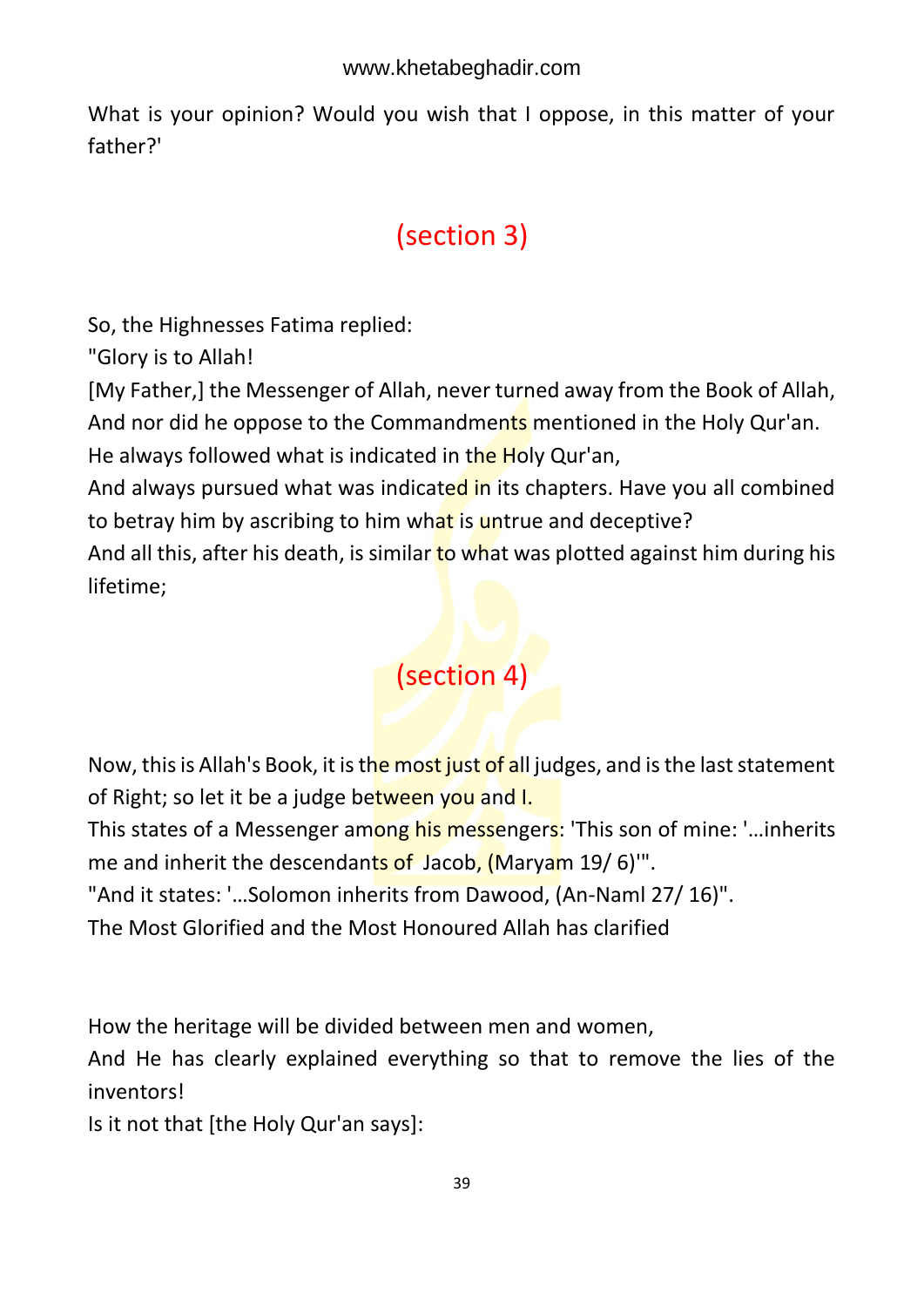What is your opinion? Would you wish that I oppose, in this matter of your father?'

# <span id="page-39-0"></span>(section 3)

So, the Highnesses Fatima replied:

"Glory is to Allah!

[My Father,] the Messenger of Allah, never turned away from the Book of Allah, And nor did he oppose to the Commandments mentioned in the Holy Qur'an.

He always followed what is indicated in the Holy Qur'an,

And always pursued what was indicated in its chapters. Have you all combined to betray him by ascribing to him what is untrue and deceptive?

And all this, after his death, is similar to what was plotted against him during his lifetime;

# <span id="page-39-1"></span>(section 4)

Now, this is Allah's Book, it is the most just of all judges, and is the last statement of Right; so let it be a judge between you and I.

This states of a Messenger among his messengers: 'This son of mine: '...inherits me and inherit the descendants of Jacob, (Maryam 19/6)".

"And it states: '…Solomon inherits from Dawood, (An-Naml 27/ 16)".

The Most Glorified and the Most Honoured Allah has clarified

How the heritage will be divided between men and women,

And He has clearly explained everything so that to remove the lies of the inventors!

Is it not that [the Holy Qur'an says]: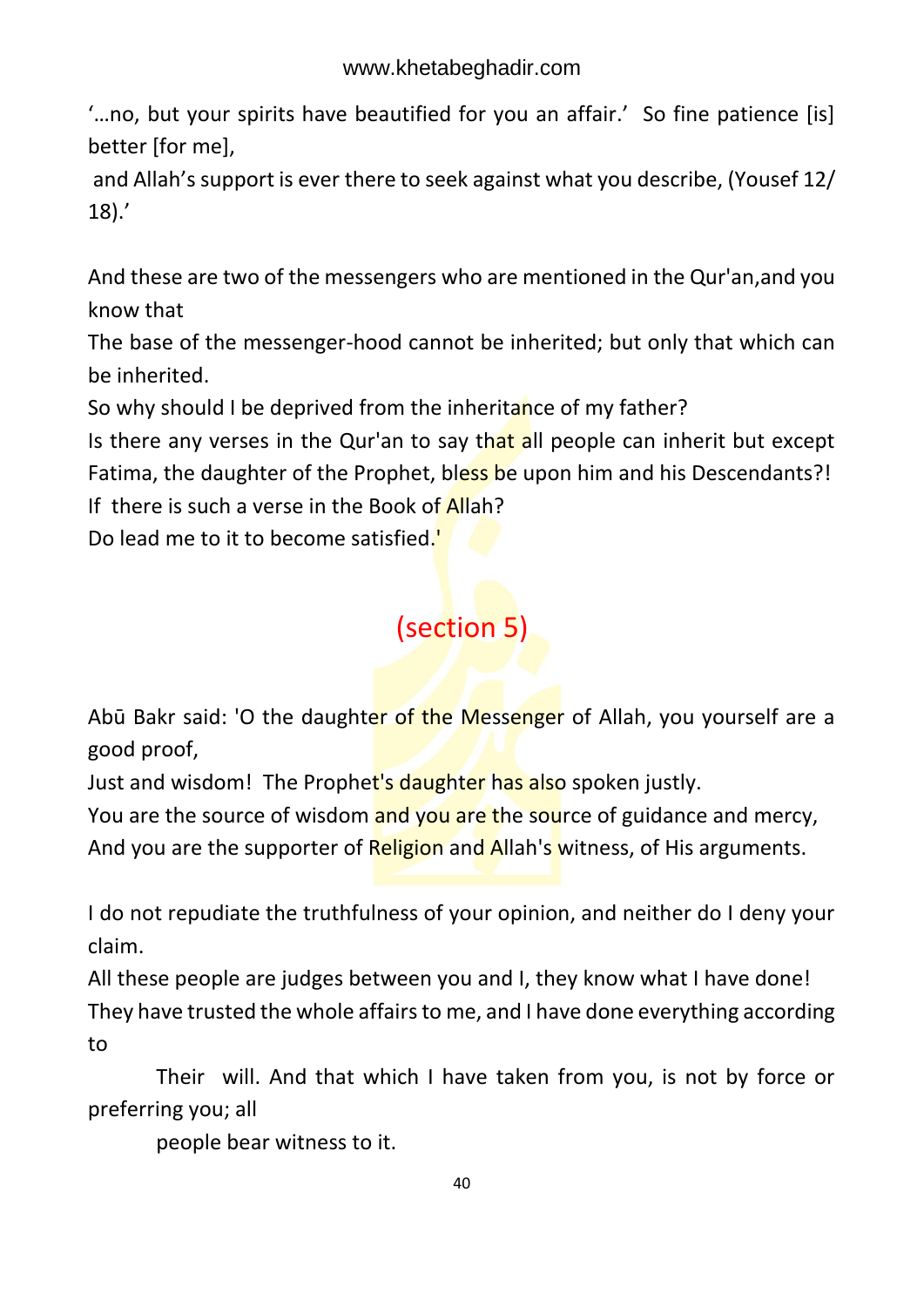'…no, but your spirits have beautified for you an affair.' So fine patience [is] better [for me],

and Allah's support is ever there to seek against what you describe, (Yousef 12/ 18).'

And these are two of the messengers who are mentioned in the Qur'an,and you know that

The base of the messenger-hood cannot be inherited; but only that which can be inherited.

So why should I be deprived from the inheritance of my father?

Is there any verses in the Qur'an to say that all people can inherit but except Fatima, the daughter of the Prophet, bless be upon him and his Descendants?! If there is such a verse in the Book of Allah?

Do lead me to it to become satisfied."

### <span id="page-40-0"></span>(section 5)

Abū Bakr said: 'O the daughter of the Messenger of Allah, you yourself are a good proof,

Just and wisdom! The Prophet's daughter has also spoken justly.

You are the source of wisdom and you are the source of guidance and mercy,

And you are the supporter of Religion and Allah's witness, of His arguments.

I do not repudiate the truthfulness of your opinion, and neither do I deny your claim.

All these people are judges between you and I, they know what I have done! They have trusted the whole affairs to me, and I have done everything according to

 Their will. And that which I have taken from you, is not by force or preferring you; all

people bear witness to it.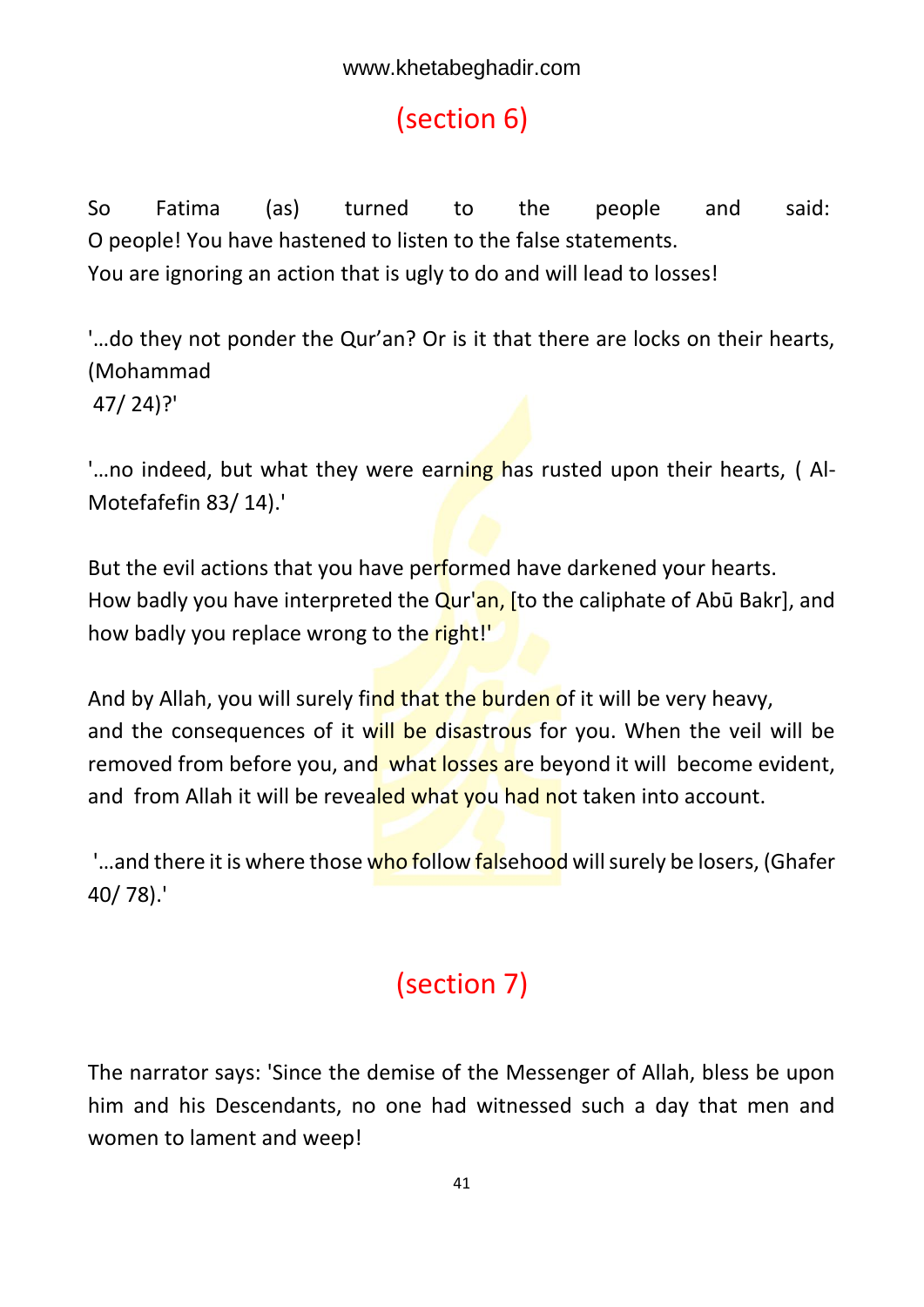## <span id="page-41-0"></span>(section 6)

So Fatima (as) turned to the people and said: O people! You have hastened to listen to the false statements. You are ignoring an action that is ugly to do and will lead to losses!

'…do they not ponder the Qur'an? Or is it that there are locks on their hearts, (Mohammad 47/ 24)?'

'...no indeed, but what they were earning has rusted upon their hearts, (Al-Motefafefin 83/ 14).'

But the evil actions that you have performed have darkened your hearts. How badly you have interpreted the  $\overline{Qur'an}$ , [to the caliphate of Abū Bakr], and how badly you replace wrong to the right!"

And by Allah, you will surely find that the burden of it will be very heavy, and the consequences of it will be disastrous for you. When the veil will be removed from before you, and what losses are beyond it will become evident, and from Allah it will be revealed what you had not taken into account.

'...and there it is where those who follow falsehood will surely be losers, (Ghafer 40/ 78).'

## <span id="page-41-1"></span>(section 7)

The narrator says: 'Since the demise of the Messenger of Allah, bless be upon him and his Descendants, no one had witnessed such a day that men and women to lament and weep!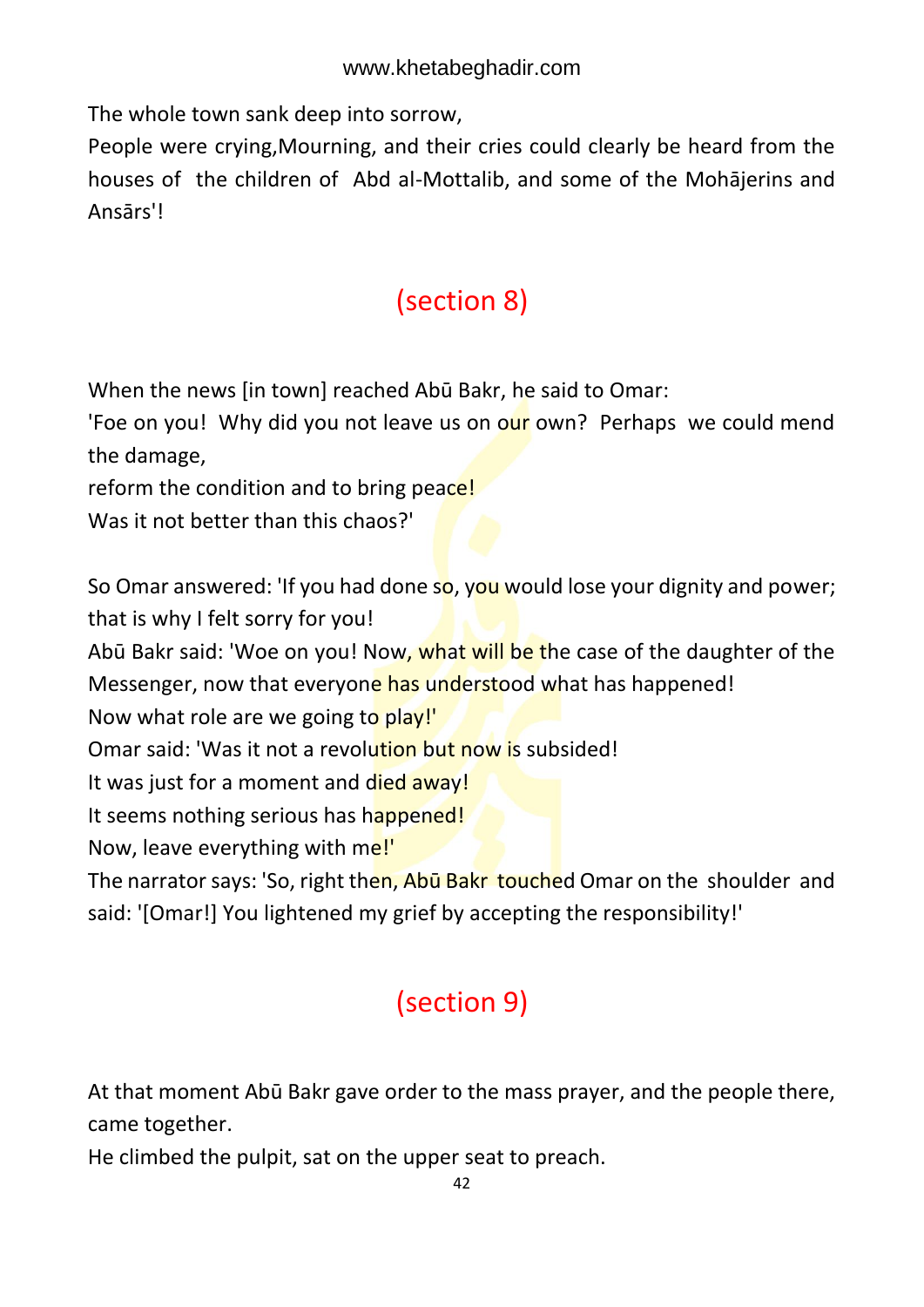The whole town sank deep into sorrow,

People were crying,Mourning, and their cries could clearly be heard from the houses of the children of Abd al-Mottalib, and some of the Mohājerins and Ansārs'!

## <span id="page-42-0"></span>(section 8)

When the news [in town] reached Abū Bakr, he said to Omar:

'Foe on you! Why did you not leave us on our own? Perhaps we could mend the damage,

reform the condition and to bring peace!

Was it not better than this chaos?'

So Omar answered: 'If you had done so, you would lose your dignity and power; that is why I felt sorry for you!

Abū Bakr said: 'Woe on you! Now, what will be the case of the daughter of the Messenger, now that everyone has understood what has happened!

Now what role are we going to play!'

Omar said: 'Was it not a revolution but now is subsided!

It was just for a moment and died away!

It seems nothing serious has happened!

Now, leave everything with me!'

The narrator says: 'So, right then, Abū Bakr touched Omar on the shoulder and said: '[Omar!] You lightened my grief by accepting the responsibility!'

# <span id="page-42-1"></span>(section 9)

At that moment Abū Bakr gave order to the mass prayer, and the people there, came together.

He climbed the pulpit, sat on the upper seat to preach.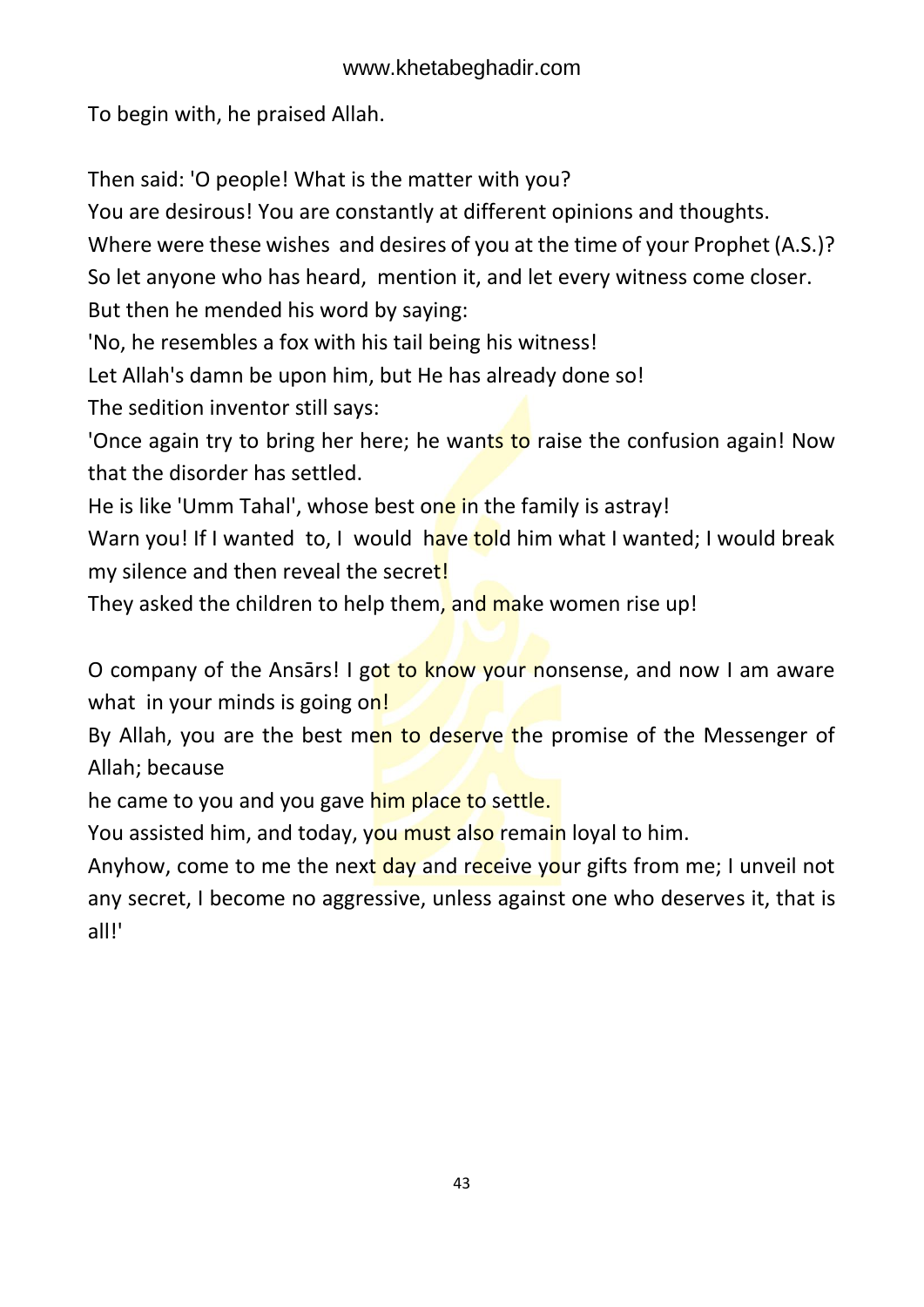To begin with, he praised Allah.

Then said: 'O people! What is the matter with you?

You are desirous! You are constantly at different opinions and thoughts.

Where were these wishes and desires of you at the time of your Prophet (A.S.)?

So let anyone who has heard, mention it, and let every witness come closer.

But then he mended his word by saying:

'No, he resembles a fox with his tail being his witness!

Let Allah's damn be upon him, but He has already done so!

The sedition inventor still says:

'Once again try to bring her here; he wants to raise the confusion again! Now that the disorder has settled.

He is like 'Umm Tahal', whose best one in the family is astray!

Warn you! If I wanted to, I would have told him what I wanted; I would break my silence and then reveal the secret!

They asked the children to help them, and make women rise up!

O company of the Ansārs! I got to know your nonsense, and now I am aware what in your minds is going on!

By Allah, you are the best men to deserve the promise of the Messenger of Allah; because

he came to you and you gave him place to settle.

You assisted him, and today, you must also remain loyal to him.

Anyhow, come to me the next day and receive your gifts from me; I unveil not any secret, I become no aggressive, unless against one who deserves it, that is all!'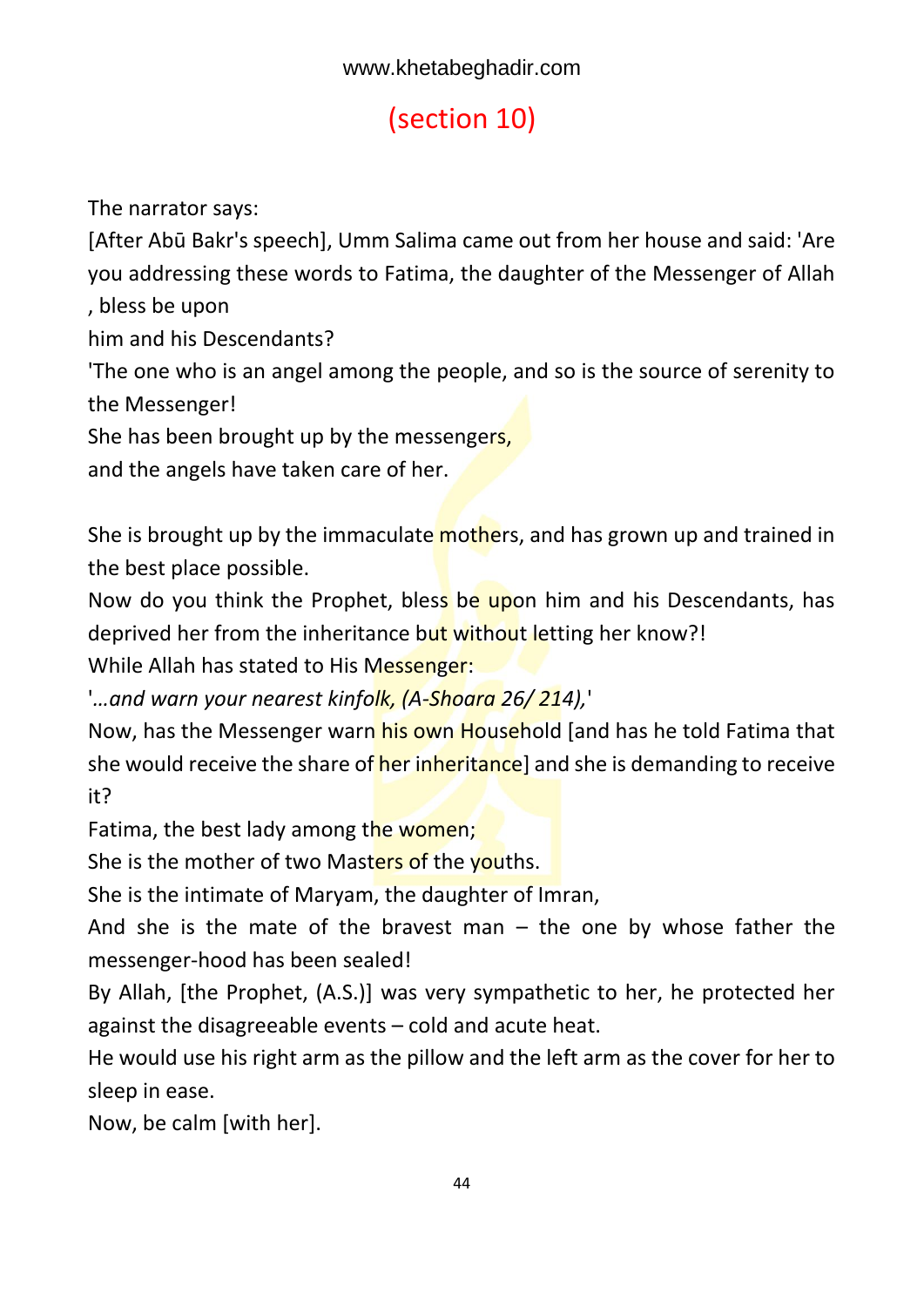# <span id="page-44-0"></span>(section 10)

The narrator says:

[After Abū Bakr's speech], Umm Salima came out from her house and said: 'Are you addressing these words to Fatima, the daughter of the Messenger of Allah

, bless be upon

him and his Descendants?

'The one who is an angel among the people, and so is the source of serenity to the Messenger!

She has been brought up by the messengers,

and the angels have taken care of her.

She is brought up by the immaculate mothers, and has grown up and trained in the best place possible.

Now do you think the Prophet, bless be upon him and his Descendants, has deprived her from the inheritance but without letting her know?!

While Allah has stated to His Messenger:

'*…and warn your nearest kinfolk, (A-Shoara 26/ 214),*'

Now, has the Messenger warn his own Household [and has he told Fatima that she would receive the share of her inheritance] and she is demanding to receive it?

Fatima, the best lady among the women;

She is the mother of two Masters of the youths.

She is the intimate of Maryam, the daughter of Imran,

And she is the mate of the bravest man  $-$  the one by whose father the messenger-hood has been sealed!

By Allah, [the Prophet, (A.S.)] was very sympathetic to her, he protected her against the disagreeable events – cold and acute heat.

He would use his right arm as the pillow and the left arm as the cover for her to sleep in ease.

Now, be calm [with her].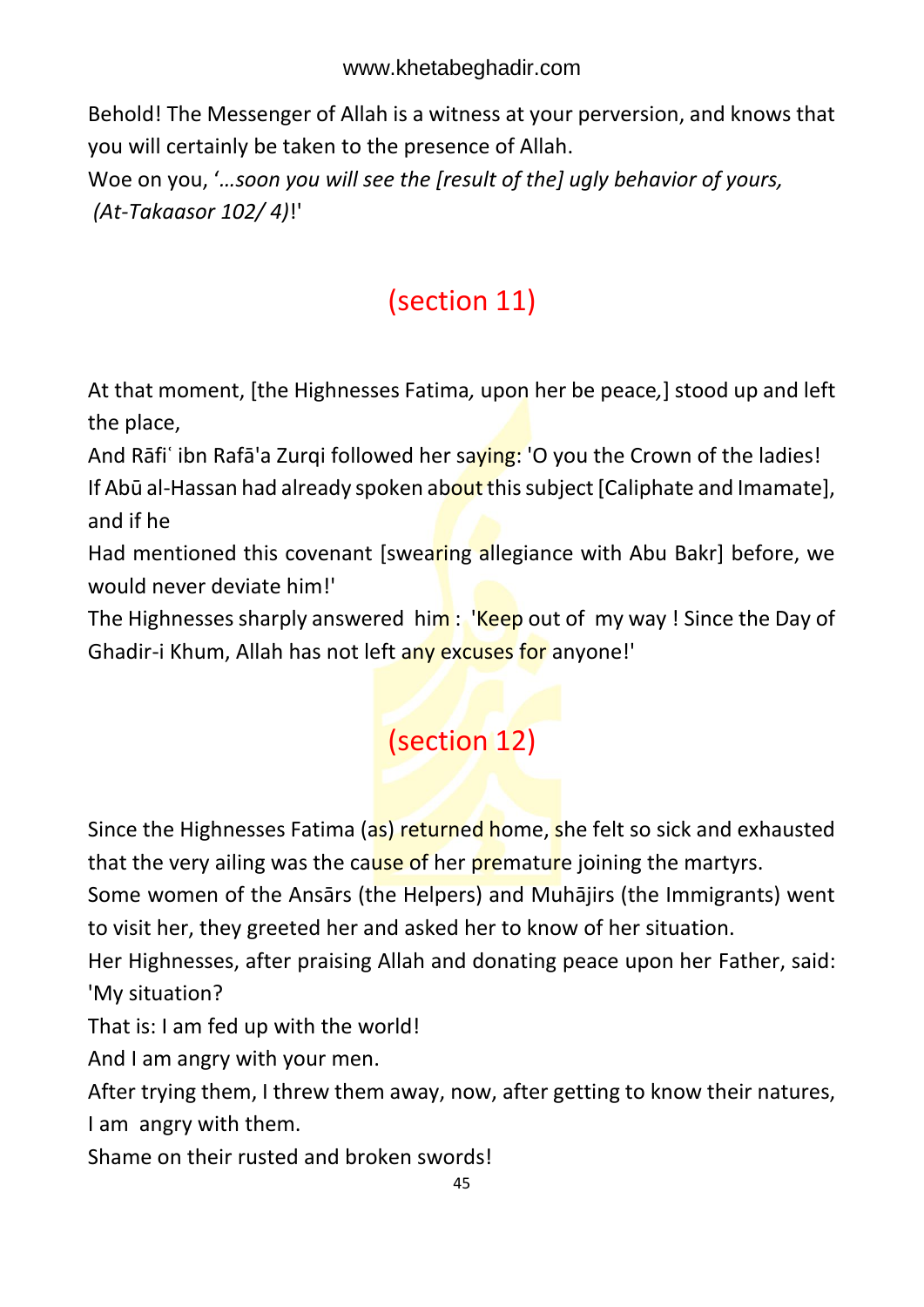Behold! The Messenger of Allah is a witness at your perversion, and knows that you will certainly be taken to the presence of Allah.

Woe on you, '*…soon you will see the [result of the] ugly behavior of yours, (At-Takaasor 102/ 4)*!'

# <span id="page-45-0"></span>(section 11)

At that moment, [the Highnesses Fatima*,* upon her be peace*,*] stood up and left the place,

And Rāfi ibn Rafā'a Zurqi followed her saying: 'O you the Crown of the ladies! If Abū al-Hassan had already spoken about this subject [Caliphate and Imamate], and if he

Had mentioned this covenant [swearing allegiance with Abu Bakr] before, we would never deviate him!'

The Highnesses sharply answered him: 'Keep out of my way! Since the Day of Ghadir-i Khum, Allah has not left any excuses for anyone!'

### <span id="page-45-1"></span>(section 12)

Since the Highnesses Fatima (as) returned home, she felt so sick and exhausted that the very ailing was the cause of her premature joining the martyrs.

Some women of the Ansārs (the Helpers) and Muhājirs (the Immigrants) went to visit her, they greeted her and asked her to know of her situation.

Her Highnesses, after praising Allah and donating peace upon her Father, said: 'My situation?

That is: I am fed up with the world!

And I am angry with your men.

After trying them, I threw them away, now, after getting to know their natures, I am angry with them.

Shame on their rusted and broken swords!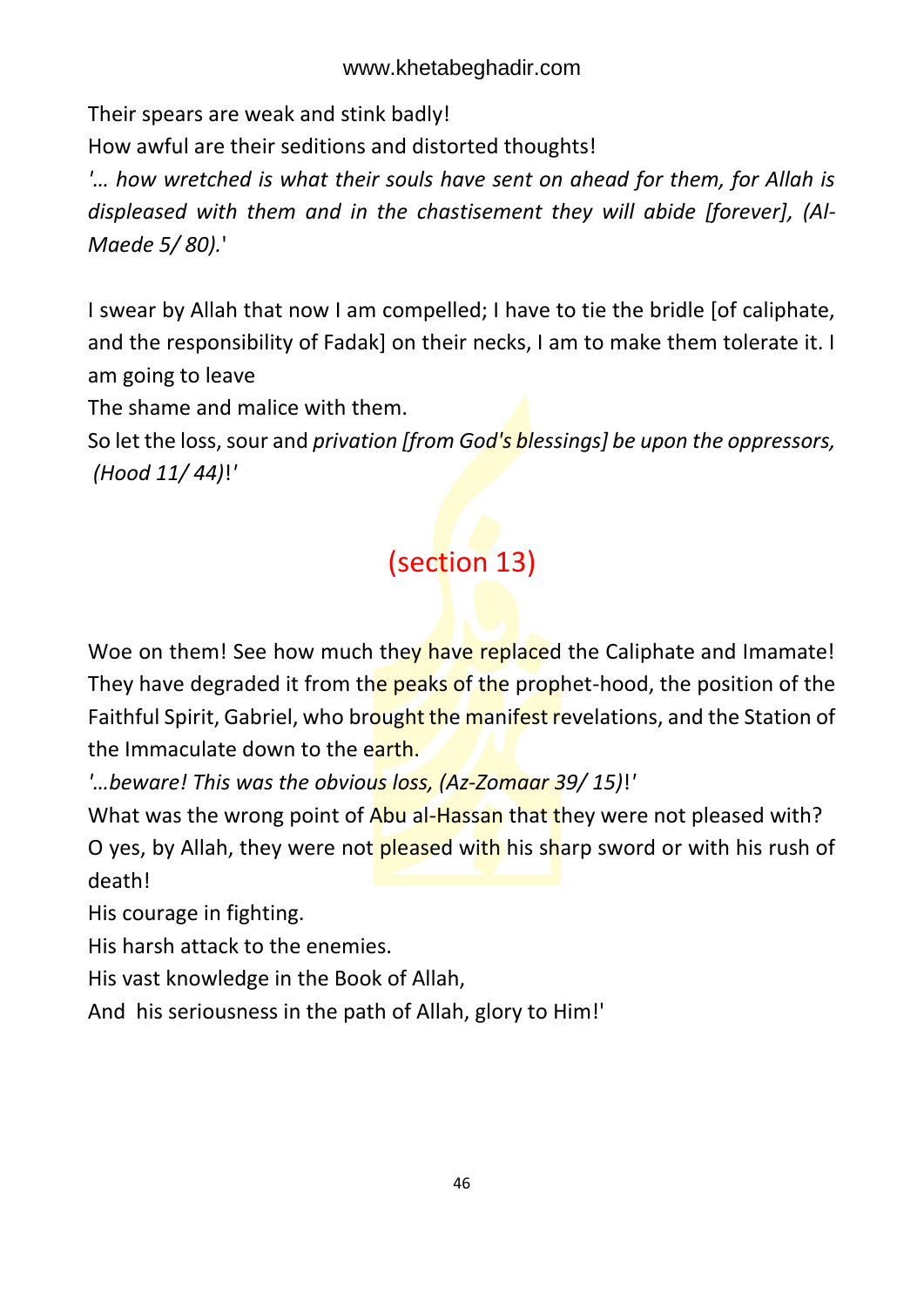Their spears are weak and stink badly!

How awful are their seditions and distorted thoughts!

*'… how wretched is what their souls have sent on ahead for them, for Allah is displeased with them and in the chastisement they will abide [forever], (Al-Maede 5/ 80).*'

I swear by Allah that now I am compelled; I have to tie the bridle [of caliphate, and the responsibility of Fadak] on their necks, I am to make them tolerate it. I am going to leave

The shame and malice with them.

So let the loss, sour and *privation [from God's blessings] be upon the oppressors, (Hood 11/ 44)*!*'* 

# <span id="page-46-0"></span>(section 13)

Woe on them! See how much they have replaced the Caliphate and Imamate! They have degraded it from the peaks of the prophet-hood, the position of the Faithful Spirit, Gabriel, who brought the manifest revelations, and the Station of the Immaculate down to the earth.

*'…beware! This was the obvious loss, (Az-Zomaar 39/ 15)*!*'* 

What was the wrong point of Abu al-Hassan that they were not pleased with? O yes, by Allah, they were not pleased with his sharp sword or with his rush of death!

His courage in fighting.

His harsh attack to the enemies.

His vast knowledge in the Book of Allah,

And his seriousness in the path of Allah, glory to Him!'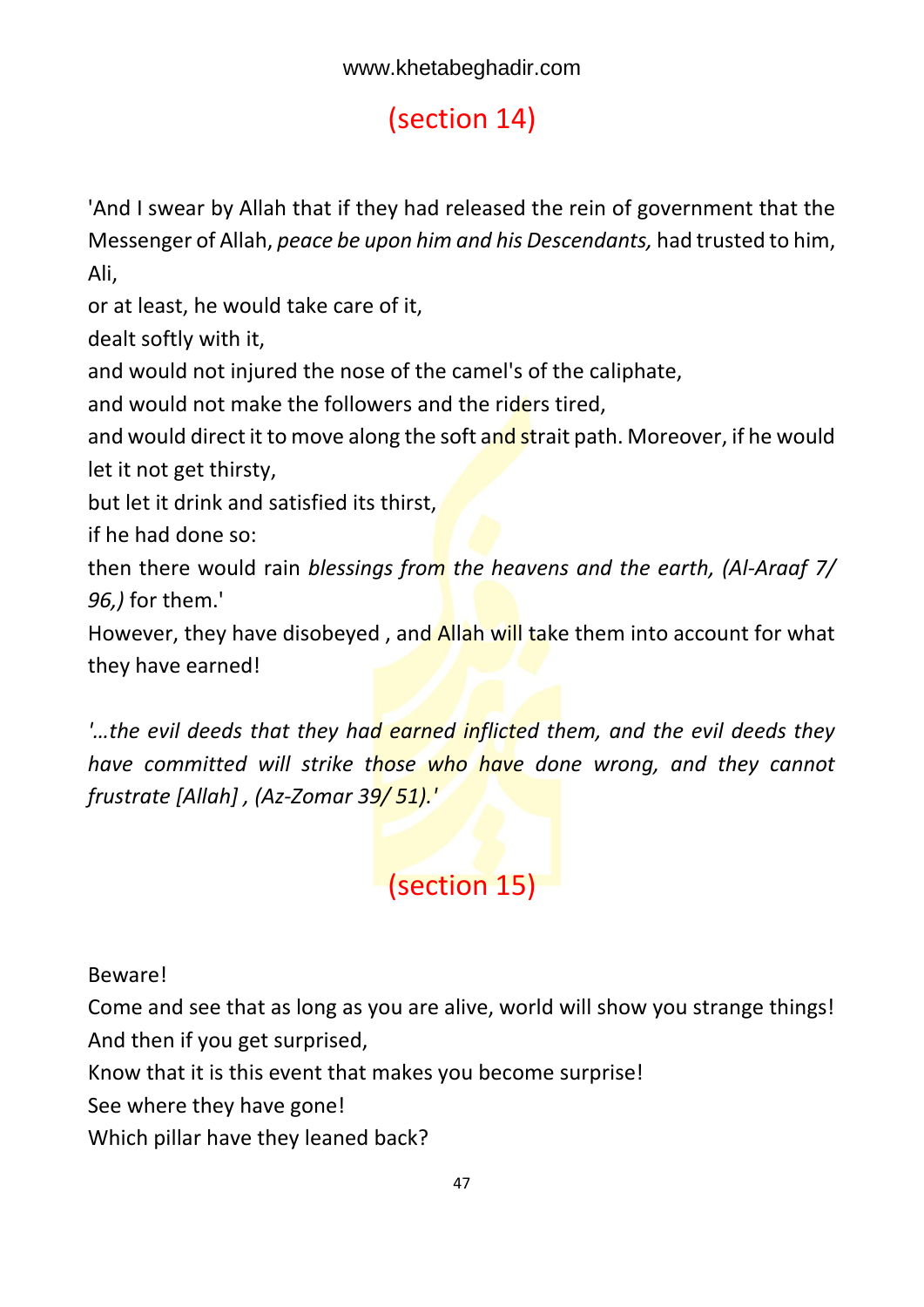# <span id="page-47-0"></span>(section 14)

'And I swear by Allah that if they had released the rein of government that the Messenger of Allah, *peace be upon him and his Descendants,* had trusted to him, Ali,

or at least, he would take care of it,

dealt softly with it,

and would not injured the nose of the camel's of the caliphate,

and would not make the followers and the riders tired,

and would direct it to move along the soft and strait path. Moreover, if he would let it not get thirsty,

but let it drink and satisfied its thirst,

if he had done so:

then there would rain *blessings from the heavens and the earth, (Al-Araaf 7/ 96,)* for them.'

However, they have disobeyed, and **Allah will take them into account for what** they have earned!

*'…the evil deeds that they had earned inflicted them, and the evil deeds they have committed will strike those who have done wrong, and they cannot frustrate [Allah] , (Az-Zomar 39/ 51).'*

## <span id="page-47-1"></span>(section 15)

Beware!

Come and see that as long as you are alive, world will show you strange things! And then if you get surprised,

Know that it is this event that makes you become surprise!

See where they have gone!

Which pillar have they leaned back?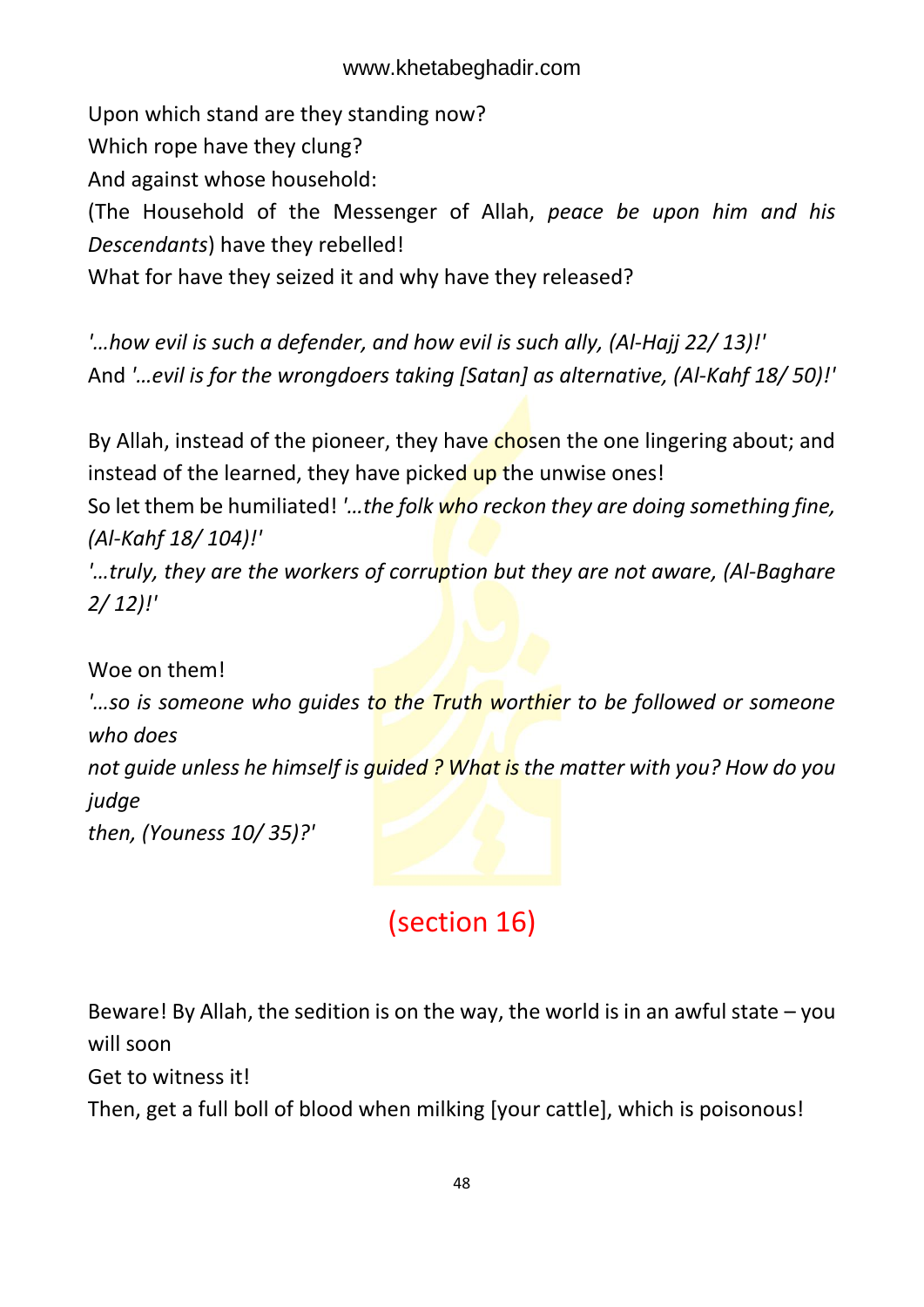Upon which stand are they standing now? Which rope have they clung? And against whose household: (The Household of the Messenger of Allah, *peace be upon him and his Descendants*) have they rebelled! What for have they seized it and why have they released?

*'…how evil is such a defender, and how evil is such ally, (Al-Hajj 22/ 13)!'* And *'…evil is for the wrongdoers taking [Satan] as alternative, (Al-Kahf 18/ 50)!'*

By Allah, instead of the pioneer, they have chosen the one lingering about; and instead of the learned, they have picked up the unwise ones!

So let them be humiliated! *'…the folk who reckon they are doing something fine, (Al-Kahf 18/ 104)!'*

*'…truly, they are the workers of corruption but they are not aware, (Al-Baghare 2/ 12)!'*

Woe on them!

*'…so is someone who quides to the Truth worthier to be followed or someone who does* 

*not guide unless he himself is guided ? What is the matter with you? How do you judge* 

*then, (Youness 10/ 35)?'*

### <span id="page-48-0"></span>(section 16)

Beware! By Allah, the sedition is on the way, the world is in an awful state  $-$  you will soon

Get to witness it!

Then, get a full boll of blood when milking [your cattle], which is poisonous!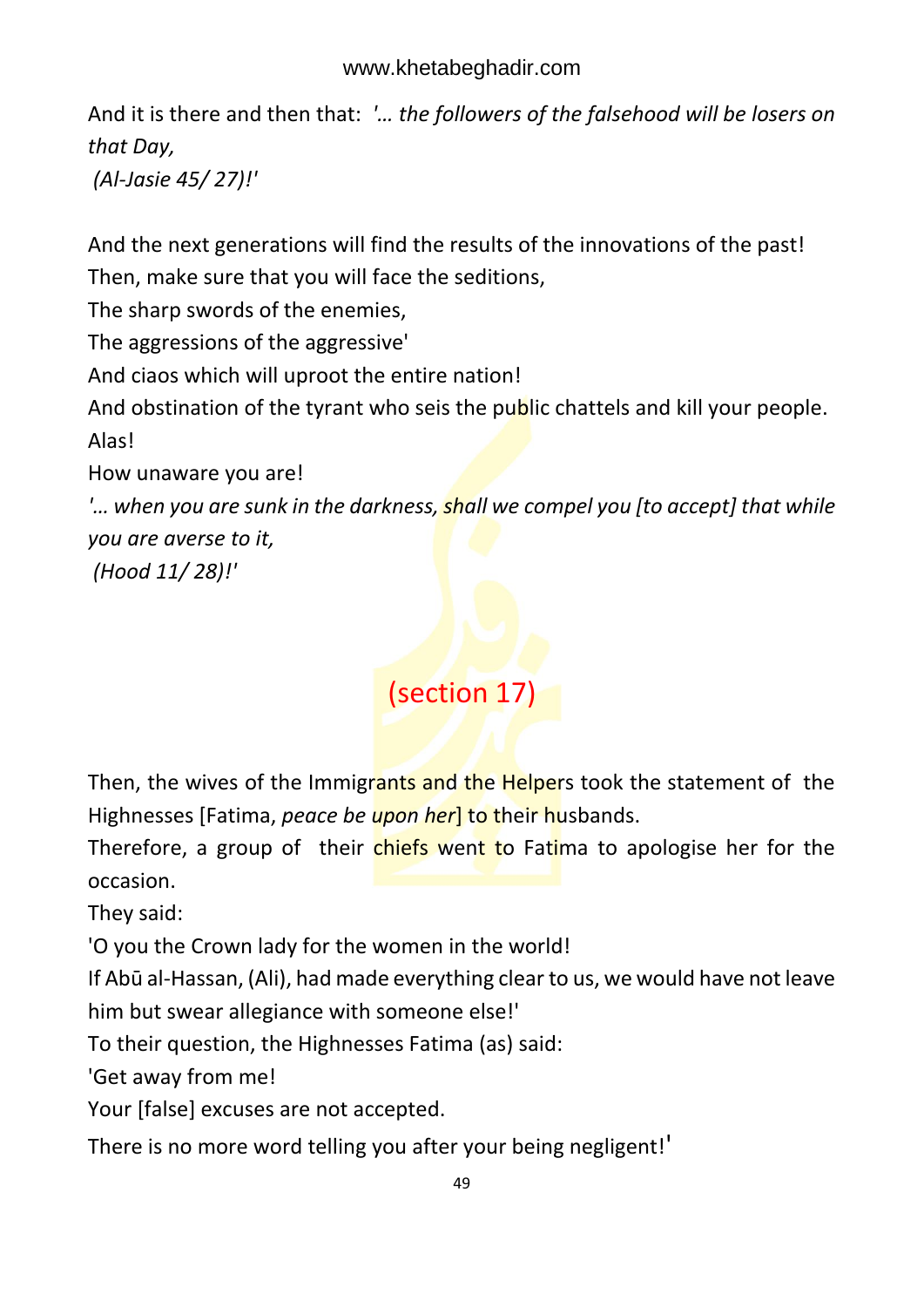And it is there and then that: *'… the followers of the falsehood will be losers on that Day,*

*(Al-Jasie 45/ 27)!'*

And the next generations will find the results of the innovations of the past! Then, make sure that you will face the seditions,

The sharp swords of the enemies,

The aggressions of the aggressive'

And ciaos which will uproot the entire nation!

And obstination of the tyrant who seis the public chattels and kill your people. Alas!

How unaware you are!

*'… when you are sunk in the darkness, shall we compel you [to accept] that while you are averse to it,*

*(Hood 11/ 28)!'*

# <span id="page-49-0"></span>(section 17)

Then, the wives of the Immigrants and the Helpers took the statement of the Highnesses [Fatima, *peace be upon her*] to their husbands.

Therefore, a group of their chiefs went to Fatima to apologise her for the occasion.

They said:

'O you the Crown lady for the women in the world!

If Abū al-Hassan, (Ali), had made everything clear to us, we would have not leave him but swear allegiance with someone else!'

To their question, the Highnesses Fatima (as) said:

'Get away from me!

Your [false] excuses are not accepted.

There is no more word telling you after your being negligent!'